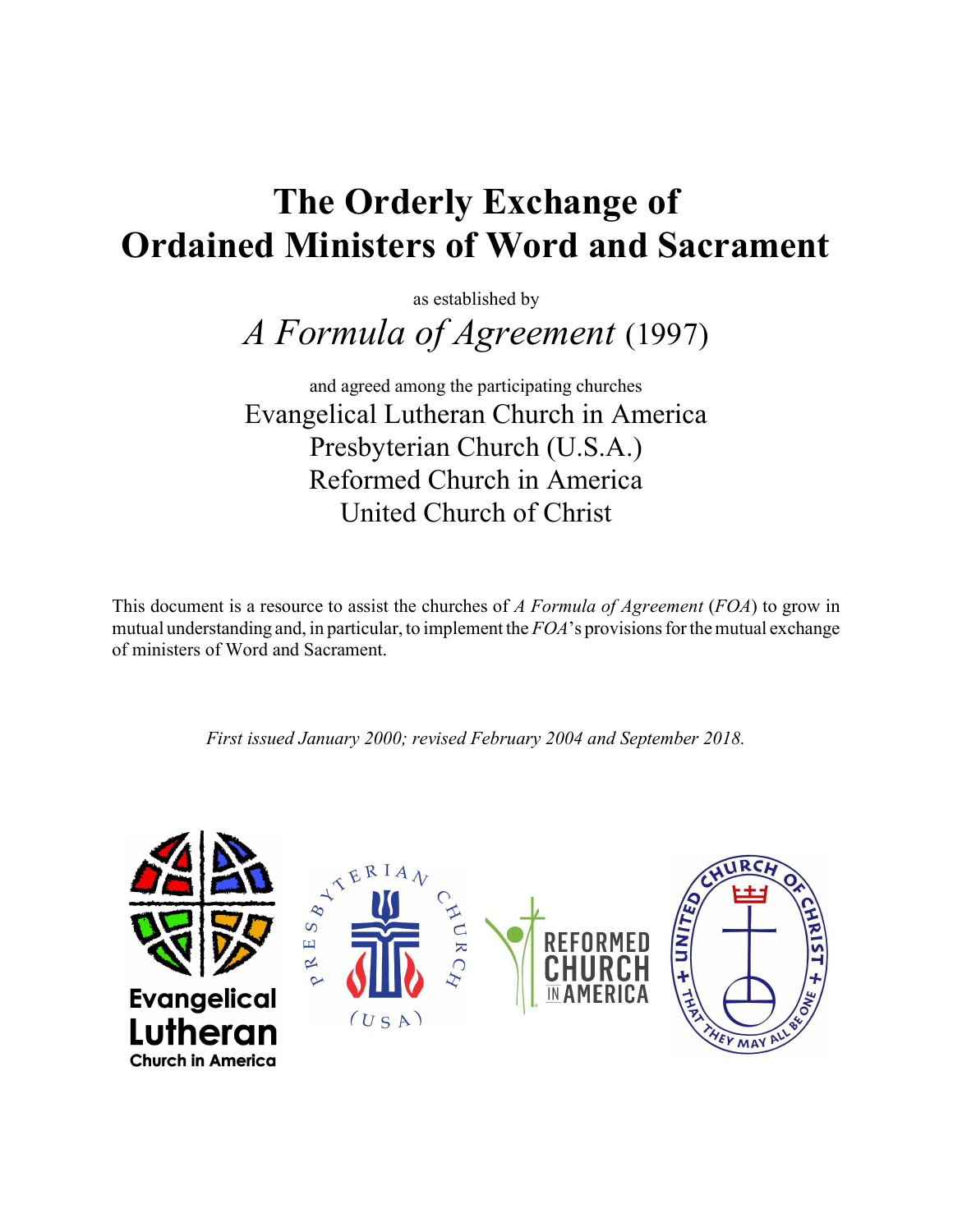# The Orderly Exchange of Ordained Ministers of Word and Sacrament

as established by

A Formula of Agreement (1997)

and agreed among the participating churches Evangelical Lutheran Church in America Presbyterian Church (U.S.A.) Reformed Church in America United Church of Christ

This document is a resource to assist the churches of A Formula of Agreement (FOA) to grow in mutual understanding and, in particular, to implement the  $FOA$ 's provisions for the mutual exchange of ministers of Word and Sacrament.

First issued January 2000; revised February 2004 and September 2018.

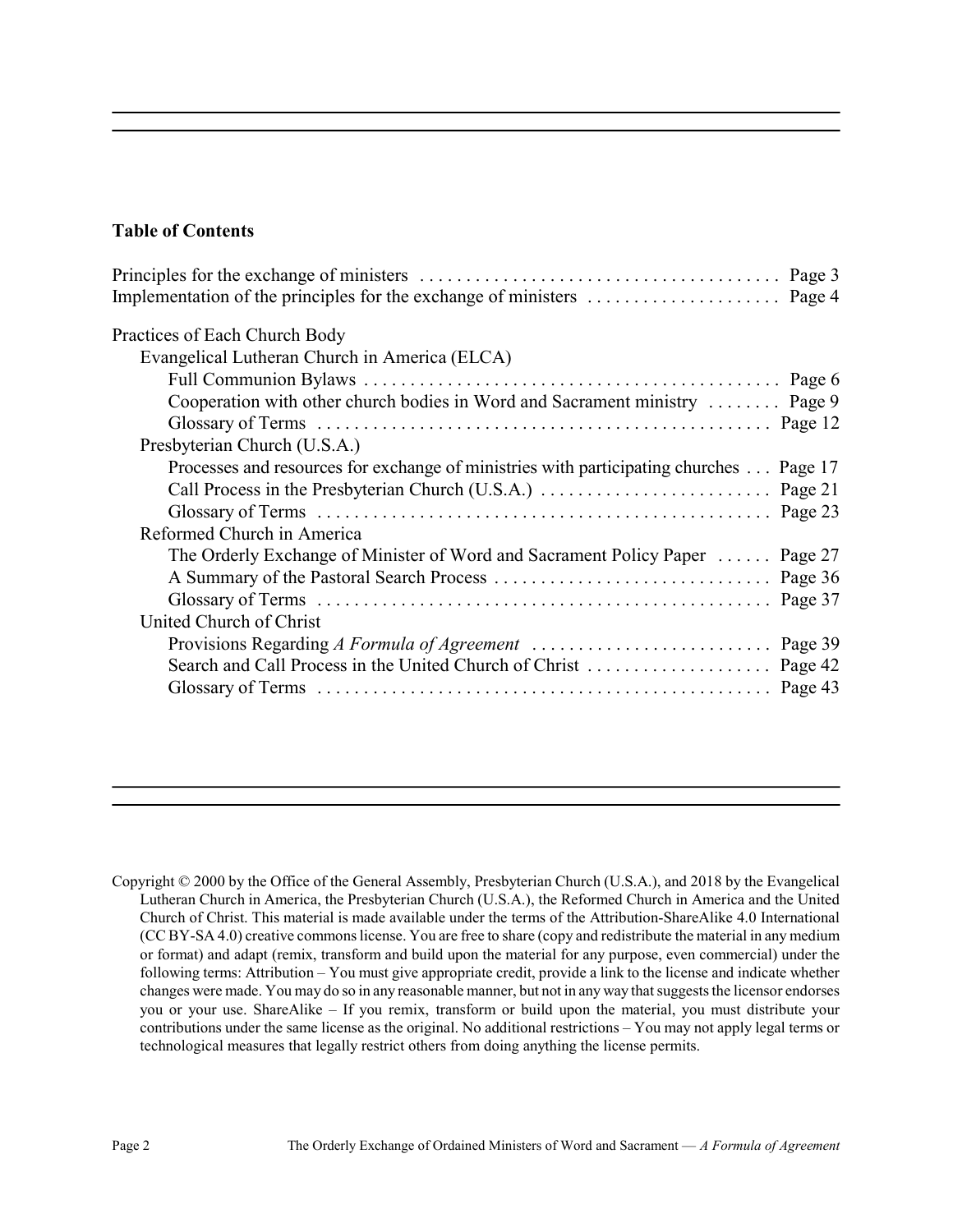### Table of Contents

| Practices of Each Church Body                                                           |  |
|-----------------------------------------------------------------------------------------|--|
| Evangelical Lutheran Church in America (ELCA)                                           |  |
|                                                                                         |  |
| Cooperation with other church bodies in Word and Sacrament ministry  Page 9             |  |
|                                                                                         |  |
| Presbyterian Church (U.S.A.)                                                            |  |
| Processes and resources for exchange of ministries with participating churches  Page 17 |  |
|                                                                                         |  |
|                                                                                         |  |
| Reformed Church in America                                                              |  |
| The Orderly Exchange of Minister of Word and Sacrament Policy Paper  Page 27            |  |
|                                                                                         |  |
|                                                                                         |  |
| United Church of Christ                                                                 |  |
|                                                                                         |  |
|                                                                                         |  |
|                                                                                         |  |
|                                                                                         |  |

Copyright © 2000 by the Office of the General Assembly, Presbyterian Church (U.S.A.), and 2018 by the Evangelical Lutheran Church in America, the Presbyterian Church (U.S.A.), the Reformed Church in America and the United Church of Christ. This material is made available under the terms of the Attribution-ShareAlike 4.0 International (CC BY-SA 4.0) creative commons license. You are free to share (copy and redistribute the material in any medium or format) and adapt (remix, transform and build upon the material for any purpose, even commercial) under the following terms: Attribution – You must give appropriate credit, provide a link to the license and indicate whether changes were made. You may do so in any reasonable manner, but not in any way that suggests the licensor endorses you or your use. ShareAlike – If you remix, transform or build upon the material, you must distribute your contributions under the same license as the original. No additional restrictions – You may not apply legal terms or technological measures that legally restrict others from doing anything the license permits.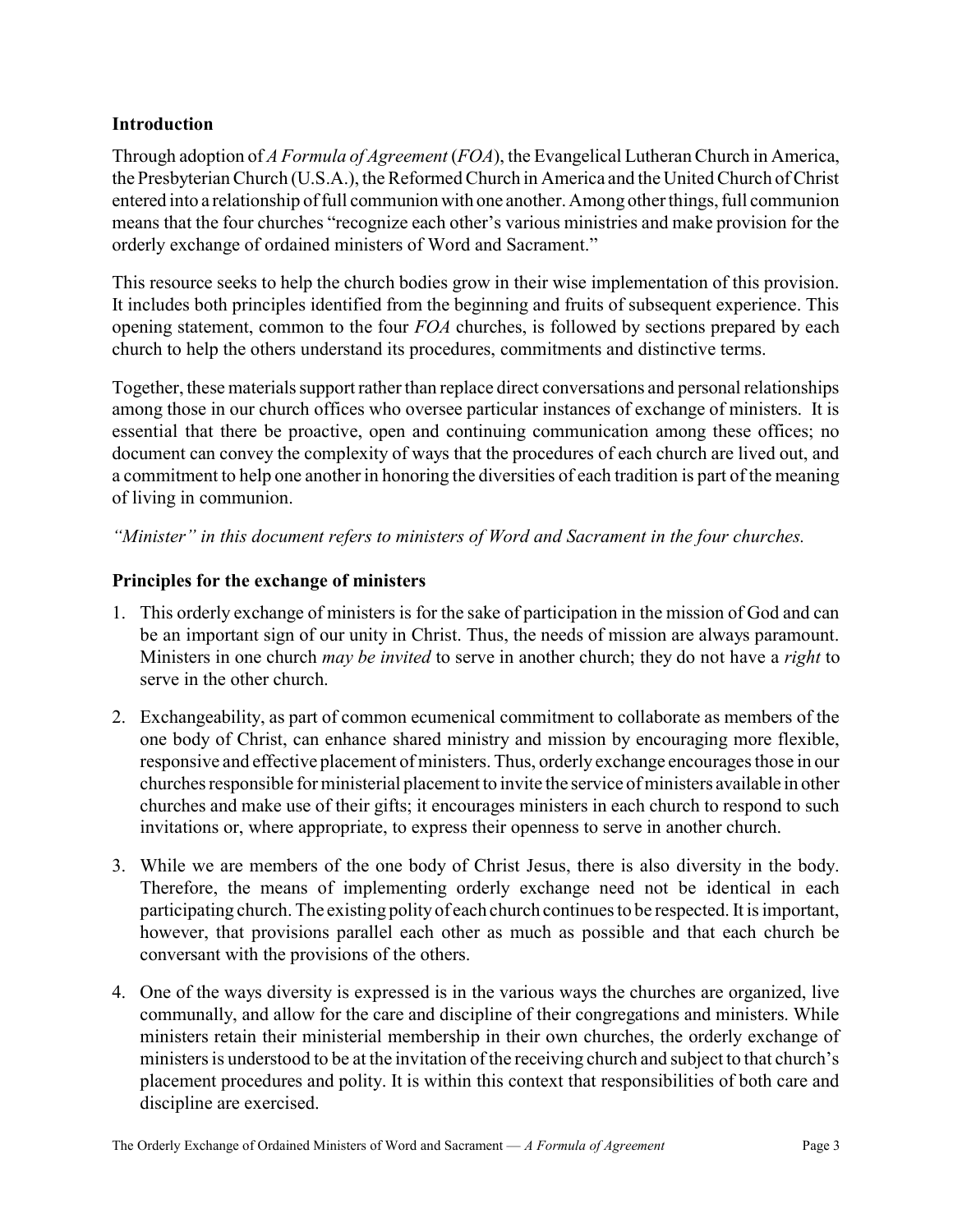### Introduction

Through adoption of A Formula of Agreement (FOA), the Evangelical Lutheran Church in America, the Presbyterian Church (U.S.A.), the Reformed Church in America and the United Church of Christ entered into a relationship of full communion with one another. Among other things, full communion means that the four churches "recognize each other's various ministries and make provision for the orderly exchange of ordained ministers of Word and Sacrament."

This resource seeks to help the church bodies grow in their wise implementation of this provision. It includes both principles identified from the beginning and fruits of subsequent experience. This opening statement, common to the four  $FOA$  churches, is followed by sections prepared by each church to help the others understand its procedures, commitments and distinctive terms.

Together, these materials support rather than replace direct conversations and personal relationships among those in our church offices who oversee particular instances of exchange of ministers. It is essential that there be proactive, open and continuing communication among these offices; no document can convey the complexity of ways that the procedures of each church are lived out, and a commitment to help one another in honoring the diversities of each tradition is part of the meaning of living in communion.

"Minister" in this document refers to ministers of Word and Sacrament in the four churches.

### Principles for the exchange of ministers

- 1. This orderly exchange of ministers is for the sake of participation in the mission of God and can be an important sign of our unity in Christ. Thus, the needs of mission are always paramount. Ministers in one church *may be invited* to serve in another church; they do not have a *right* to serve in the other church.
- 2. Exchangeability, as part of common ecumenical commitment to collaborate as members of the one body of Christ, can enhance shared ministry and mission by encouraging more flexible, responsive and effective placement of ministers. Thus, orderly exchange encourages those in our churches responsible for ministerial placement to invite the service of ministers available in other churches and make use of their gifts; it encourages ministers in each church to respond to such invitations or, where appropriate, to express their openness to serve in another church.
- 3. While we are members of the one body of Christ Jesus, there is also diversity in the body. Therefore, the means of implementing orderly exchange need not be identical in each participating church. The existing polity of each church continues to be respected. It is important, however, that provisions parallel each other as much as possible and that each church be conversant with the provisions of the others.
- 4. One of the ways diversity is expressed is in the various ways the churches are organized, live communally, and allow for the care and discipline of their congregations and ministers. While ministers retain their ministerial membership in their own churches, the orderly exchange of ministers is understood to be at the invitation of the receiving church and subject to that church's placement procedures and polity. It is within this context that responsibilities of both care and discipline are exercised.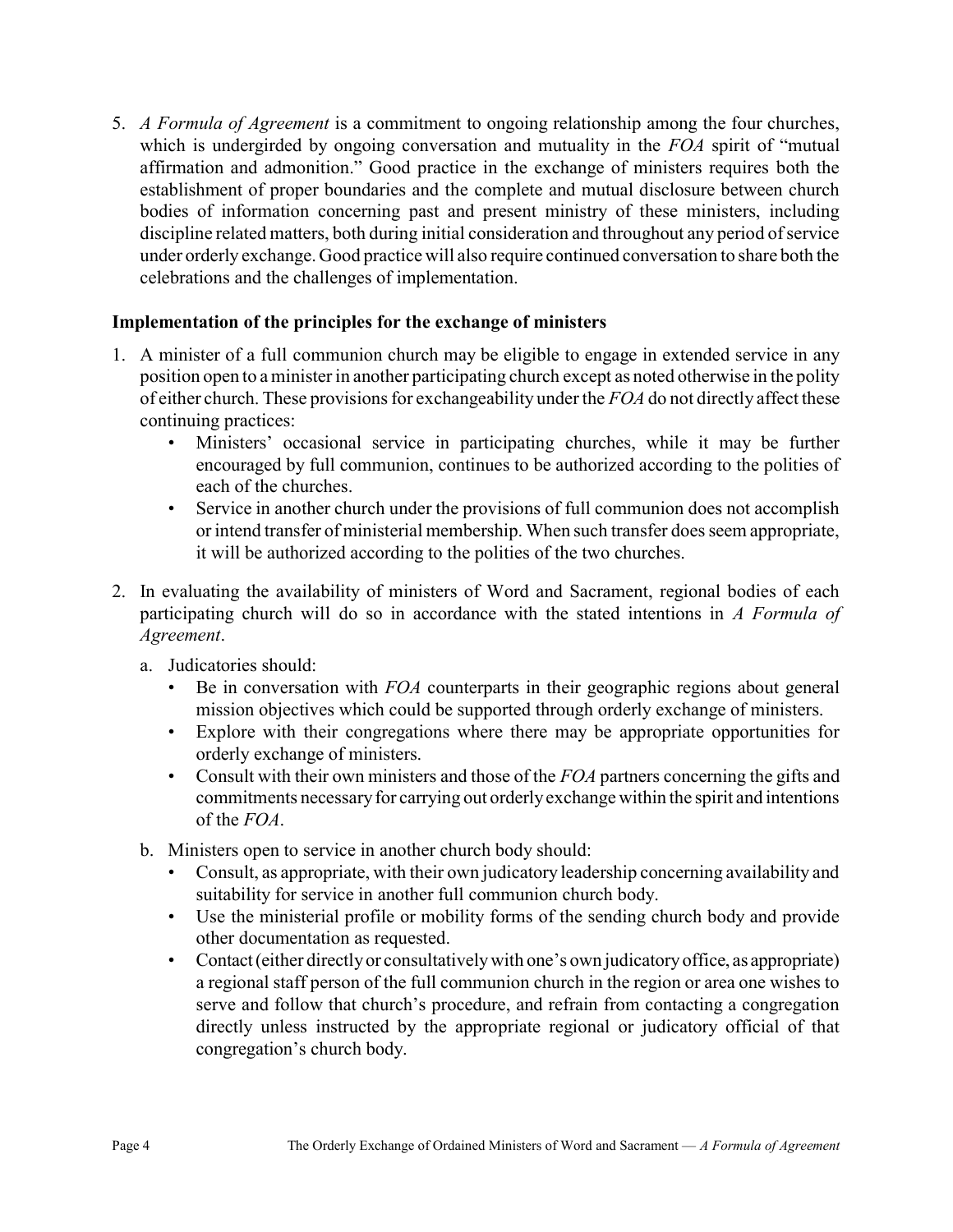5. A Formula of Agreement is a commitment to ongoing relationship among the four churches, which is undergirded by ongoing conversation and mutuality in the FOA spirit of "mutual affirmation and admonition." Good practice in the exchange of ministers requires both the establishment of proper boundaries and the complete and mutual disclosure between church bodies of information concerning past and present ministry of these ministers, including discipline related matters, both during initial consideration and throughout any period of service under orderly exchange. Good practice will also require continued conversation to share both the celebrations and the challenges of implementation.

### Implementation of the principles for the exchange of ministers

- 1. A minister of a full communion church may be eligible to engage in extended service in any position open to a minister in another participating church except as noted otherwise in the polity of either church. These provisions for exchangeability under the FOA do not directly affect these continuing practices:
	- Ministers' occasional service in participating churches, while it may be further encouraged by full communion, continues to be authorized according to the polities of each of the churches.
	- Service in another church under the provisions of full communion does not accomplish or intend transfer of ministerial membership. When such transfer does seem appropriate, it will be authorized according to the polities of the two churches.
- 2. In evaluating the availability of ministers of Word and Sacrament, regional bodies of each participating church will do so in accordance with the stated intentions in A Formula of Agreement.
	- a. Judicatories should:
		- Be in conversation with FOA counterparts in their geographic regions about general mission objectives which could be supported through orderly exchange of ministers.
		- Explore with their congregations where there may be appropriate opportunities for orderly exchange of ministers.
		- Consult with their own ministers and those of the  $FOA$  partners concerning the gifts and commitments necessary for carrying out orderly exchange within the spirit and intentions of the FOA.
	- b. Ministers open to service in another church body should:
		- Consult, as appropriate, with their own judicatory leadership concerning availability and suitability for service in another full communion church body.
		- Use the ministerial profile or mobility forms of the sending church body and provide other documentation as requested.
		- Contact (either directly or consultatively with one's own judicatory office, as appropriate) a regional staff person of the full communion church in the region or area one wishes to serve and follow that church's procedure, and refrain from contacting a congregation directly unless instructed by the appropriate regional or judicatory official of that congregation's church body.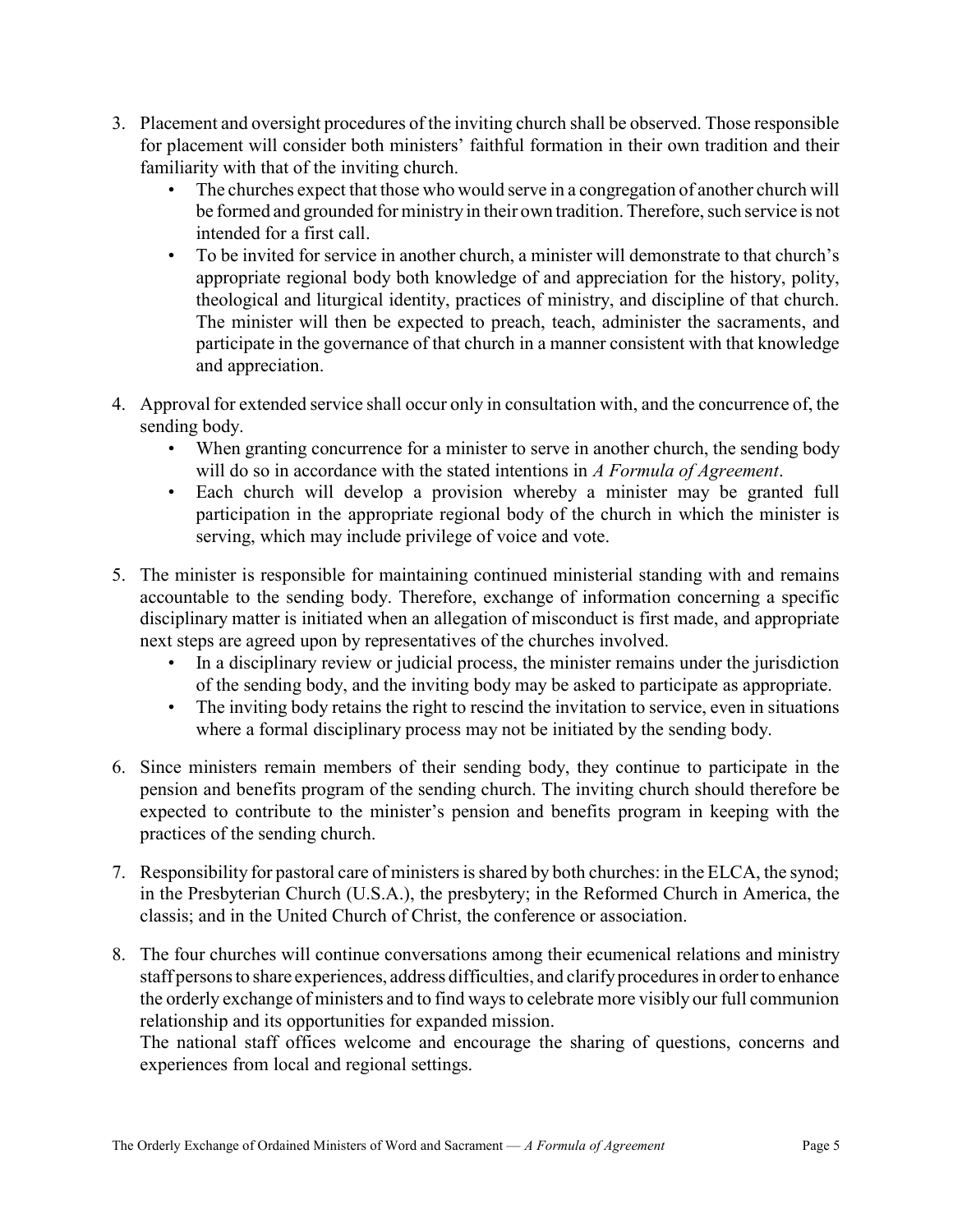- 3. Placement and oversight procedures of the inviting church shall be observed. Those responsible for placement will consider both ministers' faithful formation in their own tradition and their familiarity with that of the inviting church.
	- The churches expect that those who would serve in a congregation of another church will be formed and grounded for ministry in their own tradition. Therefore, such service is not intended for a first call.
	- To be invited for service in another church, a minister will demonstrate to that church's appropriate regional body both knowledge of and appreciation for the history, polity, theological and liturgical identity, practices of ministry, and discipline of that church. The minister will then be expected to preach, teach, administer the sacraments, and participate in the governance of that church in a manner consistent with that knowledge and appreciation.
- 4. Approval for extended service shall occur only in consultation with, and the concurrence of, the sending body.
	- When granting concurrence for a minister to serve in another church, the sending body will do so in accordance with the stated intentions in A Formula of Agreement.
	- Each church will develop a provision whereby a minister may be granted full participation in the appropriate regional body of the church in which the minister is serving, which may include privilege of voice and vote.
- 5. The minister is responsible for maintaining continued ministerial standing with and remains accountable to the sending body. Therefore, exchange of information concerning a specific disciplinary matter is initiated when an allegation of misconduct is first made, and appropriate next steps are agreed upon by representatives of the churches involved.
	- In a disciplinary review or judicial process, the minister remains under the jurisdiction of the sending body, and the inviting body may be asked to participate as appropriate.
	- The inviting body retains the right to rescind the invitation to service, even in situations where a formal disciplinary process may not be initiated by the sending body.
- 6. Since ministers remain members of their sending body, they continue to participate in the pension and benefits program of the sending church. The inviting church should therefore be expected to contribute to the minister's pension and benefits program in keeping with the practices of the sending church.
- 7. Responsibility for pastoral care of ministers is shared by both churches: in the ELCA, the synod; in the Presbyterian Church (U.S.A.), the presbytery; in the Reformed Church in America, the classis; and in the United Church of Christ, the conference or association.
- 8. The four churches will continue conversations among their ecumenical relations and ministry staff persons to share experiences, address difficulties, and clarify procedures in order to enhance the orderly exchange of ministers and to find ways to celebrate more visibly our full communion relationship and its opportunities for expanded mission.

The national staff offices welcome and encourage the sharing of questions, concerns and experiences from local and regional settings.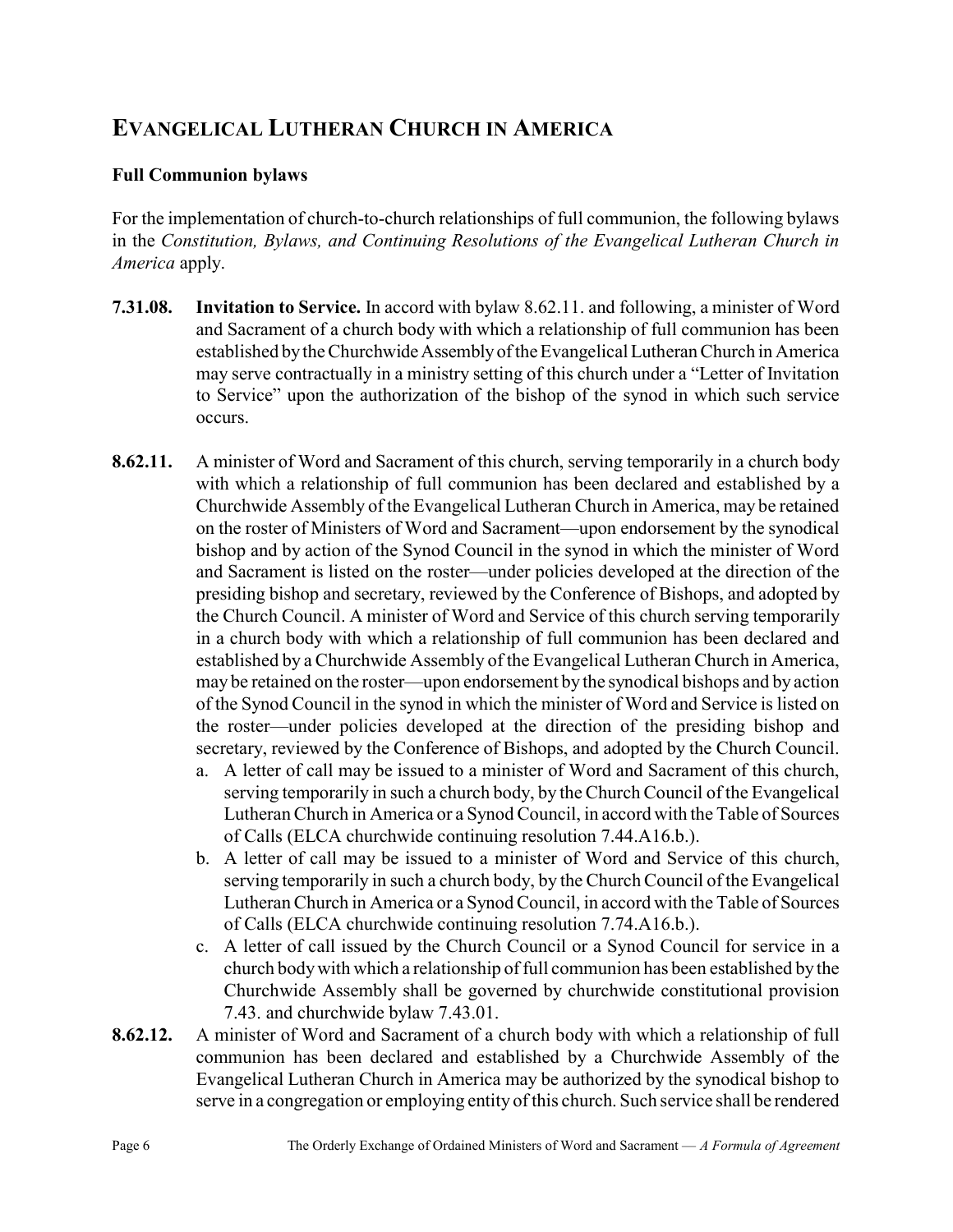# EVANGELICAL LUTHERAN CHURCH IN AMERICA

### Full Communion bylaws

For the implementation of church-to-church relationships of full communion, the following bylaws in the Constitution, Bylaws, and Continuing Resolutions of the Evangelical Lutheran Church in America apply.

- 7.31.08. Invitation to Service. In accord with bylaw 8.62.11. and following, a minister of Word and Sacrament of a church body with which a relationship of full communion has been established by the Churchwide Assembly of the Evangelical Lutheran Church in America may serve contractually in a ministry setting of this church under a "Letter of Invitation to Service" upon the authorization of the bishop of the synod in which such service occurs.
- 8.62.11. A minister of Word and Sacrament of this church, serving temporarily in a church body with which a relationship of full communion has been declared and established by a Churchwide Assembly of the Evangelical Lutheran Church in America, may be retained on the roster of Ministers of Word and Sacrament—upon endorsement by the synodical bishop and by action of the Synod Council in the synod in which the minister of Word and Sacrament is listed on the roster—under policies developed at the direction of the presiding bishop and secretary, reviewed by the Conference of Bishops, and adopted by the Church Council. A minister of Word and Service of this church serving temporarily in a church body with which a relationship of full communion has been declared and established by a Churchwide Assembly of the Evangelical Lutheran Church in America, may be retained on the roster—upon endorsement by the synodical bishops and by action of the Synod Council in the synod in which the minister of Word and Service is listed on the roster—under policies developed at the direction of the presiding bishop and secretary, reviewed by the Conference of Bishops, and adopted by the Church Council.
	- a. A letter of call may be issued to a minister of Word and Sacrament of this church, serving temporarily in such a church body, by the Church Council of the Evangelical Lutheran Church in America or a Synod Council, in accord with the Table of Sources of Calls (ELCA churchwide continuing resolution 7.44.A16.b.).
	- b. A letter of call may be issued to a minister of Word and Service of this church, serving temporarily in such a church body, by the Church Council of the Evangelical Lutheran Church in America or a Synod Council, in accord with the Table of Sources of Calls (ELCA churchwide continuing resolution 7.74.A16.b.).
	- c. A letter of call issued by the Church Council or a Synod Council for service in a church body with which a relationship of full communion has been established by the Churchwide Assembly shall be governed by churchwide constitutional provision 7.43. and churchwide bylaw 7.43.01.
- 8.62.12. A minister of Word and Sacrament of a church body with which a relationship of full communion has been declared and established by a Churchwide Assembly of the Evangelical Lutheran Church in America may be authorized by the synodical bishop to serve in a congregation or employing entity of this church. Such service shall be rendered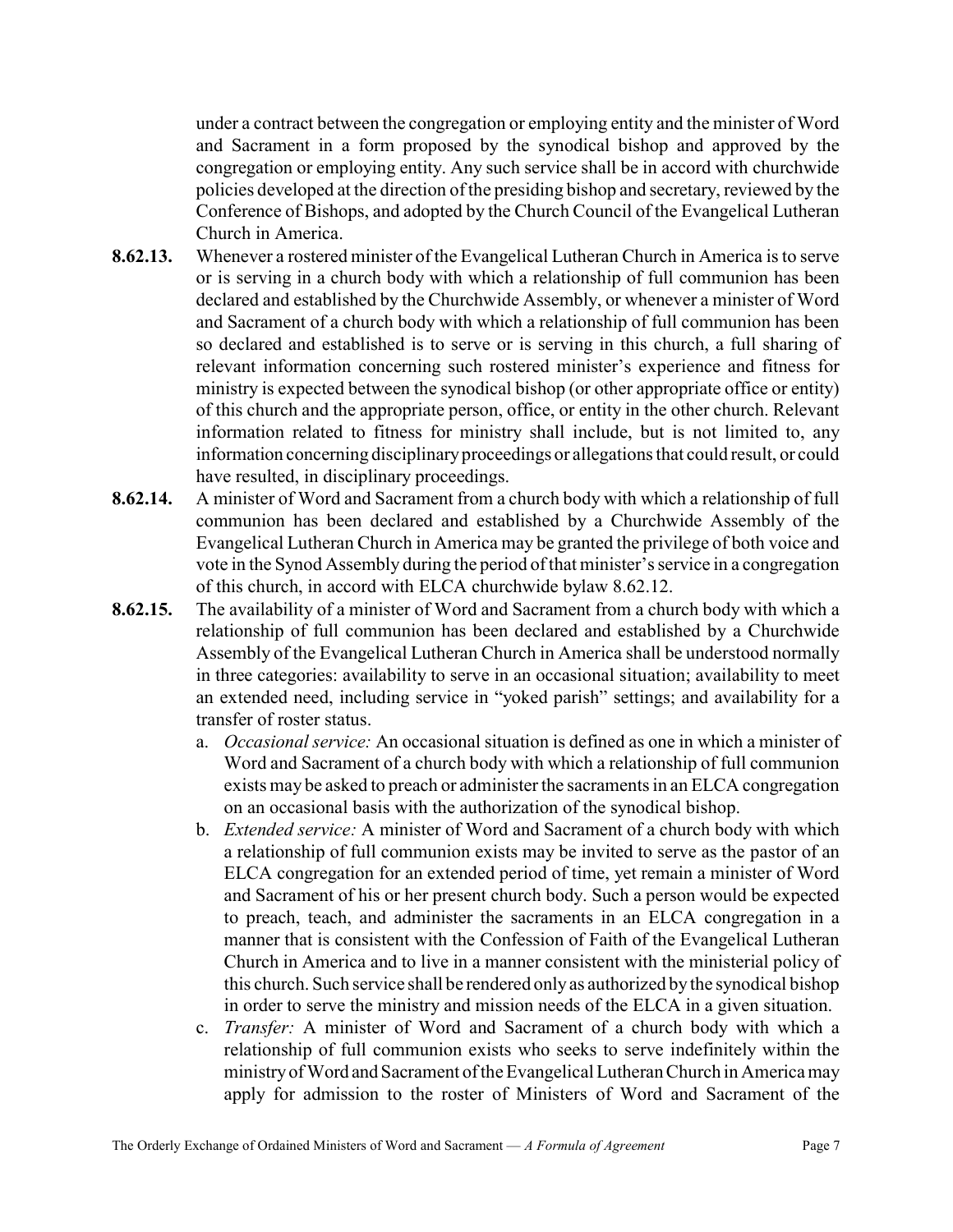under a contract between the congregation or employing entity and the minister of Word and Sacrament in a form proposed by the synodical bishop and approved by the congregation or employing entity. Any such service shall be in accord with churchwide policies developed at the direction of the presiding bishop and secretary, reviewed by the Conference of Bishops, and adopted by the Church Council of the Evangelical Lutheran Church in America.

- 8.62.13. Whenever a rostered minister of the Evangelical Lutheran Church in America is to serve or is serving in a church body with which a relationship of full communion has been declared and established by the Churchwide Assembly, or whenever a minister of Word and Sacrament of a church body with which a relationship of full communion has been so declared and established is to serve or is serving in this church, a full sharing of relevant information concerning such rostered minister's experience and fitness for ministry is expected between the synodical bishop (or other appropriate office or entity) of this church and the appropriate person, office, or entity in the other church. Relevant information related to fitness for ministry shall include, but is not limited to, any information concerning disciplinary proceedings or allegations that could result, or could have resulted, in disciplinary proceedings.
- 8.62.14. A minister of Word and Sacrament from a church body with which a relationship of full communion has been declared and established by a Churchwide Assembly of the Evangelical Lutheran Church in America may be granted the privilege of both voice and vote in the Synod Assembly during the period of that minister's service in a congregation of this church, in accord with ELCA churchwide bylaw 8.62.12.
- 8.62.15. The availability of a minister of Word and Sacrament from a church body with which a relationship of full communion has been declared and established by a Churchwide Assembly of the Evangelical Lutheran Church in America shall be understood normally in three categories: availability to serve in an occasional situation; availability to meet an extended need, including service in "yoked parish" settings; and availability for a transfer of roster status.
	- a. Occasional service: An occasional situation is defined as one in which a minister of Word and Sacrament of a church body with which a relationship of full communion exists may be asked to preach or administer the sacraments in an ELCA congregation on an occasional basis with the authorization of the synodical bishop.
	- b. Extended service: A minister of Word and Sacrament of a church body with which a relationship of full communion exists may be invited to serve as the pastor of an ELCA congregation for an extended period of time, yet remain a minister of Word and Sacrament of his or her present church body. Such a person would be expected to preach, teach, and administer the sacraments in an ELCA congregation in a manner that is consistent with the Confession of Faith of the Evangelical Lutheran Church in America and to live in a manner consistent with the ministerial policy of this church. Such service shall be rendered only as authorized by the synodical bishop in order to serve the ministry and mission needs of the ELCA in a given situation.
	- c. Transfer: A minister of Word and Sacrament of a church body with which a relationship of full communion exists who seeks to serve indefinitely within the ministry of Word and Sacrament of the Evangelical Lutheran Church in America may apply for admission to the roster of Ministers of Word and Sacrament of the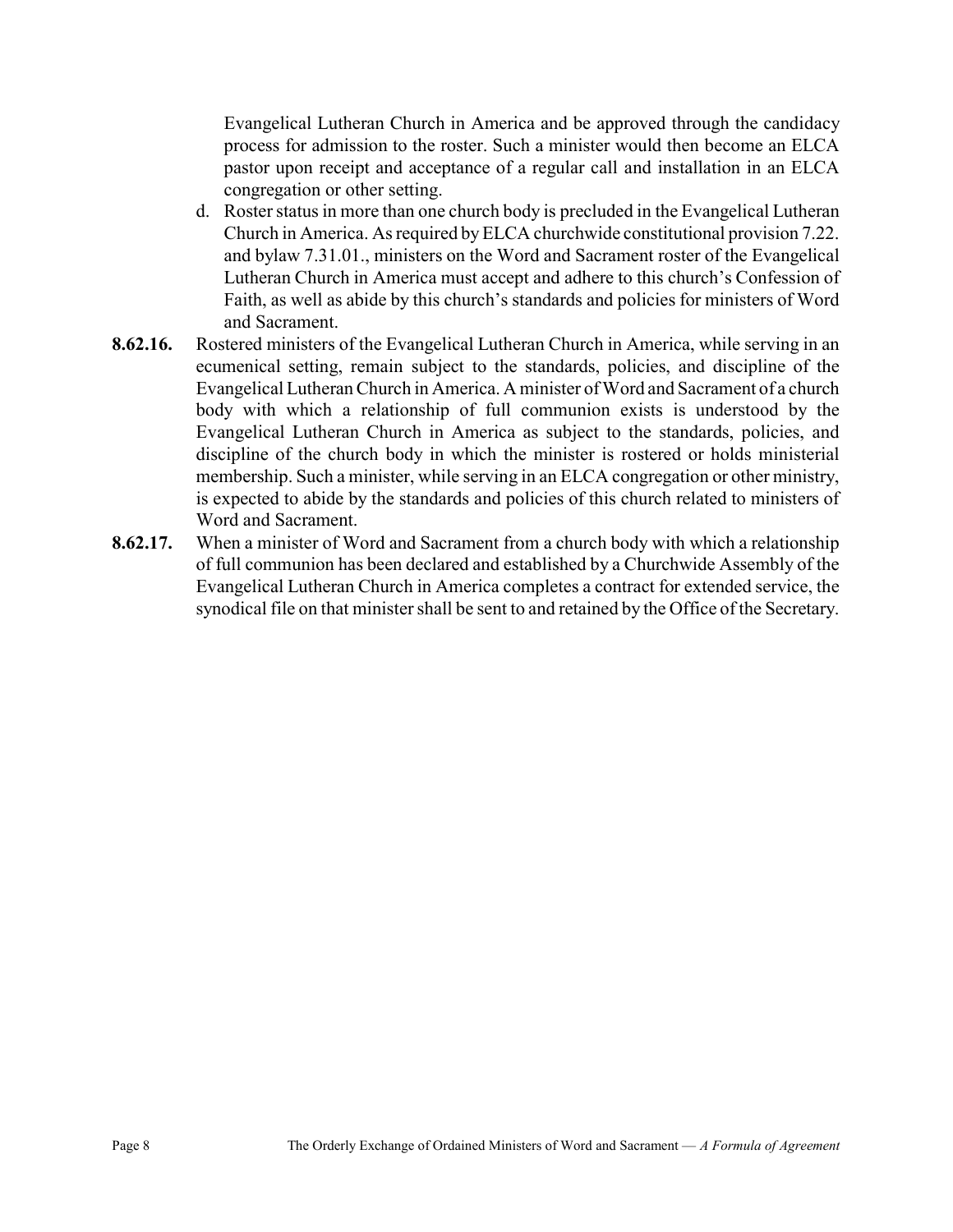Evangelical Lutheran Church in America and be approved through the candidacy process for admission to the roster. Such a minister would then become an ELCA pastor upon receipt and acceptance of a regular call and installation in an ELCA congregation or other setting.

- d. Roster status in more than one church body is precluded in the Evangelical Lutheran Church in America. As required by ELCA churchwide constitutional provision 7.22. and bylaw 7.31.01., ministers on the Word and Sacrament roster of the Evangelical Lutheran Church in America must accept and adhere to this church's Confession of Faith, as well as abide by this church's standards and policies for ministers of Word and Sacrament.
- 8.62.16. Rostered ministers of the Evangelical Lutheran Church in America, while serving in an ecumenical setting, remain subject to the standards, policies, and discipline of the Evangelical Lutheran Church in America. A minister of Word and Sacrament of a church body with which a relationship of full communion exists is understood by the Evangelical Lutheran Church in America as subject to the standards, policies, and discipline of the church body in which the minister is rostered or holds ministerial membership. Such a minister, while serving in an ELCA congregation or other ministry, is expected to abide by the standards and policies of this church related to ministers of Word and Sacrament.
- 8.62.17. When a minister of Word and Sacrament from a church body with which a relationship of full communion has been declared and established by a Churchwide Assembly of the Evangelical Lutheran Church in America completes a contract for extended service, the synodical file on that minister shall be sent to and retained by the Office of the Secretary.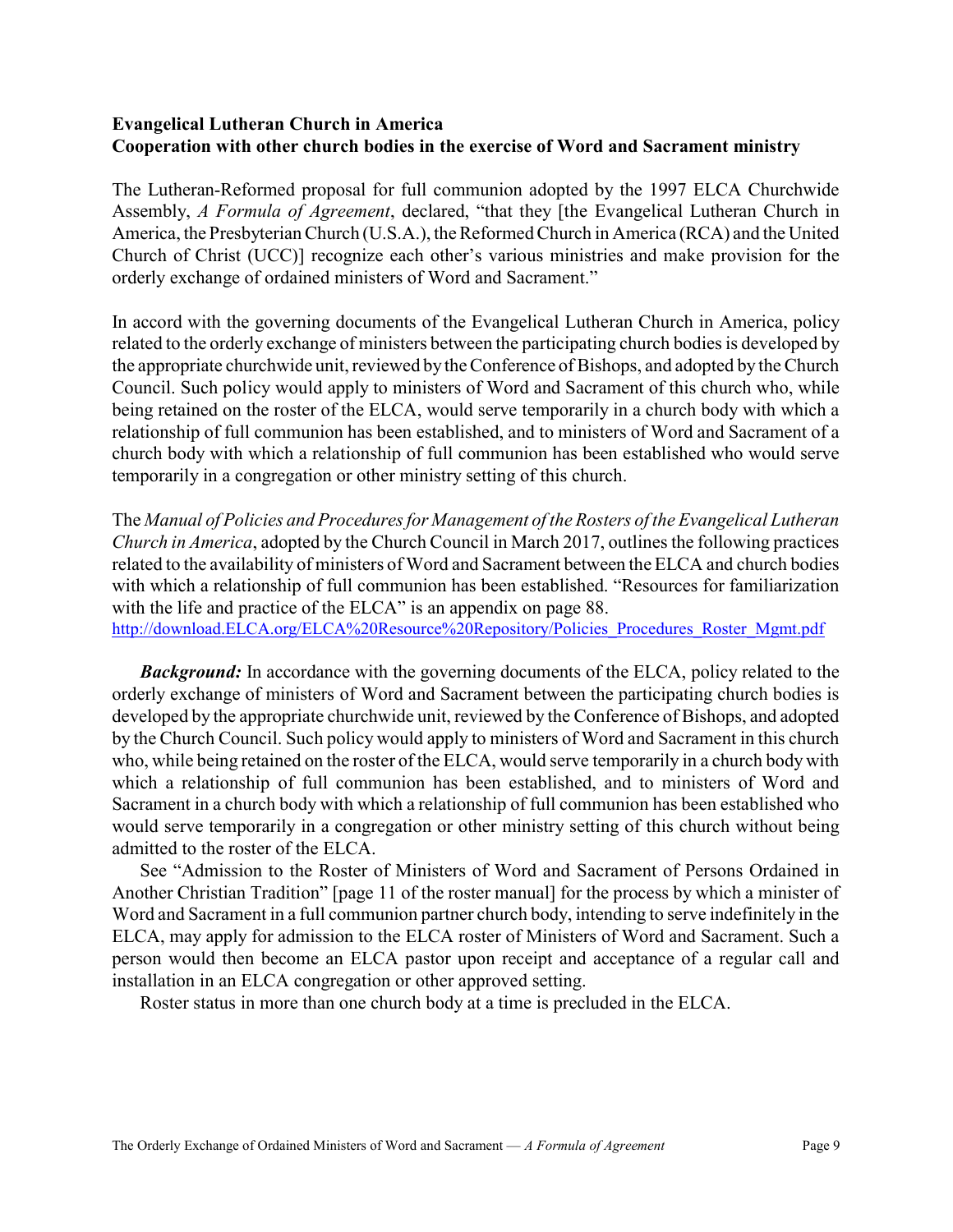### Evangelical Lutheran Church in America Cooperation with other church bodies in the exercise of Word and Sacrament ministry

The Lutheran-Reformed proposal for full communion adopted by the 1997 ELCA Churchwide Assembly, A Formula of Agreement, declared, "that they [the Evangelical Lutheran Church in America, the Presbyterian Church (U.S.A.), the Reformed Church in America (RCA) and the United Church of Christ (UCC)] recognize each other's various ministries and make provision for the orderly exchange of ordained ministers of Word and Sacrament."

In accord with the governing documents of the Evangelical Lutheran Church in America, policy related to the orderly exchange of ministers between the participating church bodies is developed by the appropriate churchwide unit, reviewed by the Conference of Bishops, and adopted by the Church Council. Such policy would apply to ministers of Word and Sacrament of this church who, while being retained on the roster of the ELCA, would serve temporarily in a church body with which a relationship of full communion has been established, and to ministers of Word and Sacrament of a church body with which a relationship of full communion has been established who would serve temporarily in a congregation or other ministry setting of this church.

The Manual of Policies and Procedures for Management of the Rosters of the Evangelical Lutheran Church in America, adopted by the Church Council in March 2017, outlines the following practices related to the availability of ministers of Word and Sacrament between the ELCA and church bodies with which a relationship of full communion has been established. "Resources for familiarization with the life and practice of the ELCA" is an appendix on page 88.

http://download.ELCA.org/ELCA%20Resource%20Repository/Policies\_Procedures\_Roster\_Mgmt.pdf

**Background:** In accordance with the governing documents of the ELCA, policy related to the orderly exchange of ministers of Word and Sacrament between the participating church bodies is developed by the appropriate churchwide unit, reviewed by the Conference of Bishops, and adopted by the Church Council. Such policy would apply to ministers of Word and Sacrament in this church who, while being retained on the roster of the ELCA, would serve temporarily in a church body with which a relationship of full communion has been established, and to ministers of Word and Sacrament in a church body with which a relationship of full communion has been established who would serve temporarily in a congregation or other ministry setting of this church without being admitted to the roster of the ELCA.

See "Admission to the Roster of Ministers of Word and Sacrament of Persons Ordained in Another Christian Tradition" [page 11 of the roster manual] for the process by which a minister of Word and Sacrament in a full communion partner church body, intending to serve indefinitely in the ELCA, may apply for admission to the ELCA roster of Ministers of Word and Sacrament. Such a person would then become an ELCA pastor upon receipt and acceptance of a regular call and installation in an ELCA congregation or other approved setting.

Roster status in more than one church body at a time is precluded in the ELCA.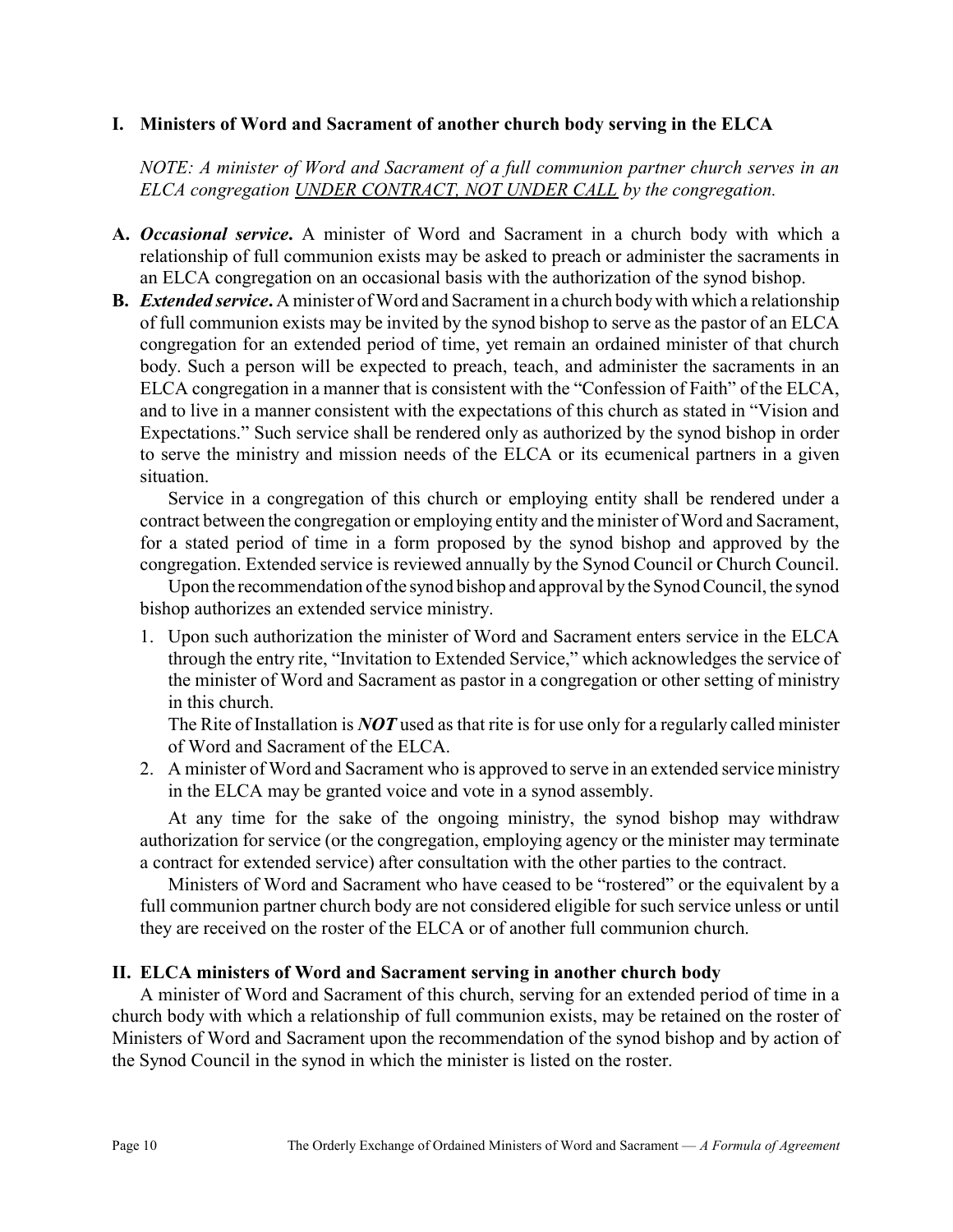### I. Ministers of Word and Sacrament of another church body serving in the ELCA

NOTE: A minister of Word and Sacrament of a full communion partner church serves in an ELCA congregation UNDER CONTRACT, NOT UNDER CALL by the congregation.

- A. Occasional service. A minister of Word and Sacrament in a church body with which a relationship of full communion exists may be asked to preach or administer the sacraments in an ELCA congregation on an occasional basis with the authorization of the synod bishop.
- **B.** *Extended service.* A minister of Word and Sacrament in a church body with which a relationship of full communion exists may be invited by the synod bishop to serve as the pastor of an ELCA congregation for an extended period of time, yet remain an ordained minister of that church body. Such a person will be expected to preach, teach, and administer the sacraments in an ELCA congregation in a manner that is consistent with the "Confession of Faith" of the ELCA, and to live in a manner consistent with the expectations of this church as stated in "Vision and Expectations." Such service shall be rendered only as authorized by the synod bishop in order to serve the ministry and mission needs of the ELCA or its ecumenical partners in a given situation.

Service in a congregation of this church or employing entity shall be rendered under a contract between the congregation or employing entity and the minister of Word and Sacrament, for a stated period of time in a form proposed by the synod bishop and approved by the congregation. Extended service is reviewed annually by the Synod Council or Church Council.

Upon the recommendation of the synod bishop and approval by the Synod Council, the synod bishop authorizes an extended service ministry.

1. Upon such authorization the minister of Word and Sacrament enters service in the ELCA through the entry rite, "Invitation to Extended Service," which acknowledges the service of the minister of Word and Sacrament as pastor in a congregation or other setting of ministry in this church.

The Rite of Installation is  $NOT$  used as that rite is for use only for a regularly called minister of Word and Sacrament of the ELCA.

2. A minister of Word and Sacrament who is approved to serve in an extended service ministry in the ELCA may be granted voice and vote in a synod assembly.

At any time for the sake of the ongoing ministry, the synod bishop may withdraw authorization for service (or the congregation, employing agency or the minister may terminate a contract for extended service) after consultation with the other parties to the contract.

Ministers of Word and Sacrament who have ceased to be "rostered" or the equivalent by a full communion partner church body are not considered eligible for such service unless or until they are received on the roster of the ELCA or of another full communion church.

### II. ELCA ministers of Word and Sacrament serving in another church body

A minister of Word and Sacrament of this church, serving for an extended period of time in a church body with which a relationship of full communion exists, may be retained on the roster of Ministers of Word and Sacrament upon the recommendation of the synod bishop and by action of the Synod Council in the synod in which the minister is listed on the roster.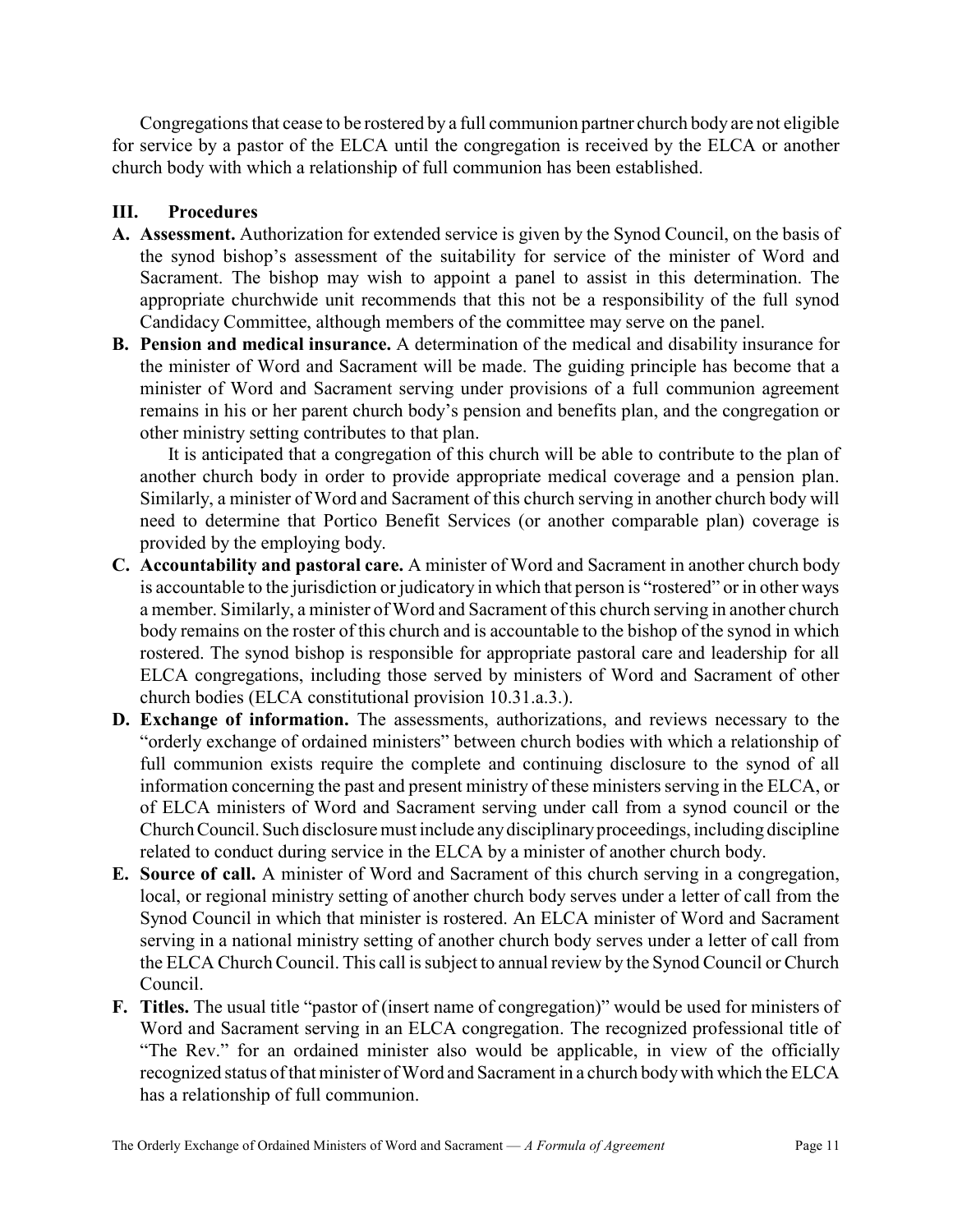Congregations that cease to be rostered by a full communion partner church body are not eligible for service by a pastor of the ELCA until the congregation is received by the ELCA or another church body with which a relationship of full communion has been established.

### III. Procedures

- A. Assessment. Authorization for extended service is given by the Synod Council, on the basis of the synod bishop's assessment of the suitability for service of the minister of Word and Sacrament. The bishop may wish to appoint a panel to assist in this determination. The appropriate churchwide unit recommends that this not be a responsibility of the full synod Candidacy Committee, although members of the committee may serve on the panel.
- B. Pension and medical insurance. A determination of the medical and disability insurance for the minister of Word and Sacrament will be made. The guiding principle has become that a minister of Word and Sacrament serving under provisions of a full communion agreement remains in his or her parent church body's pension and benefits plan, and the congregation or other ministry setting contributes to that plan.

It is anticipated that a congregation of this church will be able to contribute to the plan of another church body in order to provide appropriate medical coverage and a pension plan. Similarly, a minister of Word and Sacrament of this church serving in another church body will need to determine that Portico Benefit Services (or another comparable plan) coverage is provided by the employing body.

- C. Accountability and pastoral care. A minister of Word and Sacrament in another church body is accountable to the jurisdiction or judicatory in which that person is "rostered" or in other ways a member. Similarly, a minister of Word and Sacrament of this church serving in another church body remains on the roster of this church and is accountable to the bishop of the synod in which rostered. The synod bishop is responsible for appropriate pastoral care and leadership for all ELCA congregations, including those served by ministers of Word and Sacrament of other church bodies (ELCA constitutional provision 10.31.a.3.).
- D. Exchange of information. The assessments, authorizations, and reviews necessary to the "orderly exchange of ordained ministers" between church bodies with which a relationship of full communion exists require the complete and continuing disclosure to the synod of all information concerning the past and present ministry of these ministers serving in the ELCA, or of ELCA ministers of Word and Sacrament serving under call from a synod council or the Church Council. Such disclosure must include any disciplinary proceedings, including discipline related to conduct during service in the ELCA by a minister of another church body.
- E. Source of call. A minister of Word and Sacrament of this church serving in a congregation, local, or regional ministry setting of another church body serves under a letter of call from the Synod Council in which that minister is rostered. An ELCA minister of Word and Sacrament serving in a national ministry setting of another church body serves under a letter of call from the ELCA Church Council. This call is subject to annual review by the Synod Council or Church Council.
- F. Titles. The usual title "pastor of (insert name of congregation)" would be used for ministers of Word and Sacrament serving in an ELCA congregation. The recognized professional title of "The Rev." for an ordained minister also would be applicable, in view of the officially recognized status of that minister of Word and Sacrament in a church body with which the ELCA has a relationship of full communion.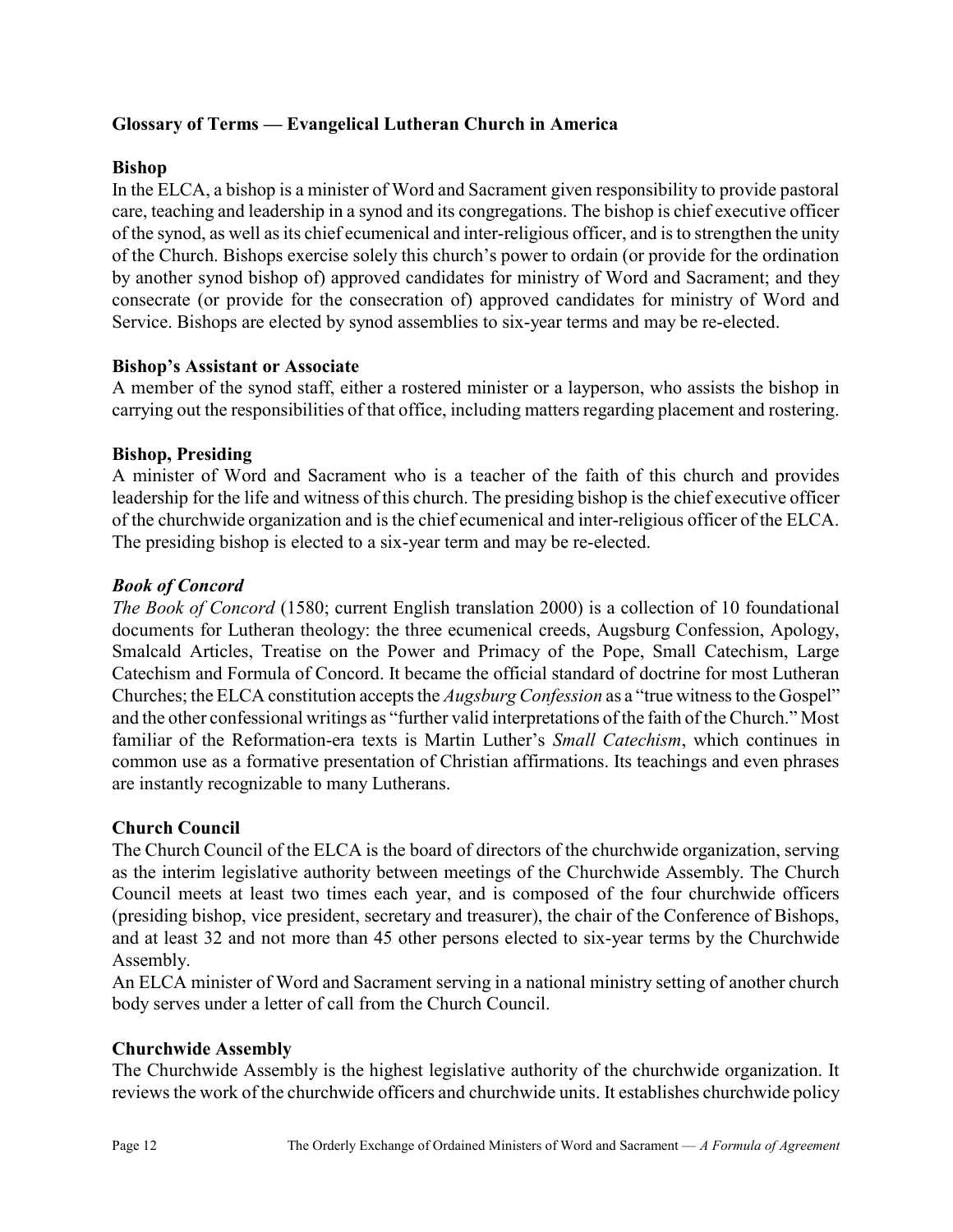### Glossary of Terms — Evangelical Lutheran Church in America

### Bishop

In the ELCA, a bishop is a minister of Word and Sacrament given responsibility to provide pastoral care, teaching and leadership in a synod and its congregations. The bishop is chief executive officer of the synod, as well as its chief ecumenical and inter-religious officer, and is to strengthen the unity of the Church. Bishops exercise solely this church's power to ordain (or provide for the ordination by another synod bishop of) approved candidates for ministry of Word and Sacrament; and they consecrate (or provide for the consecration of) approved candidates for ministry of Word and Service. Bishops are elected by synod assemblies to six-year terms and may be re-elected.

### Bishop's Assistant or Associate

A member of the synod staff, either a rostered minister or a layperson, who assists the bishop in carrying out the responsibilities of that office, including matters regarding placement and rostering.

### Bishop, Presiding

A minister of Word and Sacrament who is a teacher of the faith of this church and provides leadership for the life and witness of this church. The presiding bishop is the chief executive officer of the churchwide organization and is the chief ecumenical and inter-religious officer of the ELCA. The presiding bishop is elected to a six-year term and may be re-elected.

### Book of Concord

The Book of Concord (1580; current English translation 2000) is a collection of 10 foundational documents for Lutheran theology: the three ecumenical creeds, Augsburg Confession, Apology, Smalcald Articles, Treatise on the Power and Primacy of the Pope, Small Catechism, Large Catechism and Formula of Concord. It became the official standard of doctrine for most Lutheran Churches; the ELCA constitution accepts the Augsburg Confession as a "true witness to the Gospel" and the other confessional writings as "further valid interpretations of the faith of the Church." Most familiar of the Reformation-era texts is Martin Luther's *Small Catechism*, which continues in common use as a formative presentation of Christian affirmations. Its teachings and even phrases are instantly recognizable to many Lutherans.

### Church Council

The Church Council of the ELCA is the board of directors of the churchwide organization, serving as the interim legislative authority between meetings of the Churchwide Assembly. The Church Council meets at least two times each year, and is composed of the four churchwide officers (presiding bishop, vice president, secretary and treasurer), the chair of the Conference of Bishops, and at least 32 and not more than 45 other persons elected to six-year terms by the Churchwide Assembly.

An ELCA minister of Word and Sacrament serving in a national ministry setting of another church body serves under a letter of call from the Church Council.

### Churchwide Assembly

The Churchwide Assembly is the highest legislative authority of the churchwide organization. It reviews the work of the churchwide officers and churchwide units. It establishes churchwide policy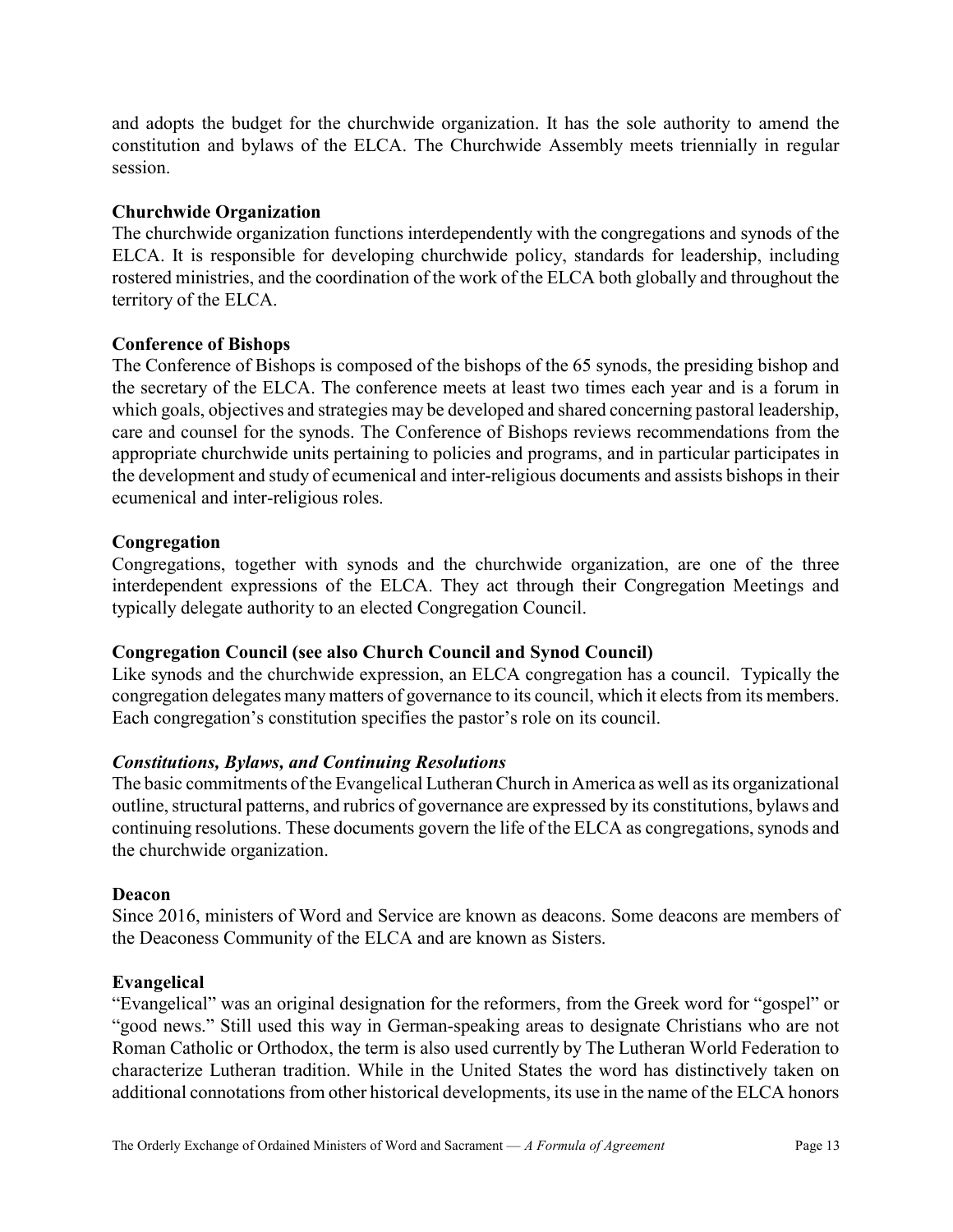and adopts the budget for the churchwide organization. It has the sole authority to amend the constitution and bylaws of the ELCA. The Churchwide Assembly meets triennially in regular session.

### Churchwide Organization

The churchwide organization functions interdependently with the congregations and synods of the ELCA. It is responsible for developing churchwide policy, standards for leadership, including rostered ministries, and the coordination of the work of the ELCA both globally and throughout the territory of the ELCA.

### Conference of Bishops

The Conference of Bishops is composed of the bishops of the 65 synods, the presiding bishop and the secretary of the ELCA. The conference meets at least two times each year and is a forum in which goals, objectives and strategies may be developed and shared concerning pastoral leadership, care and counsel for the synods. The Conference of Bishops reviews recommendations from the appropriate churchwide units pertaining to policies and programs, and in particular participates in the development and study of ecumenical and inter-religious documents and assists bishops in their ecumenical and inter-religious roles.

### Congregation

Congregations, together with synods and the churchwide organization, are one of the three interdependent expressions of the ELCA. They act through their Congregation Meetings and typically delegate authority to an elected Congregation Council.

### Congregation Council (see also Church Council and Synod Council)

Like synods and the churchwide expression, an ELCA congregation has a council. Typically the congregation delegates many matters of governance to its council, which it elects from its members. Each congregation's constitution specifies the pastor's role on its council.

### Constitutions, Bylaws, and Continuing Resolutions

The basic commitments of the Evangelical Lutheran Church in America as well as its organizational outline, structural patterns, and rubrics of governance are expressed by its constitutions, bylaws and continuing resolutions. These documents govern the life of the ELCA as congregations, synods and the churchwide organization.

### Deacon

Since 2016, ministers of Word and Service are known as deacons. Some deacons are members of the Deaconess Community of the ELCA and are known as Sisters.

### Evangelical

"Evangelical" was an original designation for the reformers, from the Greek word for "gospel" or "good news." Still used this way in German-speaking areas to designate Christians who are not Roman Catholic or Orthodox, the term is also used currently by The Lutheran World Federation to characterize Lutheran tradition. While in the United States the word has distinctively taken on additional connotations from other historical developments, its use in the name of the ELCA honors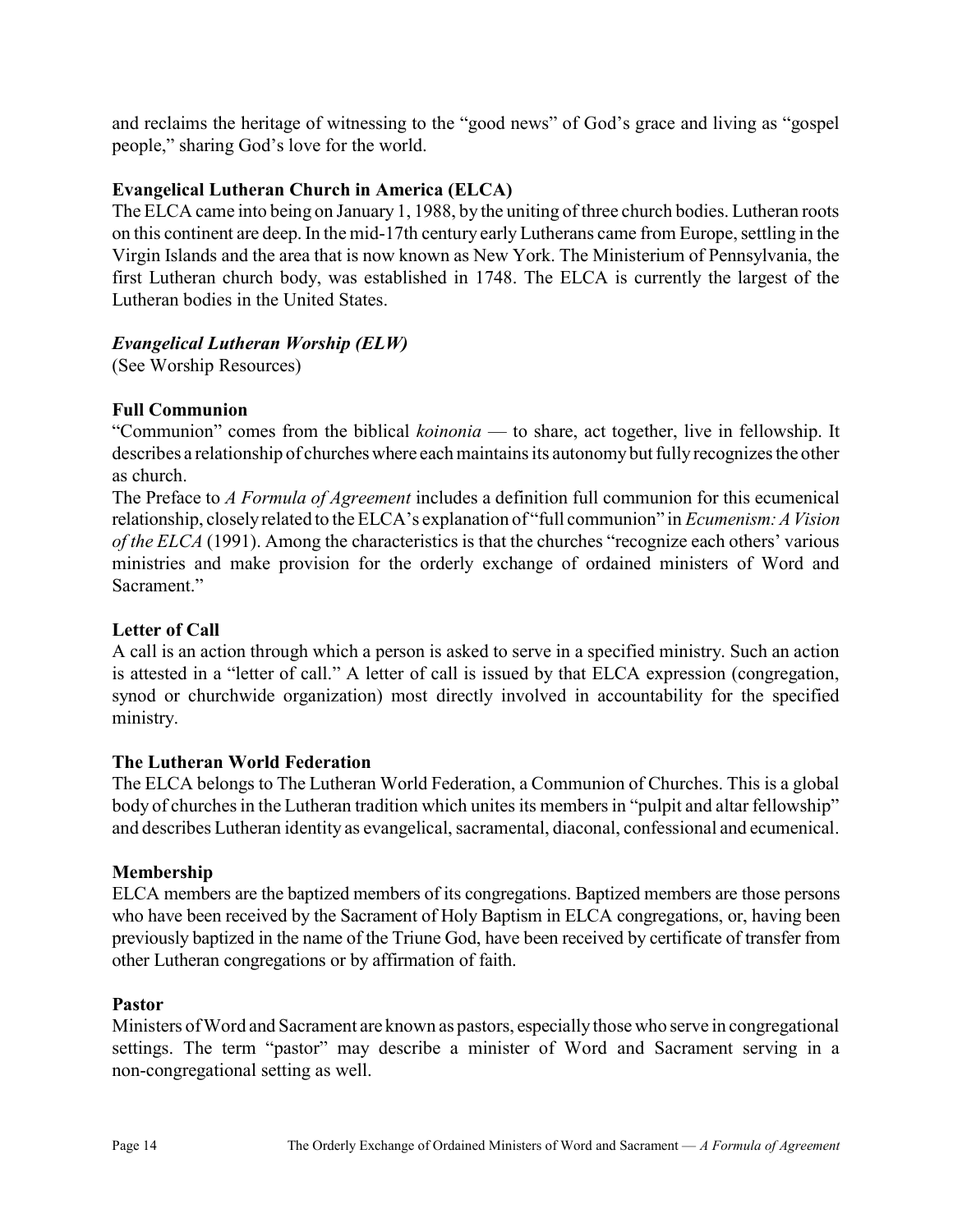and reclaims the heritage of witnessing to the "good news" of God's grace and living as "gospel people," sharing God's love for the world.

### Evangelical Lutheran Church in America (ELCA)

The ELCA came into being on January 1, 1988, by the uniting of three church bodies. Lutheran roots on this continent are deep. In the mid-17th century early Lutherans came from Europe, settling in the Virgin Islands and the area that is now known as New York. The Ministerium of Pennsylvania, the first Lutheran church body, was established in 1748. The ELCA is currently the largest of the Lutheran bodies in the United States.

### Evangelical Lutheran Worship (ELW)

(See Worship Resources)

### Full Communion

"Communion" comes from the biblical *koinonia* — to share, act together, live in fellowship. It describes a relationship of churches where each maintains its autonomy but fully recognizes the other as church.

The Preface to A Formula of Agreement includes a definition full communion for this ecumenical relationship, closely related to the ELCA's explanation of "full communion" in Ecumenism: A Vision of the ELCA (1991). Among the characteristics is that the churches "recognize each others' various ministries and make provision for the orderly exchange of ordained ministers of Word and Sacrament."

### Letter of Call

A call is an action through which a person is asked to serve in a specified ministry. Such an action is attested in a "letter of call." A letter of call is issued by that ELCA expression (congregation, synod or churchwide organization) most directly involved in accountability for the specified ministry.

### The Lutheran World Federation

The ELCA belongs to The Lutheran World Federation, a Communion of Churches. This is a global body of churches in the Lutheran tradition which unites its members in "pulpit and altar fellowship" and describes Lutheran identity as evangelical, sacramental, diaconal, confessional and ecumenical.

### Membership

ELCA members are the baptized members of its congregations. Baptized members are those persons who have been received by the Sacrament of Holy Baptism in ELCA congregations, or, having been previously baptized in the name of the Triune God, have been received by certificate of transfer from other Lutheran congregations or by affirmation of faith.

### Pastor

Ministers of Word and Sacrament are known as pastors, especially those who serve in congregational settings. The term "pastor" may describe a minister of Word and Sacrament serving in a non-congregational setting as well.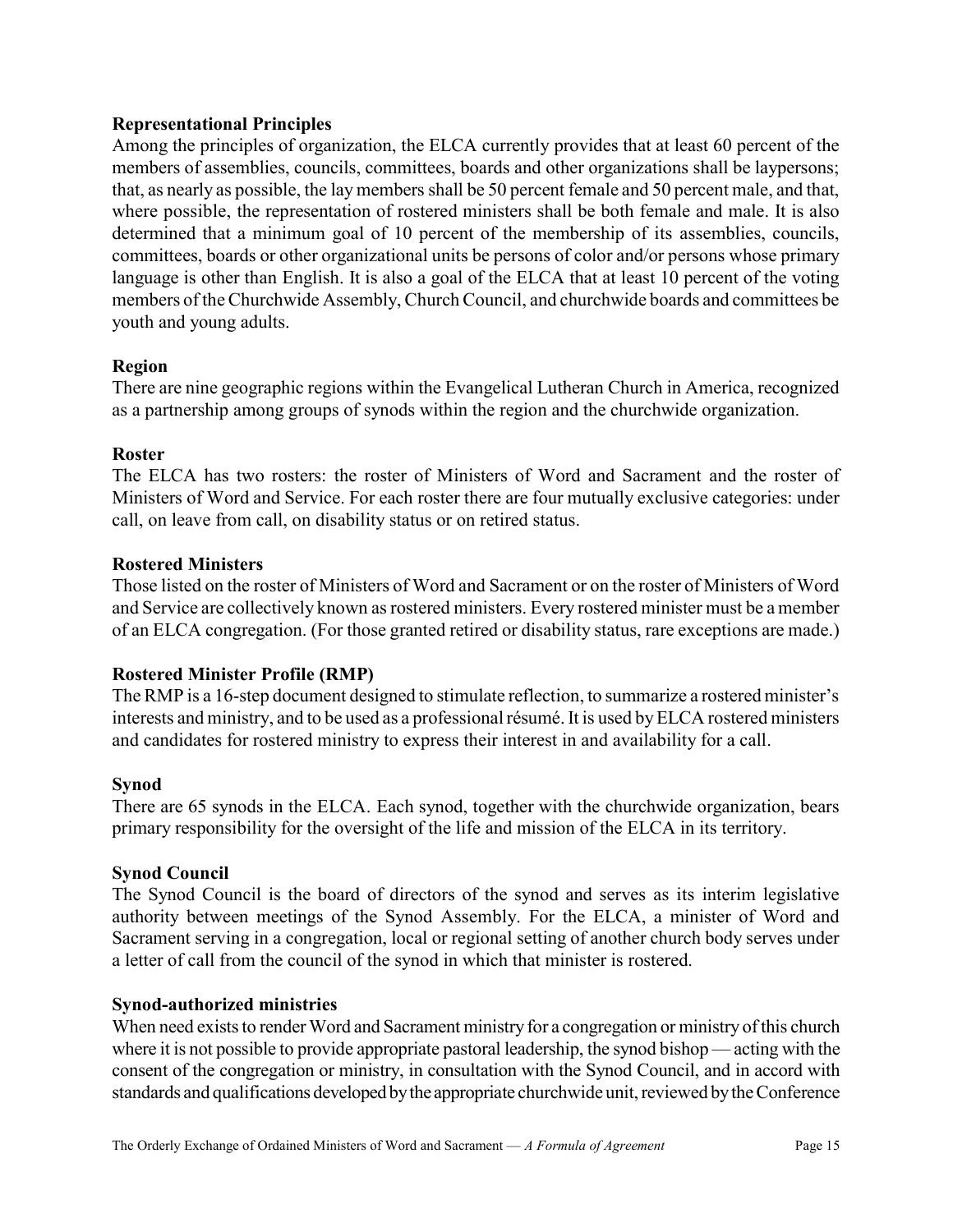### Representational Principles

Among the principles of organization, the ELCA currently provides that at least 60 percent of the members of assemblies, councils, committees, boards and other organizations shall be laypersons; that, as nearly as possible, the lay members shall be 50 percent female and 50 percent male, and that, where possible, the representation of rostered ministers shall be both female and male. It is also determined that a minimum goal of 10 percent of the membership of its assemblies, councils, committees, boards or other organizational units be persons of color and/or persons whose primary language is other than English. It is also a goal of the ELCA that at least 10 percent of the voting members of the Churchwide Assembly, Church Council, and churchwide boards and committees be youth and young adults.

#### Region

There are nine geographic regions within the Evangelical Lutheran Church in America, recognized as a partnership among groups of synods within the region and the churchwide organization.

#### Roster

The ELCA has two rosters: the roster of Ministers of Word and Sacrament and the roster of Ministers of Word and Service. For each roster there are four mutually exclusive categories: under call, on leave from call, on disability status or on retired status.

#### Rostered Ministers

Those listed on the roster of Ministers of Word and Sacrament or on the roster of Ministers of Word and Service are collectively known as rostered ministers. Every rostered minister must be a member of an ELCA congregation. (For those granted retired or disability status, rare exceptions are made.)

### Rostered Minister Profile (RMP)

The RMP is a 16-step document designed to stimulate reflection, to summarize a rostered minister's interests and ministry, and to be used as a professional résumé. It is used by ELCA rostered ministers and candidates for rostered ministry to express their interest in and availability for a call.

#### Synod

There are 65 synods in the ELCA. Each synod, together with the churchwide organization, bears primary responsibility for the oversight of the life and mission of the ELCA in its territory.

#### Synod Council

The Synod Council is the board of directors of the synod and serves as its interim legislative authority between meetings of the Synod Assembly. For the ELCA, a minister of Word and Sacrament serving in a congregation, local or regional setting of another church body serves under a letter of call from the council of the synod in which that minister is rostered.

#### Synod-authorized ministries

When need exists to render Word and Sacrament ministry for a congregation or ministry of this church where it is not possible to provide appropriate pastoral leadership, the synod bishop — acting with the consent of the congregation or ministry, in consultation with the Synod Council, and in accord with standards and qualifications developed by the appropriate churchwide unit, reviewed by the Conference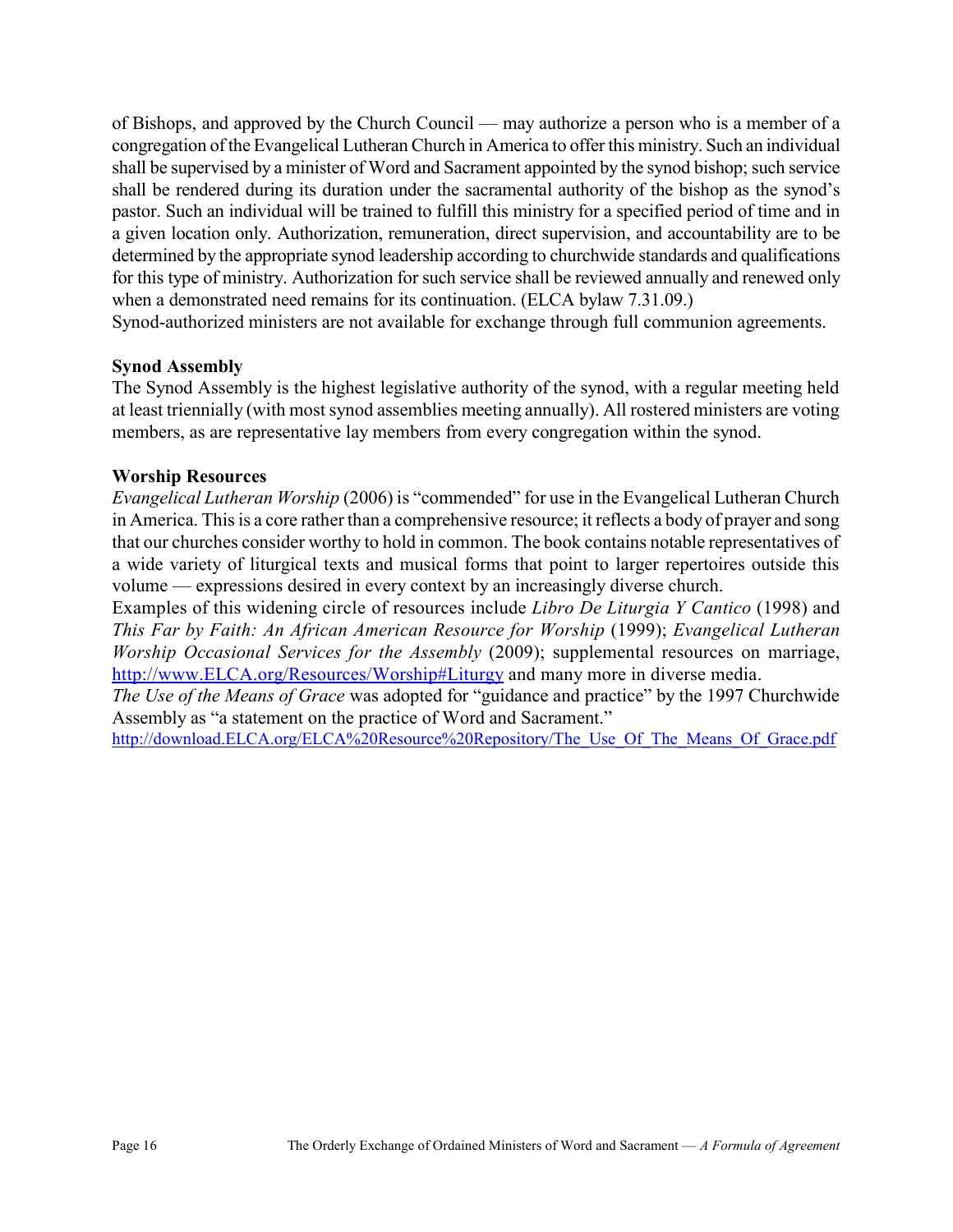of Bishops, and approved by the Church Council — may authorize a person who is a member of a congregation of the Evangelical Lutheran Church in America to offer this ministry. Such an individual shall be supervised by a minister of Word and Sacrament appointed by the synod bishop; such service shall be rendered during its duration under the sacramental authority of the bishop as the synod's pastor. Such an individual will be trained to fulfill this ministry for a specified period of time and in a given location only. Authorization, remuneration, direct supervision, and accountability are to be determined by the appropriate synod leadership according to churchwide standards and qualifications for this type of ministry. Authorization for such service shall be reviewed annually and renewed only when a demonstrated need remains for its continuation. (ELCA bylaw 7.31.09.)

Synod-authorized ministers are not available for exchange through full communion agreements.

### Synod Assembly

The Synod Assembly is the highest legislative authority of the synod, with a regular meeting held at least triennially (with most synod assemblies meeting annually). All rostered ministers are voting members, as are representative lay members from every congregation within the synod.

### Worship Resources

Evangelical Lutheran Worship (2006) is "commended" for use in the Evangelical Lutheran Church in America. This is a core rather than a comprehensive resource; it reflects a body of prayer and song that our churches consider worthy to hold in common. The book contains notable representatives of a wide variety of liturgical texts and musical forms that point to larger repertoires outside this volume — expressions desired in every context by an increasingly diverse church.

Examples of this widening circle of resources include Libro De Liturgia Y Cantico (1998) and This Far by Faith: An African American Resource for Worship (1999); Evangelical Lutheran Worship Occasional Services for the Assembly (2009); supplemental resources on marriage, http://www.ELCA.org/Resources/Worship#Liturgy and many more in diverse media.

The Use of the Means of Grace was adopted for "guidance and practice" by the 1997 Churchwide Assembly as "a statement on the practice of Word and Sacrament."

http://download.ELCA.org/ELCA%20Resource%20Repository/The Use Of The Means Of Grace.pdf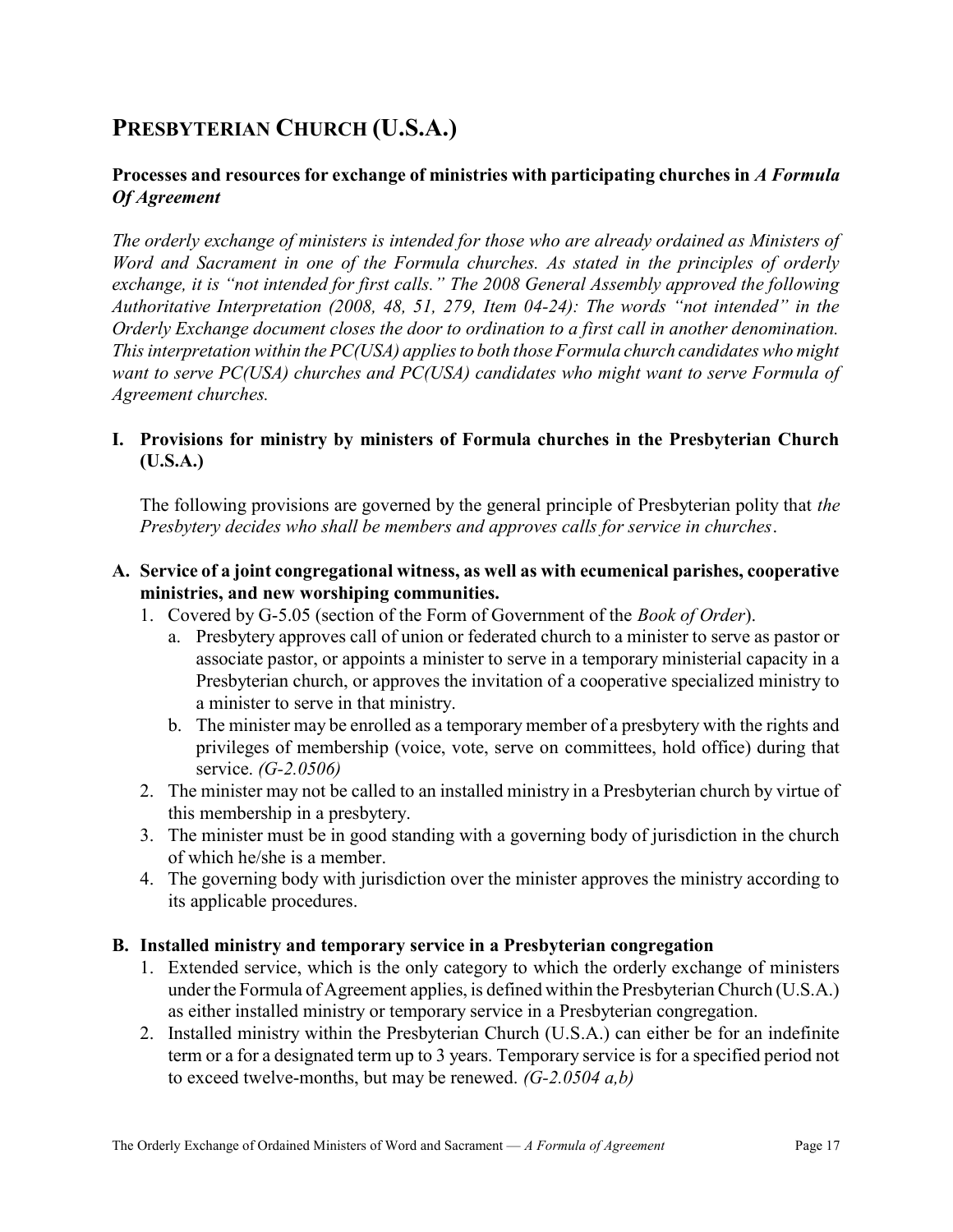# PRESBYTERIAN CHURCH (U.S.A.)

### Processes and resources for exchange of ministries with participating churches in A Formula Of Agreement

The orderly exchange of ministers is intended for those who are already ordained as Ministers of Word and Sacrament in one of the Formula churches. As stated in the principles of orderly exchange, it is "not intended for first calls." The 2008 General Assembly approved the following Authoritative Interpretation (2008, 48, 51, 279, Item 04-24): The words "not intended" in the Orderly Exchange document closes the door to ordination to a first call in another denomination. This interpretation within the PC(USA) applies to both those Formula church candidates who might want to serve PC(USA) churches and PC(USA) candidates who might want to serve Formula of Agreement churches.

### I. Provisions for ministry by ministers of Formula churches in the Presbyterian Church (U.S.A.)

The following provisions are governed by the general principle of Presbyterian polity that the Presbytery decides who shall be members and approves calls for service in churches.

### A. Service of a joint congregational witness, as well as with ecumenical parishes, cooperative ministries, and new worshiping communities.

- 1. Covered by G-5.05 (section of the Form of Government of the Book of Order).
	- a. Presbytery approves call of union or federated church to a minister to serve as pastor or associate pastor, or appoints a minister to serve in a temporary ministerial capacity in a Presbyterian church, or approves the invitation of a cooperative specialized ministry to a minister to serve in that ministry.
	- b. The minister may be enrolled as a temporary member of a presbytery with the rights and privileges of membership (voice, vote, serve on committees, hold office) during that service. (G-2.0506)
- 2. The minister may not be called to an installed ministry in a Presbyterian church by virtue of this membership in a presbytery.
- 3. The minister must be in good standing with a governing body of jurisdiction in the church of which he/she is a member.
- 4. The governing body with jurisdiction over the minister approves the ministry according to its applicable procedures.

### B. Installed ministry and temporary service in a Presbyterian congregation

- 1. Extended service, which is the only category to which the orderly exchange of ministers under the Formula of Agreement applies, is defined within the Presbyterian Church (U.S.A.) as either installed ministry or temporary service in a Presbyterian congregation.
- 2. Installed ministry within the Presbyterian Church (U.S.A.) can either be for an indefinite term or a for a designated term up to 3 years. Temporary service is for a specified period not to exceed twelve-months, but may be renewed.  $(G-2.0504 a, b)$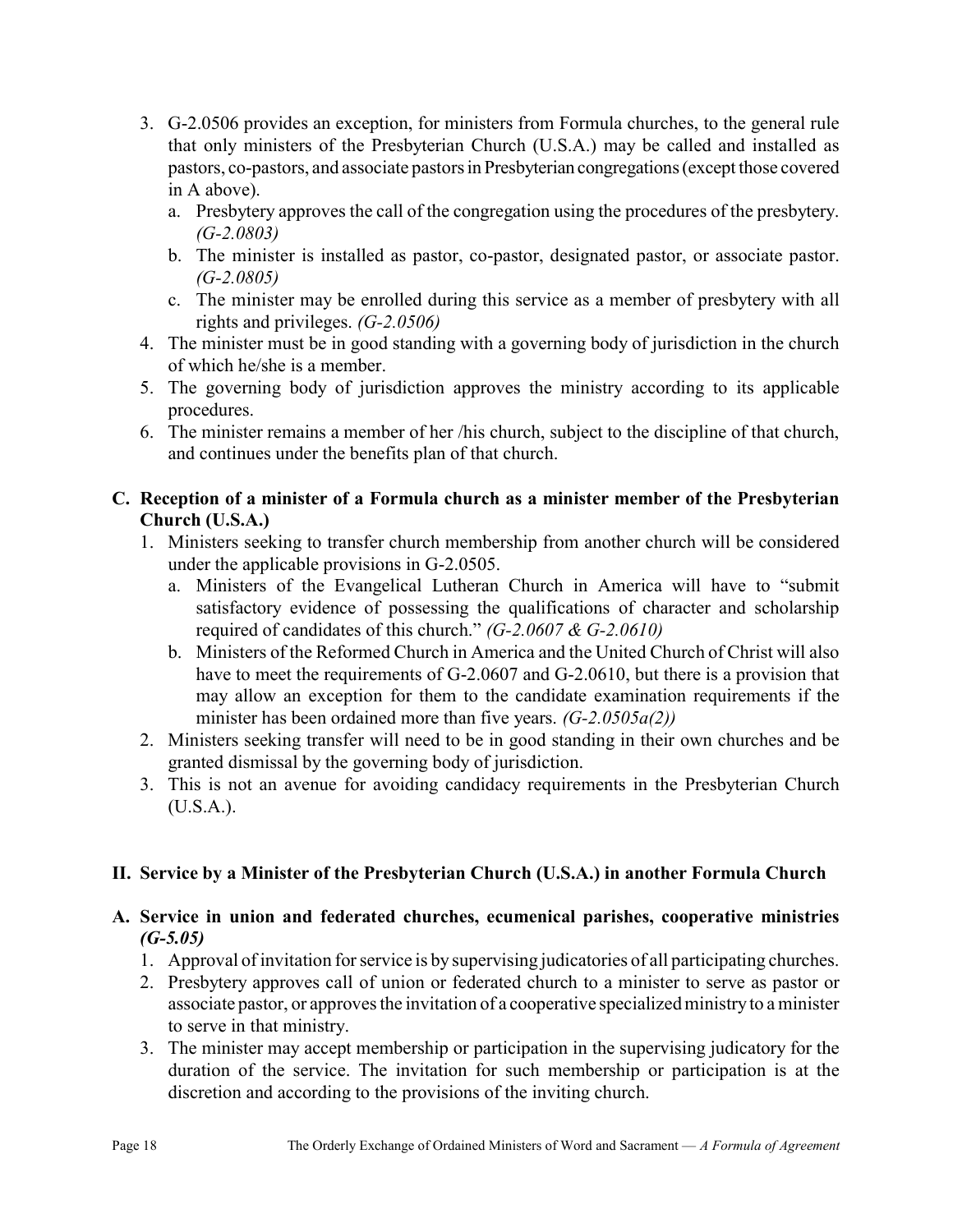- 3. G-2.0506 provides an exception, for ministers from Formula churches, to the general rule that only ministers of the Presbyterian Church (U.S.A.) may be called and installed as pastors, co-pastors, and associate pastors in Presbyterian congregations (except those covered in A above).
	- a. Presbytery approves the call of the congregation using the procedures of the presbytery.  $(G-2.0803)$
	- b. The minister is installed as pastor, co-pastor, designated pastor, or associate pastor.  $(G-2.0805)$
	- c. The minister may be enrolled during this service as a member of presbytery with all rights and privileges. (G-2.0506)
- 4. The minister must be in good standing with a governing body of jurisdiction in the church of which he/she is a member.
- 5. The governing body of jurisdiction approves the ministry according to its applicable procedures.
- 6. The minister remains a member of her /his church, subject to the discipline of that church, and continues under the benefits plan of that church.

### C. Reception of a minister of a Formula church as a minister member of the Presbyterian Church (U.S.A.)

- 1. Ministers seeking to transfer church membership from another church will be considered under the applicable provisions in G-2.0505.
	- a. Ministers of the Evangelical Lutheran Church in America will have to "submit satisfactory evidence of possessing the qualifications of character and scholarship required of candidates of this church."  $(G-2.0607 \& G-2.0610)$
	- b. Ministers of the Reformed Church in America and the United Church of Christ will also have to meet the requirements of G-2.0607 and G-2.0610, but there is a provision that may allow an exception for them to the candidate examination requirements if the minister has been ordained more than five years.  $(G-2.0505a(2))$
- 2. Ministers seeking transfer will need to be in good standing in their own churches and be granted dismissal by the governing body of jurisdiction.
- 3. This is not an avenue for avoiding candidacy requirements in the Presbyterian Church (U.S.A.).

### II. Service by a Minister of the Presbyterian Church (U.S.A.) in another Formula Church

### A. Service in union and federated churches, ecumenical parishes, cooperative ministries  $(G-5.05)$

- 1. Approval of invitation for service is by supervising judicatories of all participating churches.
- 2. Presbytery approves call of union or federated church to a minister to serve as pastor or associate pastor, or approves the invitation of a cooperative specialized ministry to a minister to serve in that ministry.
- 3. The minister may accept membership or participation in the supervising judicatory for the duration of the service. The invitation for such membership or participation is at the discretion and according to the provisions of the inviting church.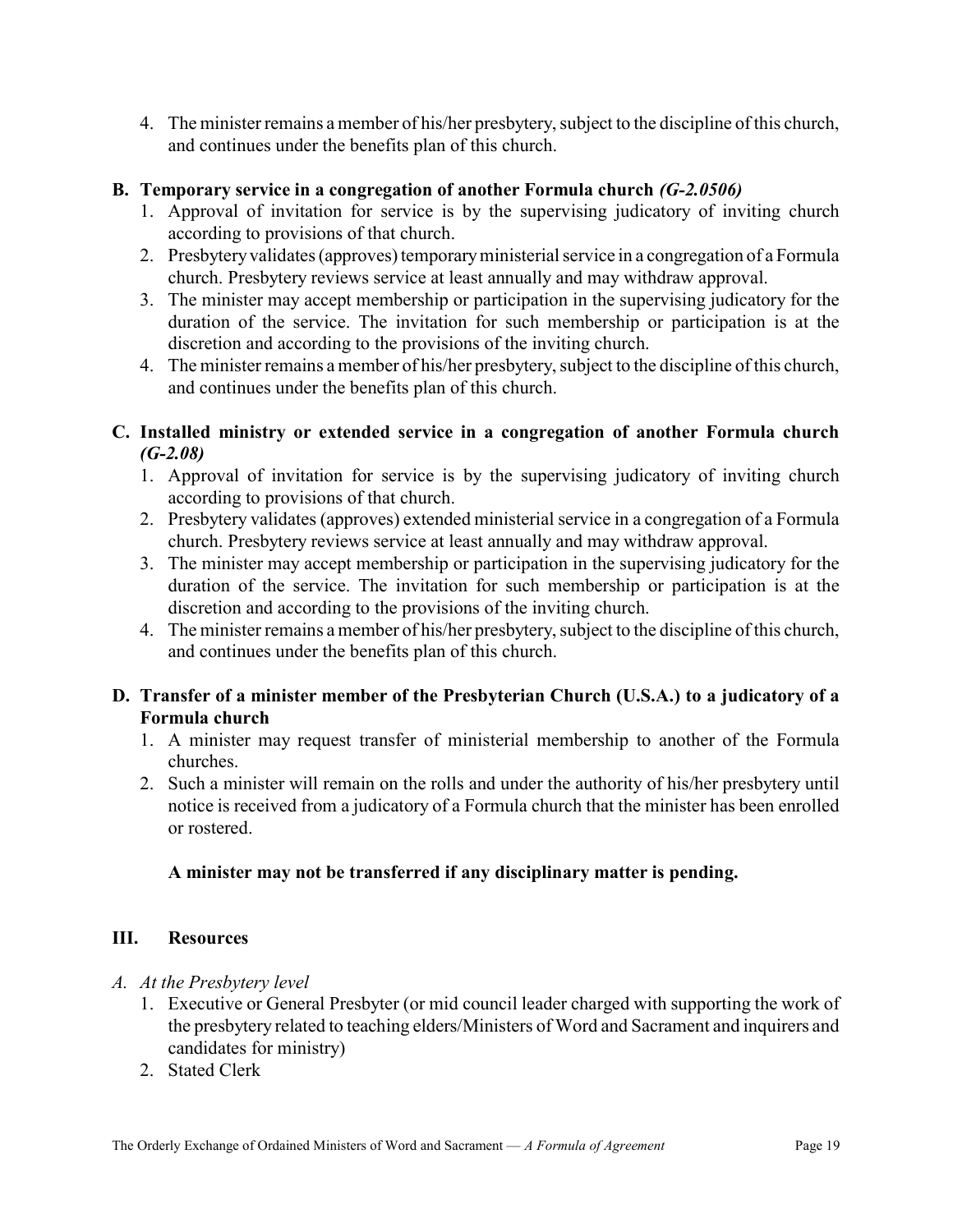4. The minister remains a member of his/her presbytery, subject to the discipline of this church, and continues under the benefits plan of this church.

### B. Temporary service in a congregation of another Formula church (G-2.0506)

- 1. Approval of invitation for service is by the supervising judicatory of inviting church according to provisions of that church.
- 2. Presbytery validates (approves) temporary ministerial service in a congregation of a Formula church. Presbytery reviews service at least annually and may withdraw approval.
- 3. The minister may accept membership or participation in the supervising judicatory for the duration of the service. The invitation for such membership or participation is at the discretion and according to the provisions of the inviting church.
- 4. The minister remains a member of his/her presbytery, subject to the discipline of this church, and continues under the benefits plan of this church.

### C. Installed ministry or extended service in a congregation of another Formula church  $(G-2.08)$

- 1. Approval of invitation for service is by the supervising judicatory of inviting church according to provisions of that church.
- 2. Presbytery validates (approves) extended ministerial service in a congregation of a Formula church. Presbytery reviews service at least annually and may withdraw approval.
- 3. The minister may accept membership or participation in the supervising judicatory for the duration of the service. The invitation for such membership or participation is at the discretion and according to the provisions of the inviting church.
- 4. The minister remains a member of his/her presbytery, subject to the discipline of this church, and continues under the benefits plan of this church.

### D. Transfer of a minister member of the Presbyterian Church (U.S.A.) to a judicatory of a Formula church

- 1. A minister may request transfer of ministerial membership to another of the Formula churches.
- 2. Such a minister will remain on the rolls and under the authority of his/her presbytery until notice is received from a judicatory of a Formula church that the minister has been enrolled or rostered.

### A minister may not be transferred if any disciplinary matter is pending.

### III. Resources

### A. At the Presbytery level

- 1. Executive or General Presbyter (or mid council leader charged with supporting the work of the presbytery related to teaching elders/Ministers of Word and Sacrament and inquirers and candidates for ministry)
- 2. Stated Clerk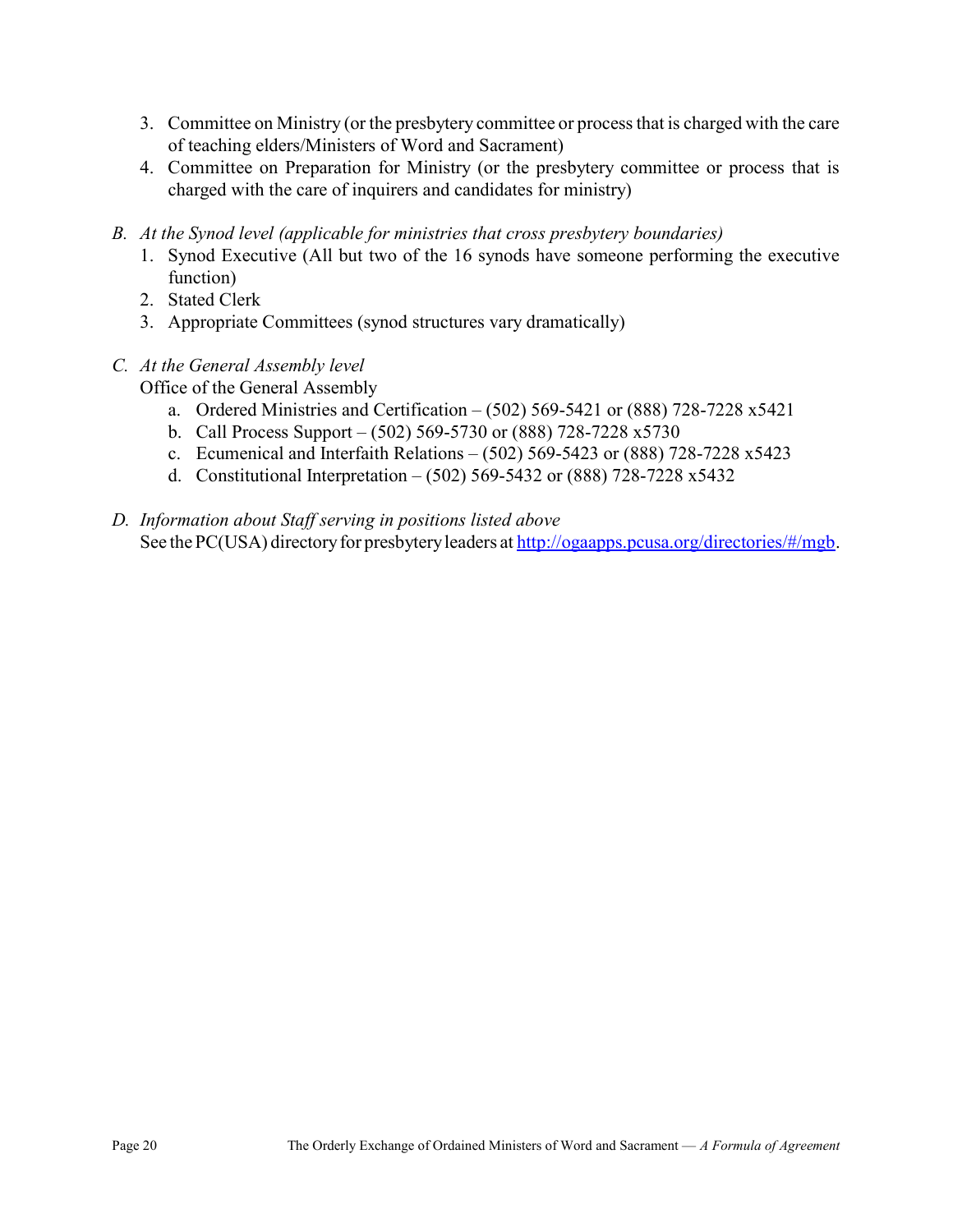- 3. Committee on Ministry (or the presbytery committee or process that is charged with the care of teaching elders/Ministers of Word and Sacrament)
- 4. Committee on Preparation for Ministry (or the presbytery committee or process that is charged with the care of inquirers and candidates for ministry)
- B. At the Synod level (applicable for ministries that cross presbytery boundaries)
	- 1. Synod Executive (All but two of the 16 synods have someone performing the executive function)
	- 2. Stated Clerk
	- 3. Appropriate Committees (synod structures vary dramatically)
- C. At the General Assembly level

Office of the General Assembly

- a. Ordered Ministries and Certification (502) 569-5421 or (888) 728-7228 x5421
- b. Call Process Support (502) 569-5730 or (888) 728-7228 x5730
- c. Ecumenical and Interfaith Relations (502) 569-5423 or (888) 728-7228 x5423
- d. Constitutional Interpretation (502) 569-5432 or (888) 728-7228 x5432
- D. Information about Staff serving in positions listed above See the PC(USA) directory for presbytery leaders at http://ogaapps.pcusa.org/directories/#/mgb.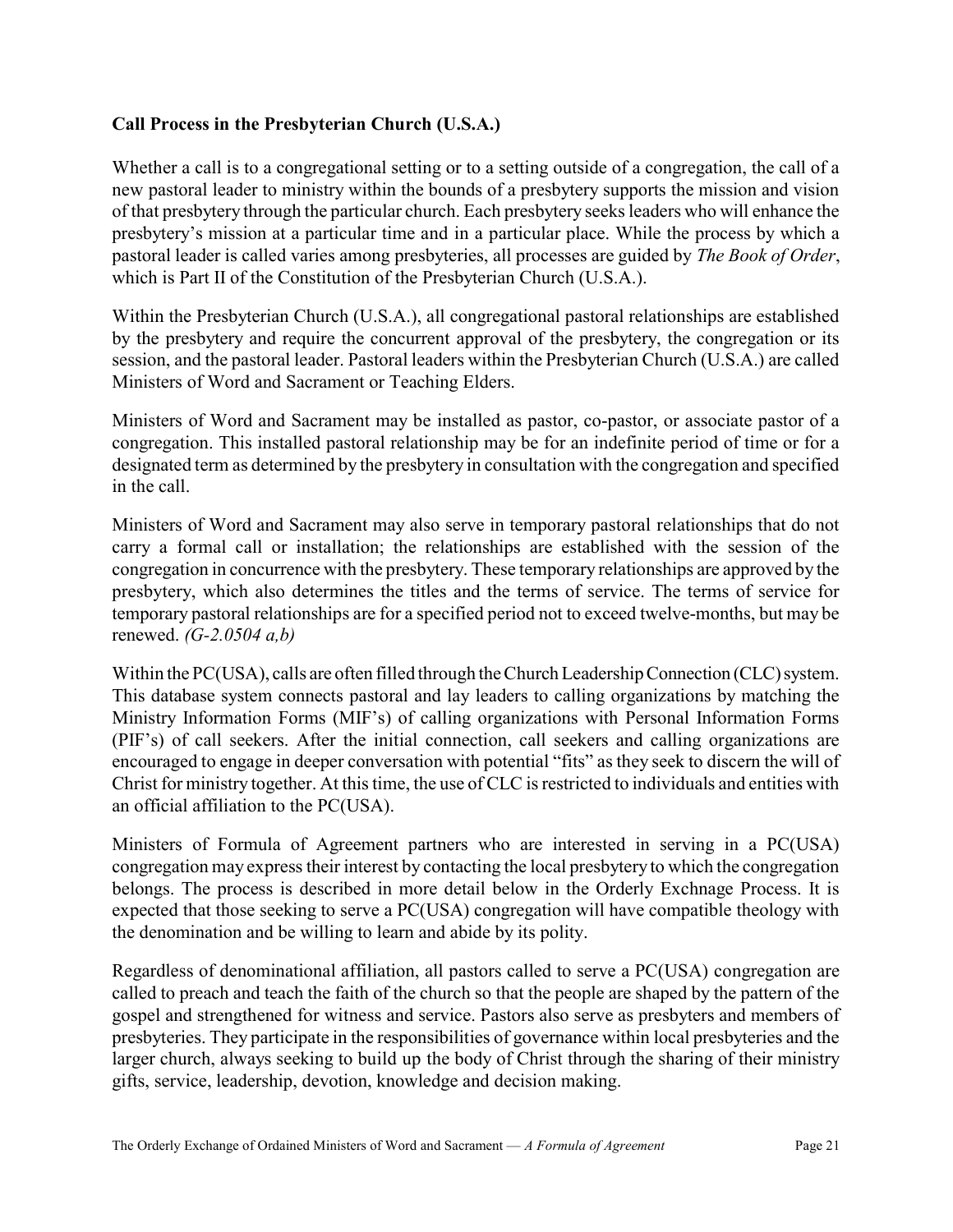### Call Process in the Presbyterian Church (U.S.A.)

Whether a call is to a congregational setting or to a setting outside of a congregation, the call of a new pastoral leader to ministry within the bounds of a presbytery supports the mission and vision of that presbytery through the particular church. Each presbytery seeks leaders who will enhance the presbytery's mission at a particular time and in a particular place. While the process by which a pastoral leader is called varies among presbyteries, all processes are guided by The Book of Order, which is Part II of the Constitution of the Presbyterian Church (U.S.A.).

Within the Presbyterian Church (U.S.A.), all congregational pastoral relationships are established by the presbytery and require the concurrent approval of the presbytery, the congregation or its session, and the pastoral leader. Pastoral leaders within the Presbyterian Church (U.S.A.) are called Ministers of Word and Sacrament or Teaching Elders.

Ministers of Word and Sacrament may be installed as pastor, co-pastor, or associate pastor of a congregation. This installed pastoral relationship may be for an indefinite period of time or for a designated term as determined by the presbytery in consultation with the congregation and specified in the call.

Ministers of Word and Sacrament may also serve in temporary pastoral relationships that do not carry a formal call or installation; the relationships are established with the session of the congregation in concurrence with the presbytery. These temporary relationships are approved by the presbytery, which also determines the titles and the terms of service. The terms of service for temporary pastoral relationships are for a specified period not to exceed twelve-months, but may be renewed.  $(G-2.0504 a,b)$ 

Within the PC(USA), calls are often filled through the Church Leadership Connection (CLC) system. This database system connects pastoral and lay leaders to calling organizations by matching the Ministry Information Forms (MIF's) of calling organizations with Personal Information Forms (PIF's) of call seekers. After the initial connection, call seekers and calling organizations are encouraged to engage in deeper conversation with potential "fits" as they seek to discern the will of Christ for ministry together. At this time, the use of CLC is restricted to individuals and entities with an official affiliation to the PC(USA).

Ministers of Formula of Agreement partners who are interested in serving in a PC(USA) congregation may express their interest by contacting the local presbytery to which the congregation belongs. The process is described in more detail below in the Orderly Exchnage Process. It is expected that those seeking to serve a PC(USA) congregation will have compatible theology with the denomination and be willing to learn and abide by its polity.

Regardless of denominational affiliation, all pastors called to serve a PC(USA) congregation are called to preach and teach the faith of the church so that the people are shaped by the pattern of the gospel and strengthened for witness and service. Pastors also serve as presbyters and members of presbyteries. They participate in the responsibilities of governance within local presbyteries and the larger church, always seeking to build up the body of Christ through the sharing of their ministry gifts, service, leadership, devotion, knowledge and decision making.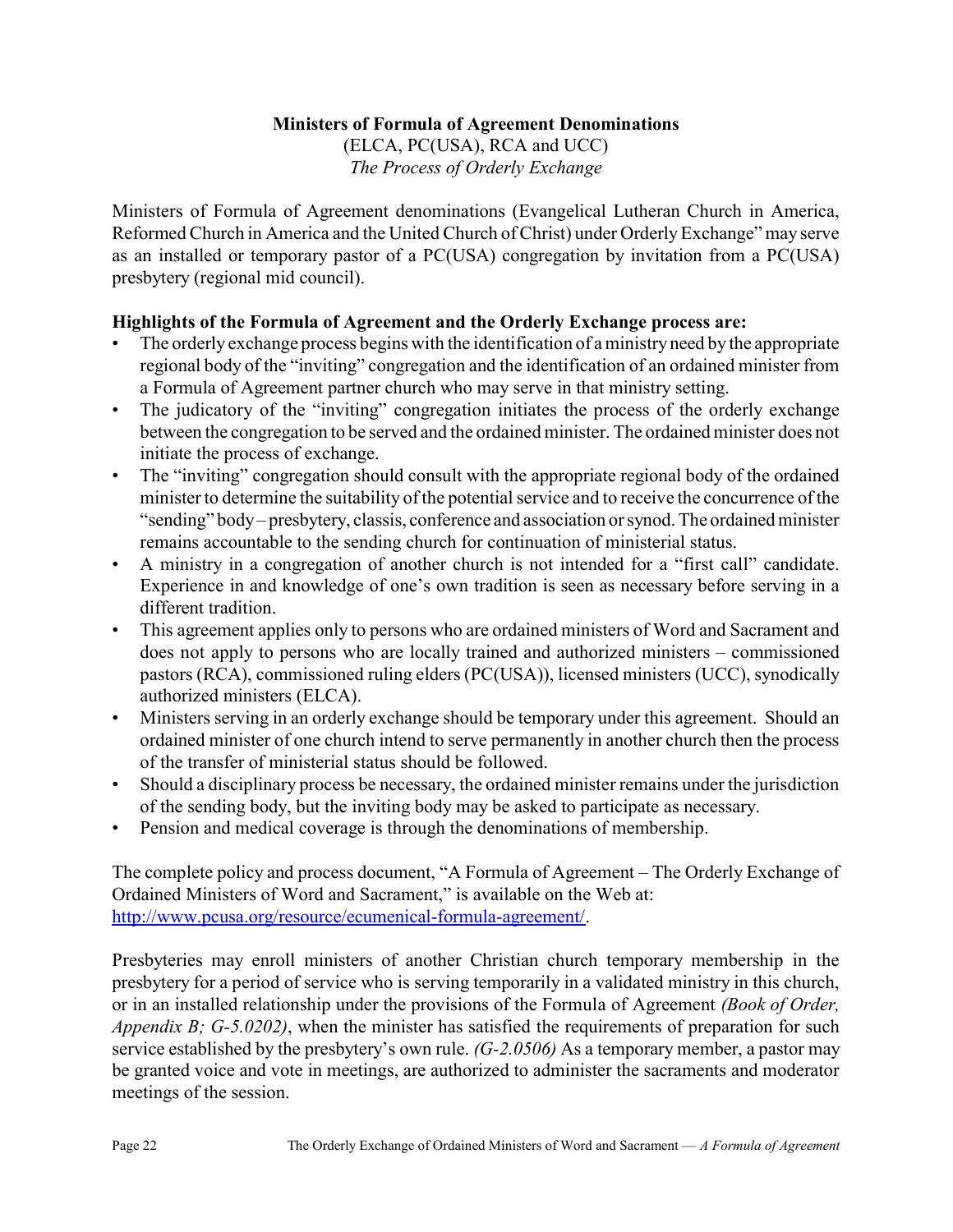### Ministers of Formula of Agreement Denominations

(ELCA, PC(USA), RCA and UCC) The Process of Orderly Exchange

Ministers of Formula of Agreement denominations (Evangelical Lutheran Church in America, Reformed Church in America and the United Church of Christ) under Orderly Exchange" may serve as an installed or temporary pastor of a PC(USA) congregation by invitation from a PC(USA) presbytery (regional mid council).

### Highlights of the Formula of Agreement and the Orderly Exchange process are:

- The orderly exchange process begins with the identification of a ministry need by the appropriate regional body of the "inviting" congregation and the identification of an ordained minister from a Formula of Agreement partner church who may serve in that ministry setting.
- The judicatory of the "inviting" congregation initiates the process of the orderly exchange between the congregation to be served and the ordained minister. The ordained minister does not initiate the process of exchange.
- The "inviting" congregation should consult with the appropriate regional body of the ordained minister to determine the suitability of the potential service and to receive the concurrence of the "sending" body – presbytery, classis, conference and association or synod. The ordained minister remains accountable to the sending church for continuation of ministerial status.
- A ministry in a congregation of another church is not intended for a "first call" candidate. Experience in and knowledge of one's own tradition is seen as necessary before serving in a different tradition.
- This agreement applies only to persons who are ordained ministers of Word and Sacrament and does not apply to persons who are locally trained and authorized ministers – commissioned pastors (RCA), commissioned ruling elders (PC(USA)), licensed ministers (UCC), synodically authorized ministers (ELCA).
- Ministers serving in an orderly exchange should be temporary under this agreement. Should an ordained minister of one church intend to serve permanently in another church then the process of the transfer of ministerial status should be followed.
- Should a disciplinary process be necessary, the ordained minister remains under the jurisdiction of the sending body, but the inviting body may be asked to participate as necessary.
- Pension and medical coverage is through the denominations of membership.

The complete policy and process document, "A Formula of Agreement – The Orderly Exchange of Ordained Ministers of Word and Sacrament," is available on the Web at: http://www.pcusa.org/resource/ecumenical-formula-agreement/.

Presbyteries may enroll ministers of another Christian church temporary membership in the presbytery for a period of service who is serving temporarily in a validated ministry in this church, or in an installed relationship under the provisions of the Formula of Agreement *(Book of Order,* Appendix B;  $G$ -5.0202), when the minister has satisfied the requirements of preparation for such service established by the presbytery's own rule. (G-2.0506) As a temporary member, a pastor may be granted voice and vote in meetings, are authorized to administer the sacraments and moderator meetings of the session.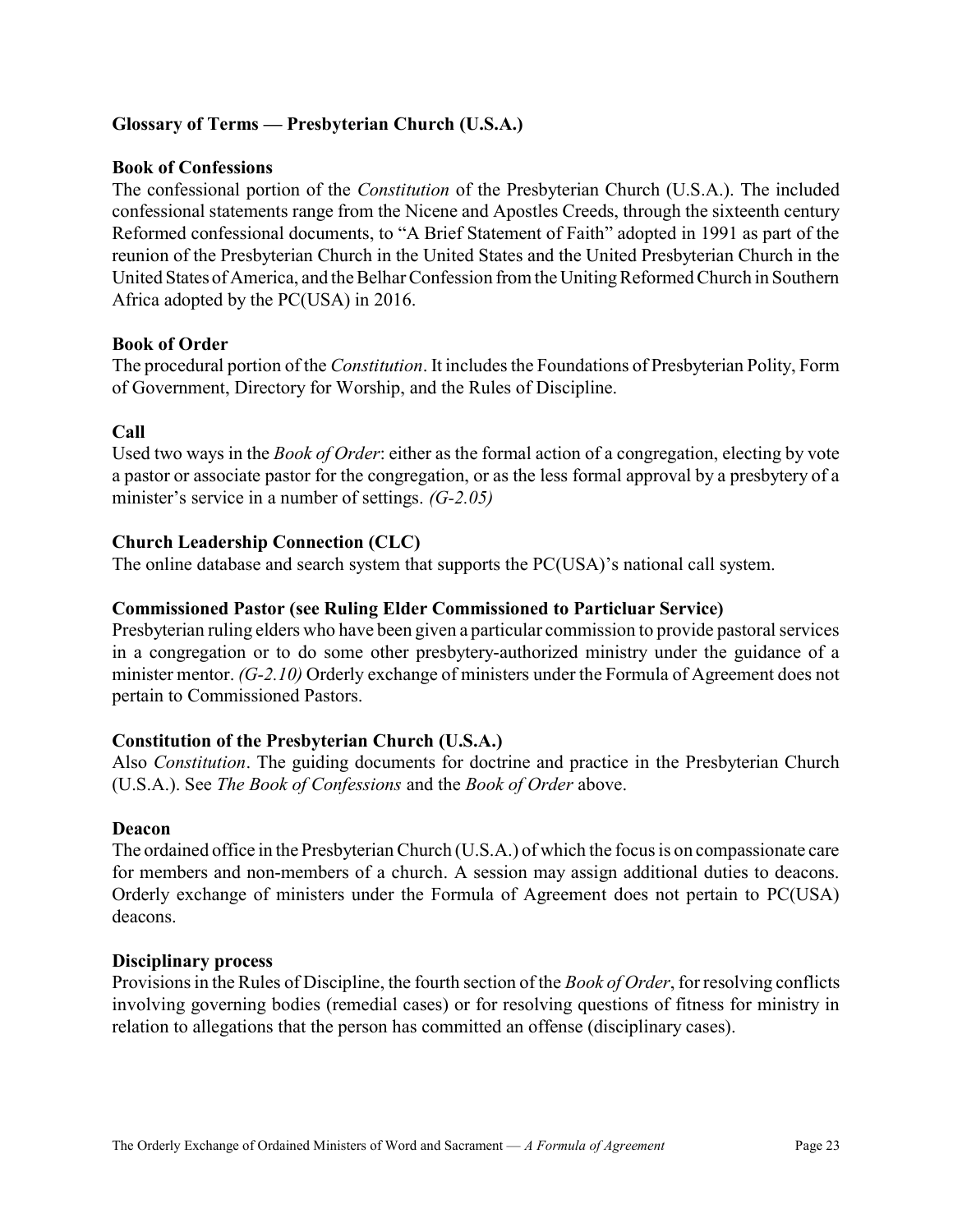### Glossary of Terms — Presbyterian Church (U.S.A.)

### Book of Confessions

The confessional portion of the Constitution of the Presbyterian Church (U.S.A.). The included confessional statements range from the Nicene and Apostles Creeds, through the sixteenth century Reformed confessional documents, to "A Brief Statement of Faith" adopted in 1991 as part of the reunion of the Presbyterian Church in the United States and the United Presbyterian Church in the United States of America, and the Belhar Confession from the Uniting Reformed Church in Southern Africa adopted by the PC(USA) in 2016.

### Book of Order

The procedural portion of the Constitution. It includes the Foundations of Presbyterian Polity, Form of Government, Directory for Worship, and the Rules of Discipline.

### Call

Used two ways in the *Book of Order*: either as the formal action of a congregation, electing by vote a pastor or associate pastor for the congregation, or as the less formal approval by a presbytery of a minister's service in a number of settings. (G-2.05)

### Church Leadership Connection (CLC)

The online database and search system that supports the PC(USA)'s national call system.

### Commissioned Pastor (see Ruling Elder Commissioned to Particluar Service)

Presbyterian ruling elders who have been given a particular commission to provide pastoral services in a congregation or to do some other presbytery-authorized ministry under the guidance of a minister mentor. (G-2.10) Orderly exchange of ministers under the Formula of Agreement does not pertain to Commissioned Pastors.

### Constitution of the Presbyterian Church (U.S.A.)

Also Constitution. The guiding documents for doctrine and practice in the Presbyterian Church (U.S.A.). See The Book of Confessions and the Book of Order above.

### Deacon

The ordained office in the Presbyterian Church (U.S.A.) of which the focus is on compassionate care for members and non-members of a church. A session may assign additional duties to deacons. Orderly exchange of ministers under the Formula of Agreement does not pertain to PC(USA) deacons.

### Disciplinary process

Provisions in the Rules of Discipline, the fourth section of the Book of Order, for resolving conflicts involving governing bodies (remedial cases) or for resolving questions of fitness for ministry in relation to allegations that the person has committed an offense (disciplinary cases).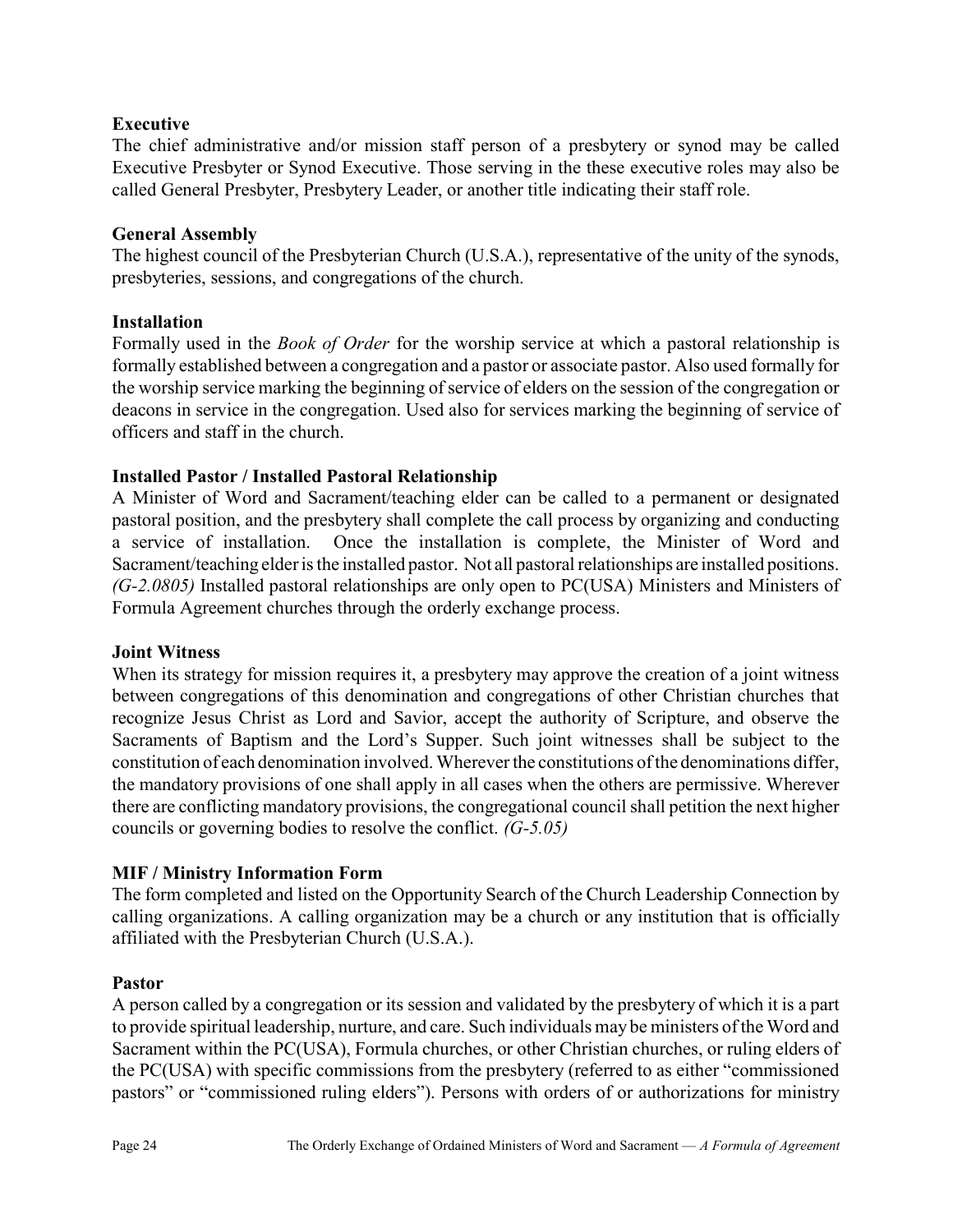### Executive

The chief administrative and/or mission staff person of a presbytery or synod may be called Executive Presbyter or Synod Executive. Those serving in the these executive roles may also be called General Presbyter, Presbytery Leader, or another title indicating their staff role.

### General Assembly

The highest council of the Presbyterian Church (U.S.A.), representative of the unity of the synods, presbyteries, sessions, and congregations of the church.

### Installation

Formally used in the *Book of Order* for the worship service at which a pastoral relationship is formally established between a congregation and a pastor or associate pastor. Also used formally for the worship service marking the beginning of service of elders on the session of the congregation or deacons in service in the congregation. Used also for services marking the beginning of service of officers and staff in the church.

### Installed Pastor / Installed Pastoral Relationship

A Minister of Word and Sacrament/teaching elder can be called to a permanent or designated pastoral position, and the presbytery shall complete the call process by organizing and conducting a service of installation. Once the installation is complete, the Minister of Word and Sacrament/teaching elder is the installed pastor. Not all pastoral relationships are installed positions.  $(G-2.0805)$  Installed pastoral relationships are only open to PC(USA) Ministers and Ministers of Formula Agreement churches through the orderly exchange process.

### Joint Witness

When its strategy for mission requires it, a presbytery may approve the creation of a joint witness between congregations of this denomination and congregations of other Christian churches that recognize Jesus Christ as Lord and Savior, accept the authority of Scripture, and observe the Sacraments of Baptism and the Lord's Supper. Such joint witnesses shall be subject to the constitution of each denomination involved. Wherever the constitutions of the denominations differ, the mandatory provisions of one shall apply in all cases when the others are permissive. Wherever there are conflicting mandatory provisions, the congregational council shall petition the next higher councils or governing bodies to resolve the conflict. (G-5.05)

### MIF / Ministry Information Form

The form completed and listed on the Opportunity Search of the Church Leadership Connection by calling organizations. A calling organization may be a church or any institution that is officially affiliated with the Presbyterian Church (U.S.A.).

### Pastor

A person called by a congregation or its session and validated by the presbytery of which it is a part to provide spiritual leadership, nurture, and care. Such individuals may be ministers of the Word and Sacrament within the PC(USA), Formula churches, or other Christian churches, or ruling elders of the PC(USA) with specific commissions from the presbytery (referred to as either "commissioned pastors" or "commissioned ruling elders"). Persons with orders of or authorizations for ministry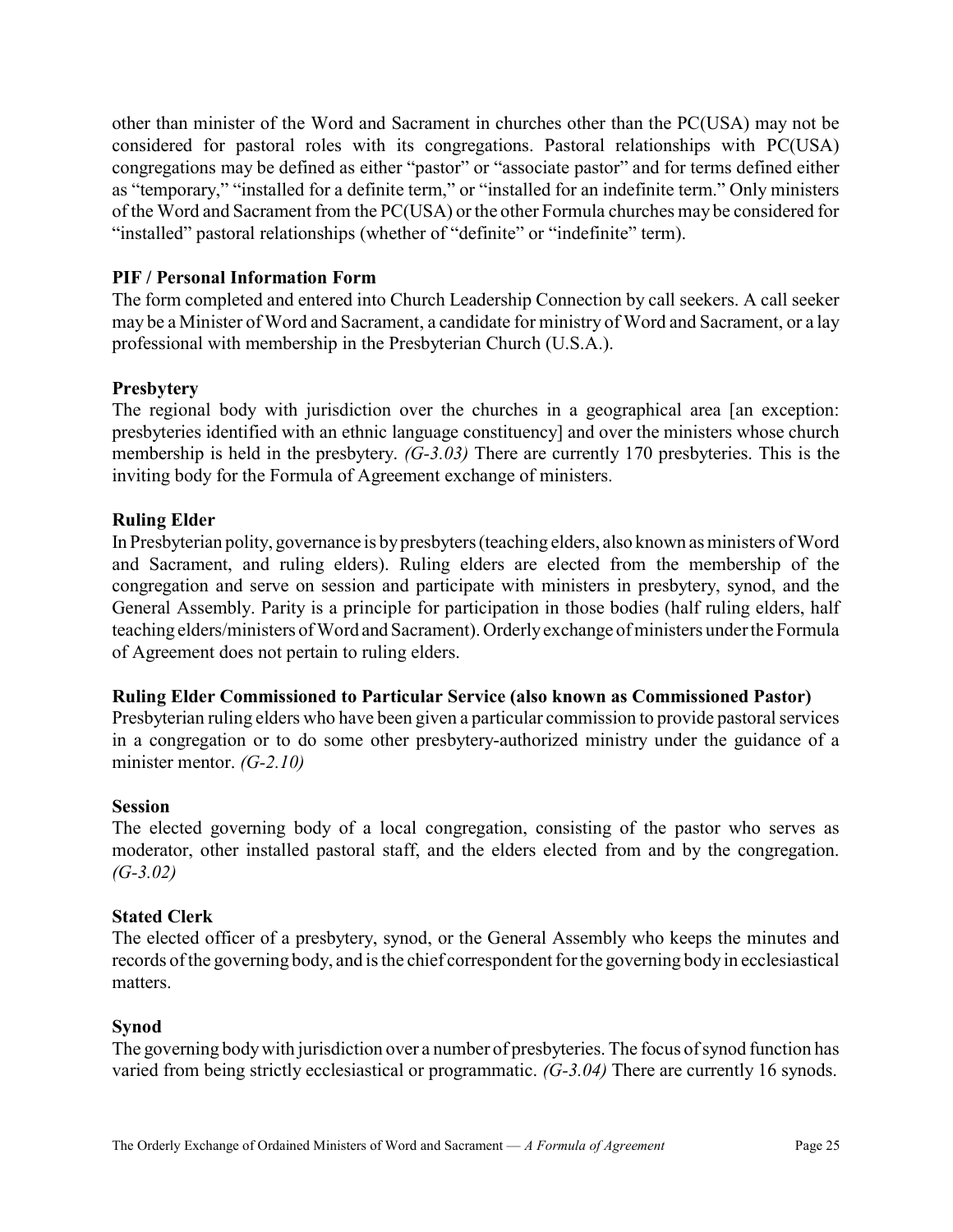other than minister of the Word and Sacrament in churches other than the PC(USA) may not be considered for pastoral roles with its congregations. Pastoral relationships with PC(USA) congregations may be defined as either "pastor" or "associate pastor" and for terms defined either as "temporary," "installed for a definite term," or "installed for an indefinite term." Only ministers of the Word and Sacrament from the PC(USA) or the other Formula churches may be considered for "installed" pastoral relationships (whether of "definite" or "indefinite" term).

### PIF / Personal Information Form

The form completed and entered into Church Leadership Connection by call seekers. A call seeker may be a Minister of Word and Sacrament, a candidate for ministry of Word and Sacrament, or a lay professional with membership in the Presbyterian Church (U.S.A.).

### **Presbytery**

The regional body with jurisdiction over the churches in a geographical area [an exception: presbyteries identified with an ethnic language constituency] and over the ministers whose church membership is held in the presbytery. (G-3.03) There are currently 170 presbyteries. This is the inviting body for the Formula of Agreement exchange of ministers.

### Ruling Elder

In Presbyterian polity, governance is by presbyters (teaching elders, also known as ministers of Word and Sacrament, and ruling elders). Ruling elders are elected from the membership of the congregation and serve on session and participate with ministers in presbytery, synod, and the General Assembly. Parity is a principle for participation in those bodies (half ruling elders, half teaching elders/ministers of Word and Sacrament). Orderly exchange of ministers under the Formula of Agreement does not pertain to ruling elders.

### Ruling Elder Commissioned to Particular Service (also known as Commissioned Pastor)

Presbyterian ruling elders who have been given a particular commission to provide pastoral services in a congregation or to do some other presbytery-authorized ministry under the guidance of a minister mentor. (G-2.10)

### Session

The elected governing body of a local congregation, consisting of the pastor who serves as moderator, other installed pastoral staff, and the elders elected from and by the congregation.  $(G-3.02)$ 

### Stated Clerk

The elected officer of a presbytery, synod, or the General Assembly who keeps the minutes and records of the governing body, and is the chief correspondent for the governing body in ecclesiastical matters.

### Synod

The governing body with jurisdiction over a number of presbyteries. The focus of synod function has varied from being strictly ecclesiastical or programmatic. (G-3.04) There are currently 16 synods.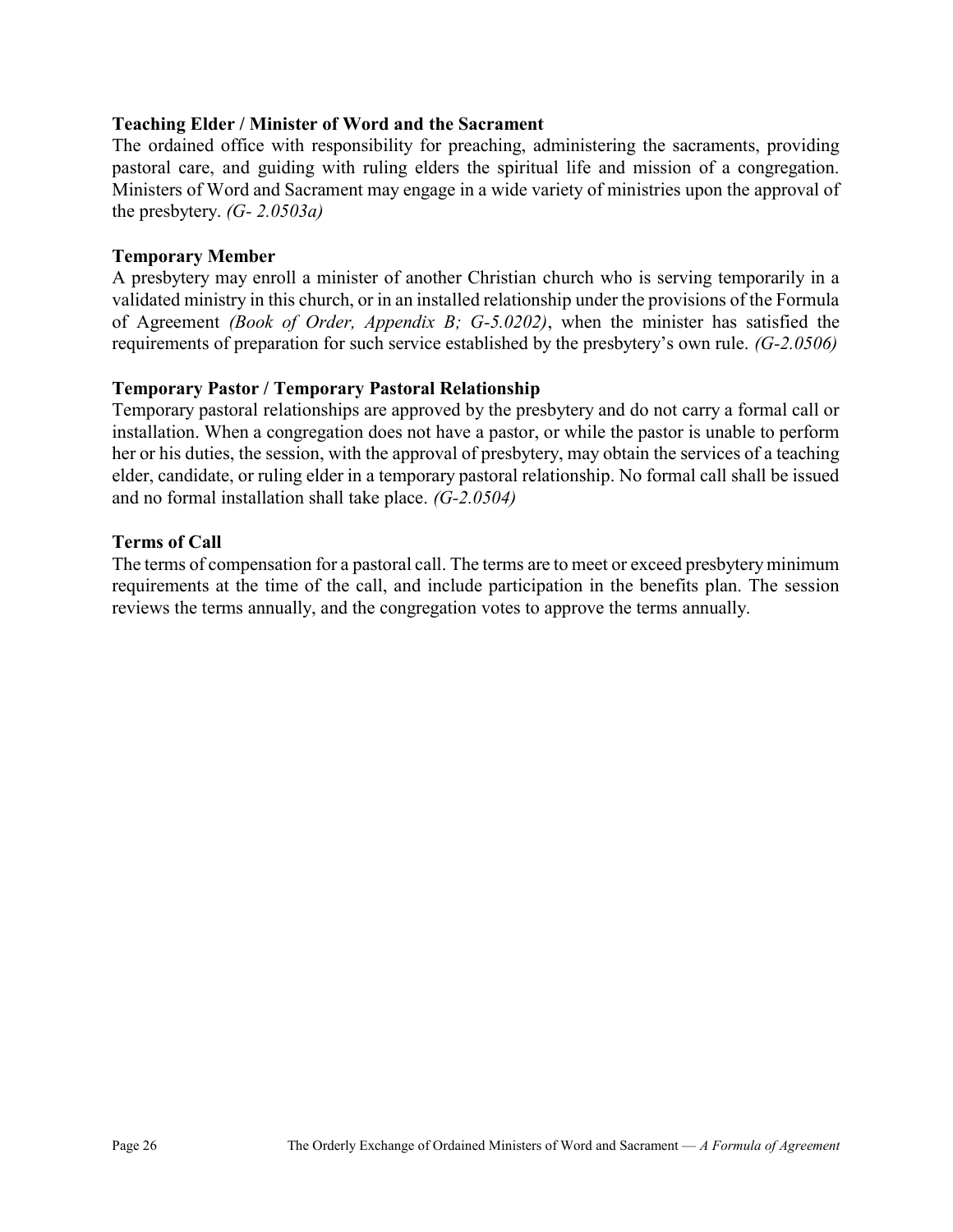### Teaching Elder / Minister of Word and the Sacrament

The ordained office with responsibility for preaching, administering the sacraments, providing pastoral care, and guiding with ruling elders the spiritual life and mission of a congregation. Ministers of Word and Sacrament may engage in a wide variety of ministries upon the approval of the presbytery.  $(G - 2.0503a)$ 

### Temporary Member

A presbytery may enroll a minister of another Christian church who is serving temporarily in a validated ministry in this church, or in an installed relationship under the provisions of the Formula of Agreement (Book of Order, Appendix B; G-5.0202), when the minister has satisfied the requirements of preparation for such service established by the presbytery's own rule. (G-2.0506)

### Temporary Pastor / Temporary Pastoral Relationship

Temporary pastoral relationships are approved by the presbytery and do not carry a formal call or installation. When a congregation does not have a pastor, or while the pastor is unable to perform her or his duties, the session, with the approval of presbytery, may obtain the services of a teaching elder, candidate, or ruling elder in a temporary pastoral relationship. No formal call shall be issued and no formal installation shall take place. (G-2.0504)

### Terms of Call

The terms of compensation for a pastoral call. The terms are to meet or exceed presbytery minimum requirements at the time of the call, and include participation in the benefits plan. The session reviews the terms annually, and the congregation votes to approve the terms annually.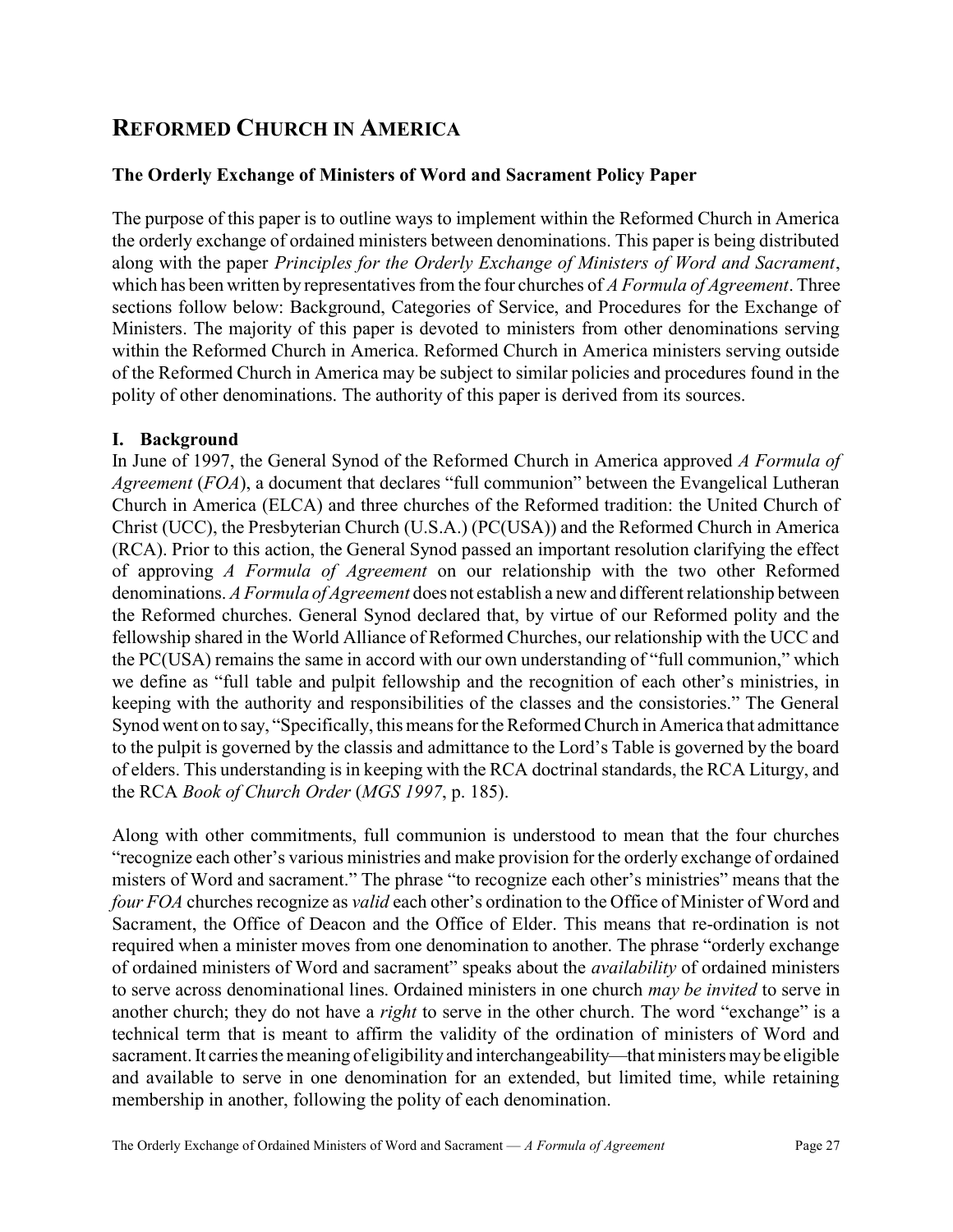## REFORMED CHURCH IN AMERICA

### The Orderly Exchange of Ministers of Word and Sacrament Policy Paper

The purpose of this paper is to outline ways to implement within the Reformed Church in America the orderly exchange of ordained ministers between denominations. This paper is being distributed along with the paper Principles for the Orderly Exchange of Ministers of Word and Sacrament, which has been written by representatives from the four churches of A Formula of Agreement. Three sections follow below: Background, Categories of Service, and Procedures for the Exchange of Ministers. The majority of this paper is devoted to ministers from other denominations serving within the Reformed Church in America. Reformed Church in America ministers serving outside of the Reformed Church in America may be subject to similar policies and procedures found in the polity of other denominations. The authority of this paper is derived from its sources.

### I. Background

In June of 1997, the General Synod of the Reformed Church in America approved A Formula of *Agreement* ( $FOA$ ), a document that declares "full communion" between the Evangelical Lutheran Church in America (ELCA) and three churches of the Reformed tradition: the United Church of Christ (UCC), the Presbyterian Church (U.S.A.) (PC(USA)) and the Reformed Church in America (RCA). Prior to this action, the General Synod passed an important resolution clarifying the effect of approving A Formula of Agreement on our relationship with the two other Reformed denominations. A Formula of Agreement does not establish a new and different relationship between the Reformed churches. General Synod declared that, by virtue of our Reformed polity and the fellowship shared in the World Alliance of Reformed Churches, our relationship with the UCC and the PC(USA) remains the same in accord with our own understanding of "full communion," which we define as "full table and pulpit fellowship and the recognition of each other's ministries, in keeping with the authority and responsibilities of the classes and the consistories." The General Synod went on to say, "Specifically, this means for the Reformed Church in America that admittance to the pulpit is governed by the classis and admittance to the Lord's Table is governed by the board of elders. This understanding is in keeping with the RCA doctrinal standards, the RCA Liturgy, and the RCA Book of Church Order (MGS 1997, p. 185).

Along with other commitments, full communion is understood to mean that the four churches "recognize each other's various ministries and make provision for the orderly exchange of ordained misters of Word and sacrament." The phrase "to recognize each other's ministries" means that the four FOA churches recognize as valid each other's ordination to the Office of Minister of Word and Sacrament, the Office of Deacon and the Office of Elder. This means that re-ordination is not required when a minister moves from one denomination to another. The phrase "orderly exchange of ordained ministers of Word and sacrament" speaks about the *availability* of ordained ministers to serve across denominational lines. Ordained ministers in one church may be invited to serve in another church; they do not have a *right* to serve in the other church. The word "exchange" is a technical term that is meant to affirm the validity of the ordination of ministers of Word and sacrament. It carries the meaning of eligibility and interchangeability—that ministers may be eligible and available to serve in one denomination for an extended, but limited time, while retaining membership in another, following the polity of each denomination.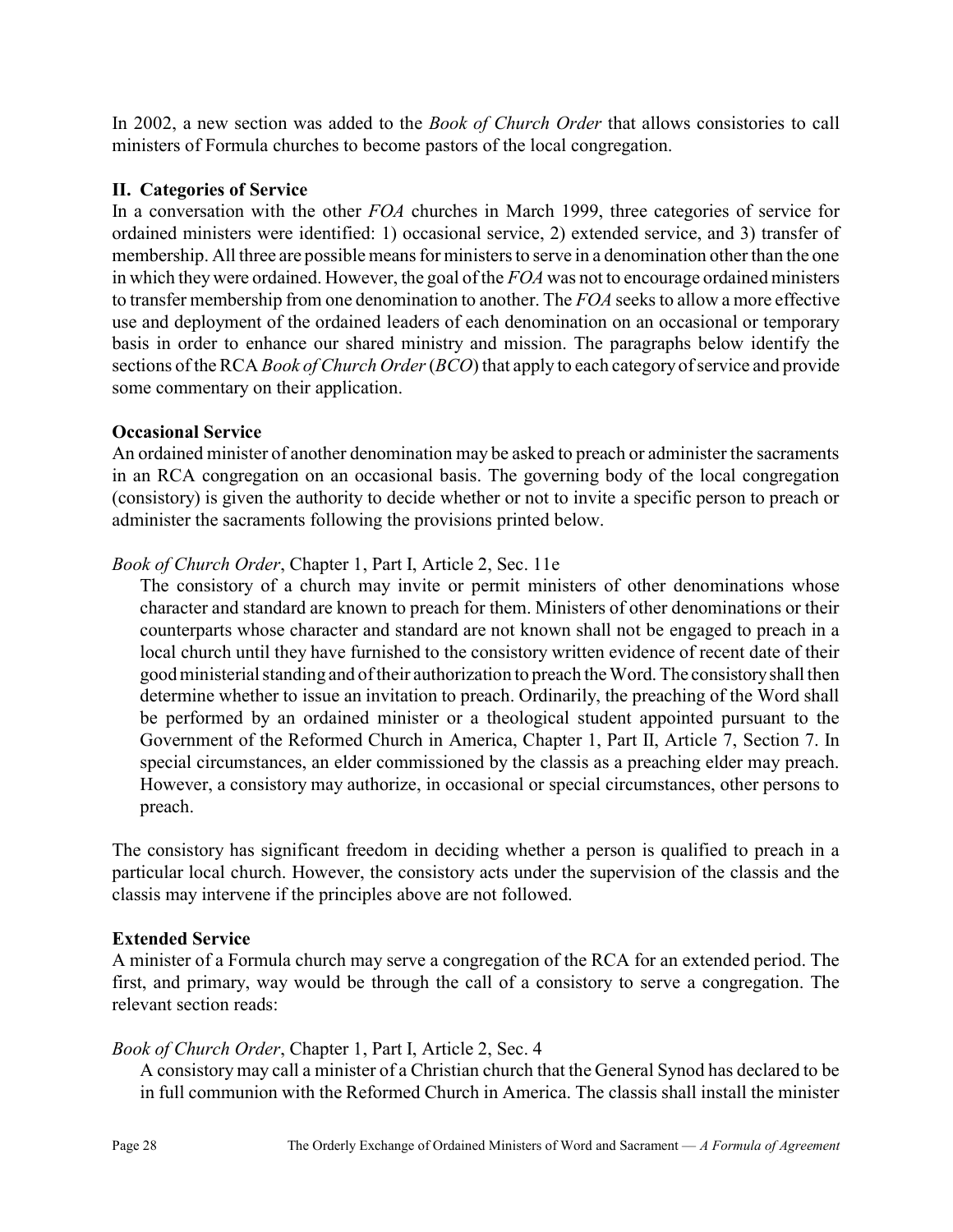In 2002, a new section was added to the *Book of Church Order* that allows consistories to call ministers of Formula churches to become pastors of the local congregation.

### II. Categories of Service

In a conversation with the other FOA churches in March 1999, three categories of service for ordained ministers were identified: 1) occasional service, 2) extended service, and 3) transfer of membership. All three are possible means for ministers to serve in a denomination other than the one in which they were ordained. However, the goal of the FOA was not to encourage ordained ministers to transfer membership from one denomination to another. The FOA seeks to allow a more effective use and deployment of the ordained leaders of each denomination on an occasional or temporary basis in order to enhance our shared ministry and mission. The paragraphs below identify the sections of the RCA *Book of Church Order* (*BCO*) that apply to each category of service and provide some commentary on their application.

### Occasional Service

An ordained minister of another denomination may be asked to preach or administer the sacraments in an RCA congregation on an occasional basis. The governing body of the local congregation (consistory) is given the authority to decide whether or not to invite a specific person to preach or administer the sacraments following the provisions printed below.

### Book of Church Order, Chapter 1, Part I, Article 2, Sec. 11e

The consistory of a church may invite or permit ministers of other denominations whose character and standard are known to preach for them. Ministers of other denominations or their counterparts whose character and standard are not known shall not be engaged to preach in a local church until they have furnished to the consistory written evidence of recent date of their good ministerial standing and of their authorization to preach the Word. The consistory shall then determine whether to issue an invitation to preach. Ordinarily, the preaching of the Word shall be performed by an ordained minister or a theological student appointed pursuant to the Government of the Reformed Church in America, Chapter 1, Part II, Article 7, Section 7. In special circumstances, an elder commissioned by the classis as a preaching elder may preach. However, a consistory may authorize, in occasional or special circumstances, other persons to preach.

The consistory has significant freedom in deciding whether a person is qualified to preach in a particular local church. However, the consistory acts under the supervision of the classis and the classis may intervene if the principles above are not followed.

### Extended Service

A minister of a Formula church may serve a congregation of the RCA for an extended period. The first, and primary, way would be through the call of a consistory to serve a congregation. The relevant section reads:

### Book of Church Order, Chapter 1, Part I, Article 2, Sec. 4

A consistory may call a minister of a Christian church that the General Synod has declared to be in full communion with the Reformed Church in America. The classis shall install the minister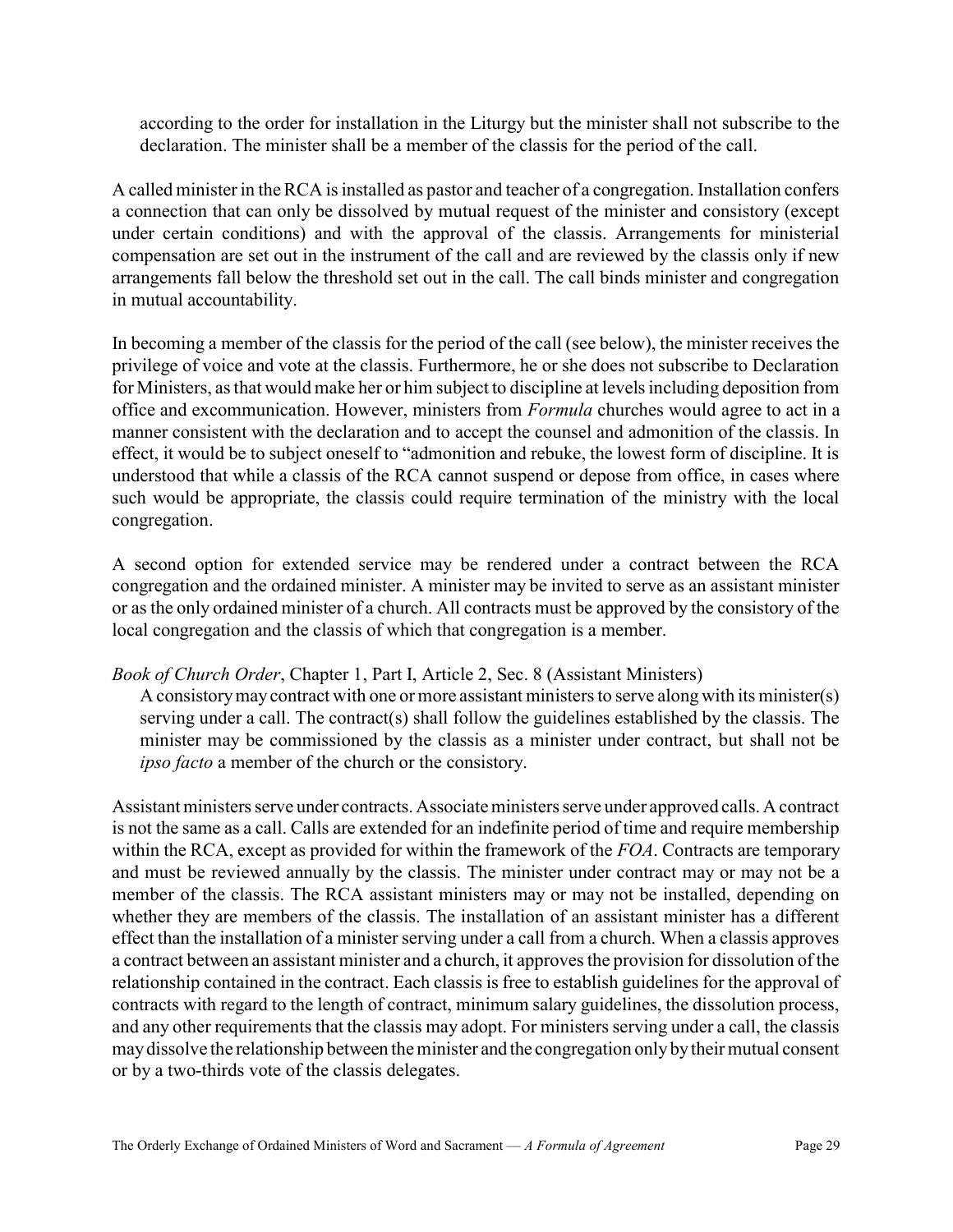according to the order for installation in the Liturgy but the minister shall not subscribe to the declaration. The minister shall be a member of the classis for the period of the call.

A called minister in the RCA is installed as pastor and teacher of a congregation. Installation confers a connection that can only be dissolved by mutual request of the minister and consistory (except under certain conditions) and with the approval of the classis. Arrangements for ministerial compensation are set out in the instrument of the call and are reviewed by the classis only if new arrangements fall below the threshold set out in the call. The call binds minister and congregation in mutual accountability.

In becoming a member of the classis for the period of the call (see below), the minister receives the privilege of voice and vote at the classis. Furthermore, he or she does not subscribe to Declaration for Ministers, as that would make her or him subject to discipline at levels including deposition from office and excommunication. However, ministers from Formula churches would agree to act in a manner consistent with the declaration and to accept the counsel and admonition of the classis. In effect, it would be to subject oneself to "admonition and rebuke, the lowest form of discipline. It is understood that while a classis of the RCA cannot suspend or depose from office, in cases where such would be appropriate, the classis could require termination of the ministry with the local congregation.

A second option for extended service may be rendered under a contract between the RCA congregation and the ordained minister. A minister may be invited to serve as an assistant minister or as the only ordained minister of a church. All contracts must be approved by the consistory of the local congregation and the classis of which that congregation is a member.

### Book of Church Order, Chapter 1, Part I, Article 2, Sec. 8 (Assistant Ministers)

A consistory may contract with one or more assistant ministers to serve along with its minister(s) serving under a call. The contract(s) shall follow the guidelines established by the classis. The minister may be commissioned by the classis as a minister under contract, but shall not be ipso facto a member of the church or the consistory.

Assistant ministers serve under contracts. Associate ministers serve under approved calls. A contract is not the same as a call. Calls are extended for an indefinite period of time and require membership within the RCA, except as provided for within the framework of the  $FOA$ . Contracts are temporary and must be reviewed annually by the classis. The minister under contract may or may not be a member of the classis. The RCA assistant ministers may or may not be installed, depending on whether they are members of the classis. The installation of an assistant minister has a different effect than the installation of a minister serving under a call from a church. When a classis approves a contract between an assistant minister and a church, it approves the provision for dissolution of the relationship contained in the contract. Each classis is free to establish guidelines for the approval of contracts with regard to the length of contract, minimum salary guidelines, the dissolution process, and any other requirements that the classis may adopt. For ministers serving under a call, the classis may dissolve the relationship between the minister and the congregation only by their mutual consent or by a two-thirds vote of the classis delegates.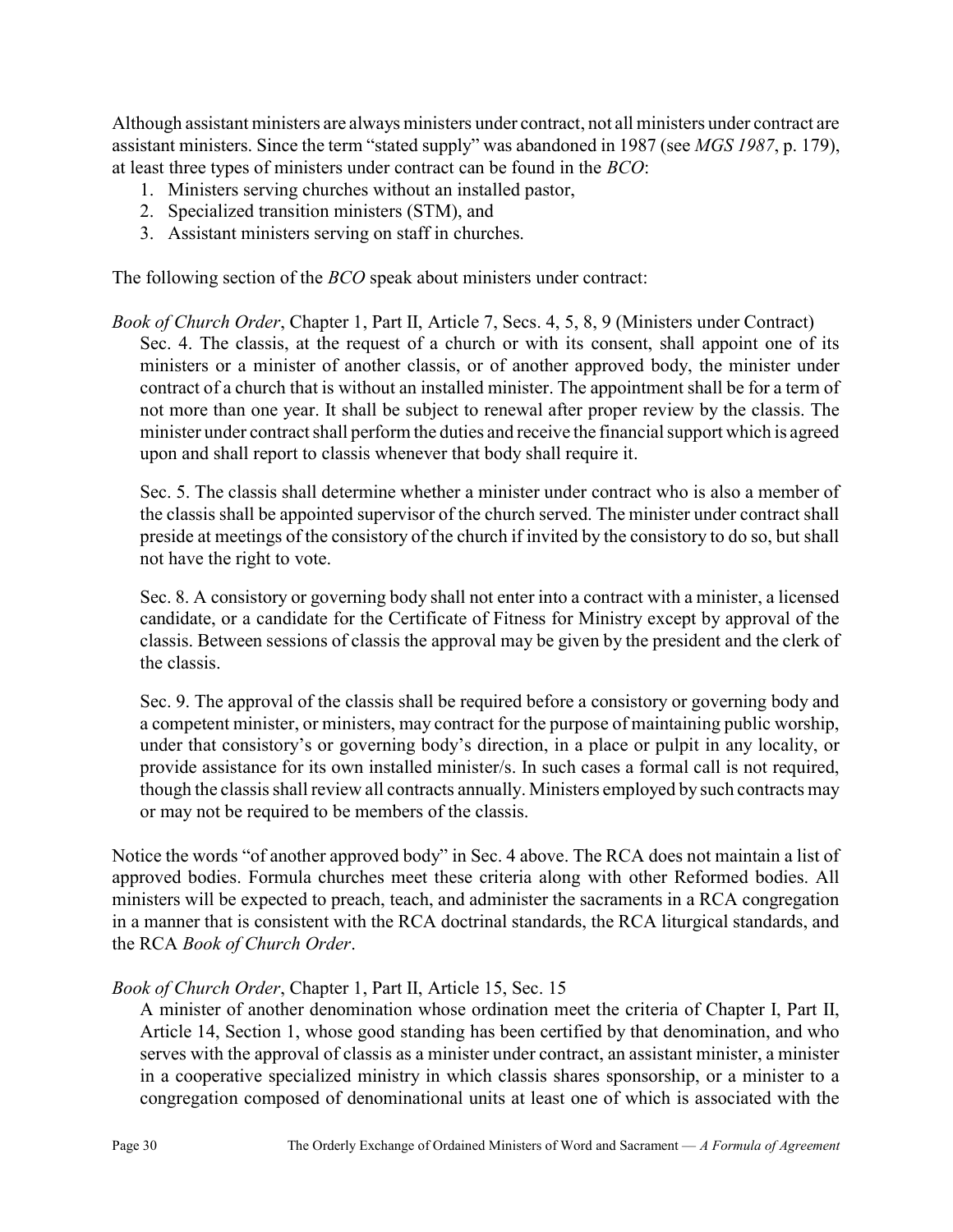Although assistant ministers are always ministers under contract, not all ministers under contract are assistant ministers. Since the term "stated supply" was abandoned in 1987 (see MGS 1987, p. 179), at least three types of ministers under contract can be found in the BCO:

- 1. Ministers serving churches without an installed pastor,
- 2. Specialized transition ministers (STM), and
- 3. Assistant ministers serving on staff in churches.

The following section of the *BCO* speak about ministers under contract:

Book of Church Order, Chapter 1, Part II, Article 7, Secs. 4, 5, 8, 9 (Ministers under Contract) Sec. 4. The classis, at the request of a church or with its consent, shall appoint one of its ministers or a minister of another classis, or of another approved body, the minister under contract of a church that is without an installed minister. The appointment shall be for a term of not more than one year. It shall be subject to renewal after proper review by the classis. The minister under contract shall perform the duties and receive the financial support which is agreed upon and shall report to classis whenever that body shall require it.

Sec. 5. The classis shall determine whether a minister under contract who is also a member of the classis shall be appointed supervisor of the church served. The minister under contract shall preside at meetings of the consistory of the church if invited by the consistory to do so, but shall not have the right to vote.

Sec. 8. A consistory or governing body shall not enter into a contract with a minister, a licensed candidate, or a candidate for the Certificate of Fitness for Ministry except by approval of the classis. Between sessions of classis the approval may be given by the president and the clerk of the classis.

Sec. 9. The approval of the classis shall be required before a consistory or governing body and a competent minister, or ministers, may contract for the purpose of maintaining public worship, under that consistory's or governing body's direction, in a place or pulpit in any locality, or provide assistance for its own installed minister/s. In such cases a formal call is not required, though the classis shall review all contracts annually. Ministers employed by such contracts may or may not be required to be members of the classis.

Notice the words "of another approved body" in Sec. 4 above. The RCA does not maintain a list of approved bodies. Formula churches meet these criteria along with other Reformed bodies. All ministers will be expected to preach, teach, and administer the sacraments in a RCA congregation in a manner that is consistent with the RCA doctrinal standards, the RCA liturgical standards, and the RCA Book of Church Order.

### Book of Church Order, Chapter 1, Part II, Article 15, Sec. 15

A minister of another denomination whose ordination meet the criteria of Chapter I, Part II, Article 14, Section 1, whose good standing has been certified by that denomination, and who serves with the approval of classis as a minister under contract, an assistant minister, a minister in a cooperative specialized ministry in which classis shares sponsorship, or a minister to a congregation composed of denominational units at least one of which is associated with the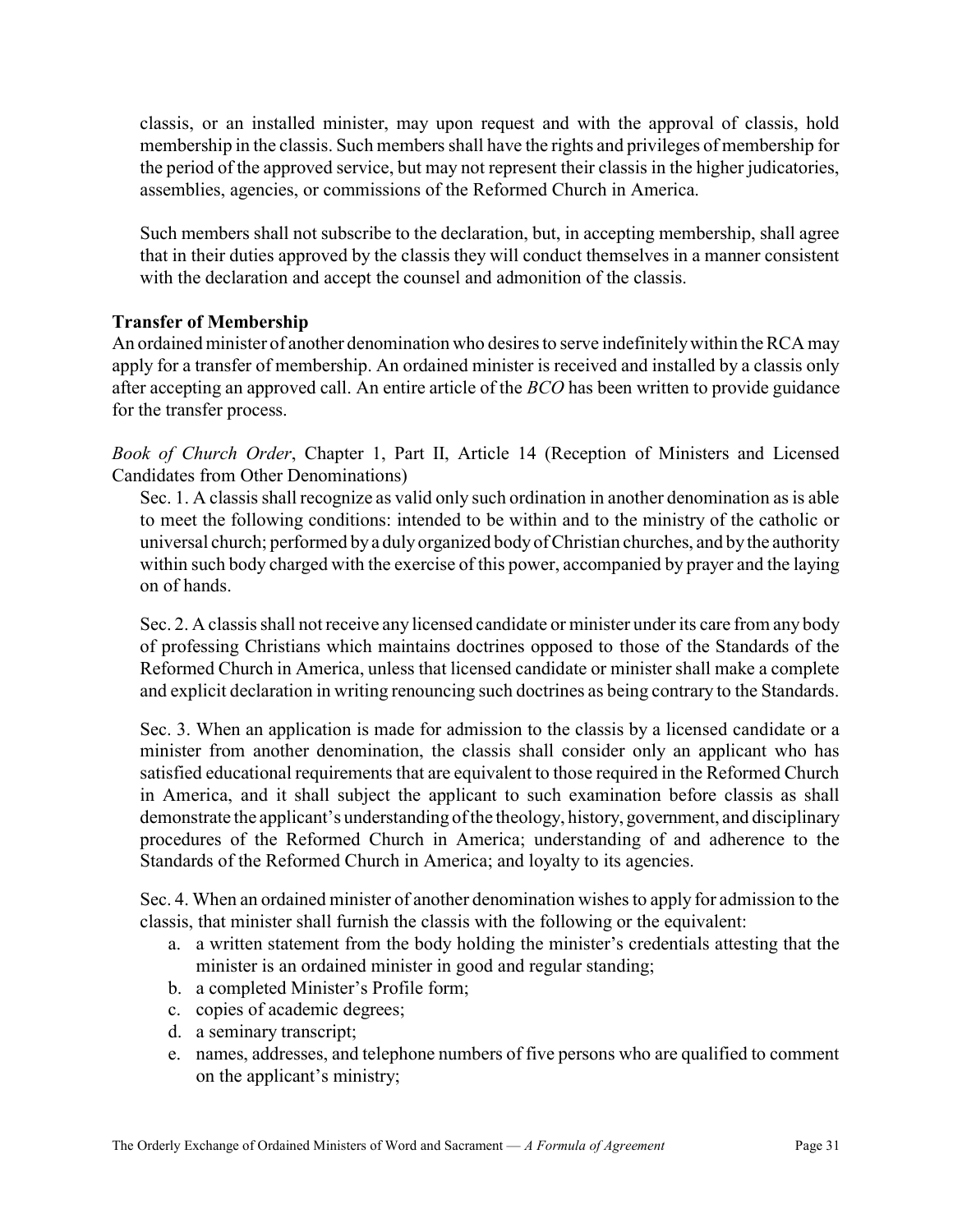classis, or an installed minister, may upon request and with the approval of classis, hold membership in the classis. Such members shall have the rights and privileges of membership for the period of the approved service, but may not represent their classis in the higher judicatories, assemblies, agencies, or commissions of the Reformed Church in America.

Such members shall not subscribe to the declaration, but, in accepting membership, shall agree that in their duties approved by the classis they will conduct themselves in a manner consistent with the declaration and accept the counsel and admonition of the classis.

### Transfer of Membership

An ordained minister of another denomination who desires to serve indefinitely within the RCA may apply for a transfer of membership. An ordained minister is received and installed by a classis only after accepting an approved call. An entire article of the BCO has been written to provide guidance for the transfer process.

Book of Church Order, Chapter 1, Part II, Article 14 (Reception of Ministers and Licensed Candidates from Other Denominations)

Sec. 1. A classis shall recognize as valid only such ordination in another denomination as is able to meet the following conditions: intended to be within and to the ministry of the catholic or universal church; performed by a duly organized body of Christian churches, and by the authority within such body charged with the exercise of this power, accompanied by prayer and the laying on of hands.

Sec. 2. A classis shall not receive any licensed candidate or minister under its care from any body of professing Christians which maintains doctrines opposed to those of the Standards of the Reformed Church in America, unless that licensed candidate or minister shall make a complete and explicit declaration in writing renouncing such doctrines as being contrary to the Standards.

Sec. 3. When an application is made for admission to the classis by a licensed candidate or a minister from another denomination, the classis shall consider only an applicant who has satisfied educational requirements that are equivalent to those required in the Reformed Church in America, and it shall subject the applicant to such examination before classis as shall demonstrate the applicant's understanding of the theology, history, government, and disciplinary procedures of the Reformed Church in America; understanding of and adherence to the Standards of the Reformed Church in America; and loyalty to its agencies.

Sec. 4. When an ordained minister of another denomination wishes to apply for admission to the classis, that minister shall furnish the classis with the following or the equivalent:

- a. a written statement from the body holding the minister's credentials attesting that the minister is an ordained minister in good and regular standing;
- b. a completed Minister's Profile form;
- c. copies of academic degrees;
- d. a seminary transcript;
- e. names, addresses, and telephone numbers of five persons who are qualified to comment on the applicant's ministry;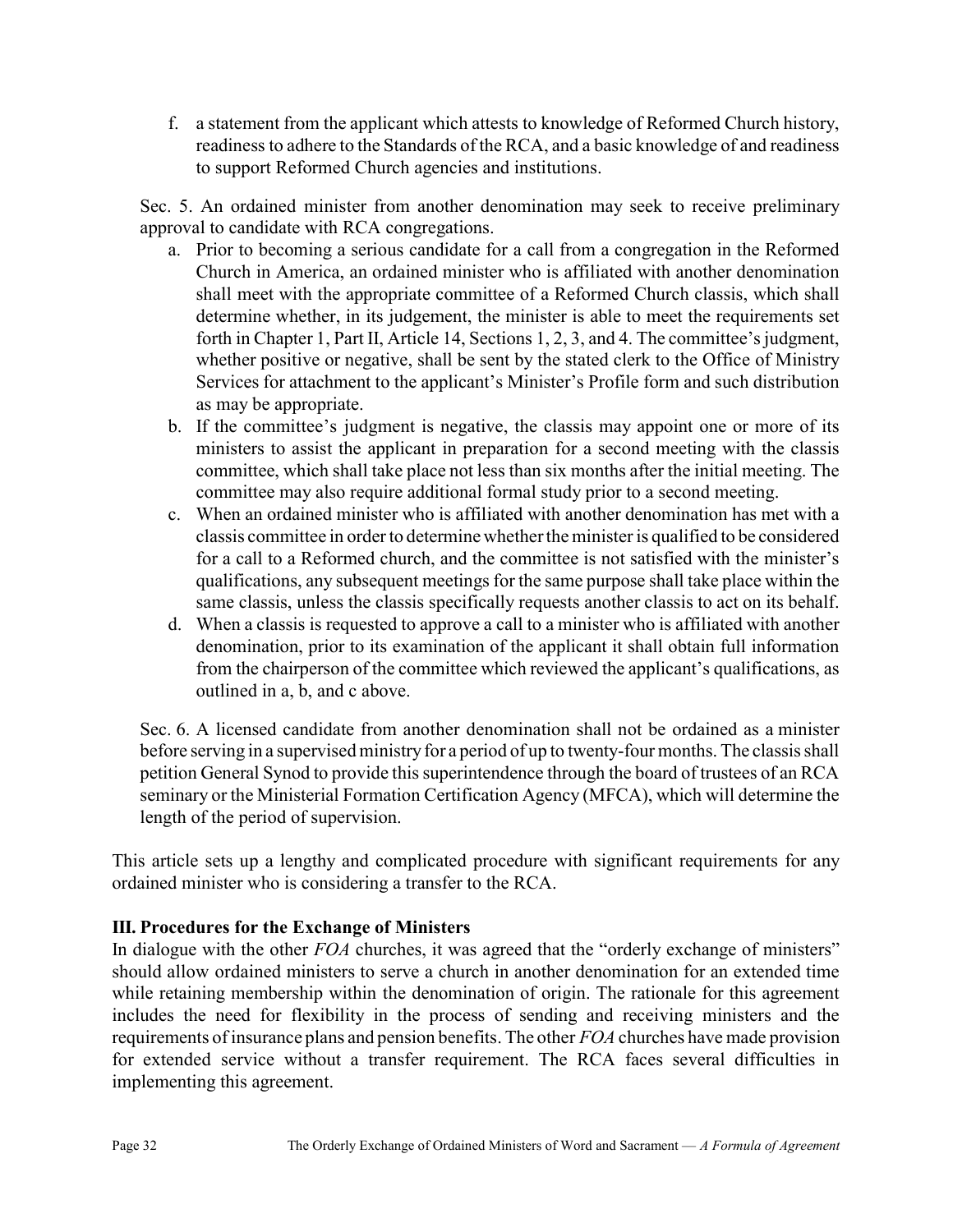f. a statement from the applicant which attests to knowledge of Reformed Church history, readiness to adhere to the Standards of the RCA, and a basic knowledge of and readiness to support Reformed Church agencies and institutions.

Sec. 5. An ordained minister from another denomination may seek to receive preliminary approval to candidate with RCA congregations.

- a. Prior to becoming a serious candidate for a call from a congregation in the Reformed Church in America, an ordained minister who is affiliated with another denomination shall meet with the appropriate committee of a Reformed Church classis, which shall determine whether, in its judgement, the minister is able to meet the requirements set forth in Chapter 1, Part II, Article 14, Sections 1, 2, 3, and 4. The committee's judgment, whether positive or negative, shall be sent by the stated clerk to the Office of Ministry Services for attachment to the applicant's Minister's Profile form and such distribution as may be appropriate.
- b. If the committee's judgment is negative, the classis may appoint one or more of its ministers to assist the applicant in preparation for a second meeting with the classis committee, which shall take place not less than six months after the initial meeting. The committee may also require additional formal study prior to a second meeting.
- c. When an ordained minister who is affiliated with another denomination has met with a classis committee in order to determine whether the minister is qualified to be considered for a call to a Reformed church, and the committee is not satisfied with the minister's qualifications, any subsequent meetings for the same purpose shall take place within the same classis, unless the classis specifically requests another classis to act on its behalf.
- d. When a classis is requested to approve a call to a minister who is affiliated with another denomination, prior to its examination of the applicant it shall obtain full information from the chairperson of the committee which reviewed the applicant's qualifications, as outlined in a, b, and c above.

Sec. 6. A licensed candidate from another denomination shall not be ordained as a minister before serving in a supervised ministry for a period of up to twenty-four months. The classis shall petition General Synod to provide this superintendence through the board of trustees of an RCA seminary or the Ministerial Formation Certification Agency (MFCA), which will determine the length of the period of supervision.

This article sets up a lengthy and complicated procedure with significant requirements for any ordained minister who is considering a transfer to the RCA.

### III. Procedures for the Exchange of Ministers

In dialogue with the other FOA churches, it was agreed that the "orderly exchange of ministers" should allow ordained ministers to serve a church in another denomination for an extended time while retaining membership within the denomination of origin. The rationale for this agreement includes the need for flexibility in the process of sending and receiving ministers and the requirements of insurance plans and pension benefits. The other FOA churches have made provision for extended service without a transfer requirement. The RCA faces several difficulties in implementing this agreement.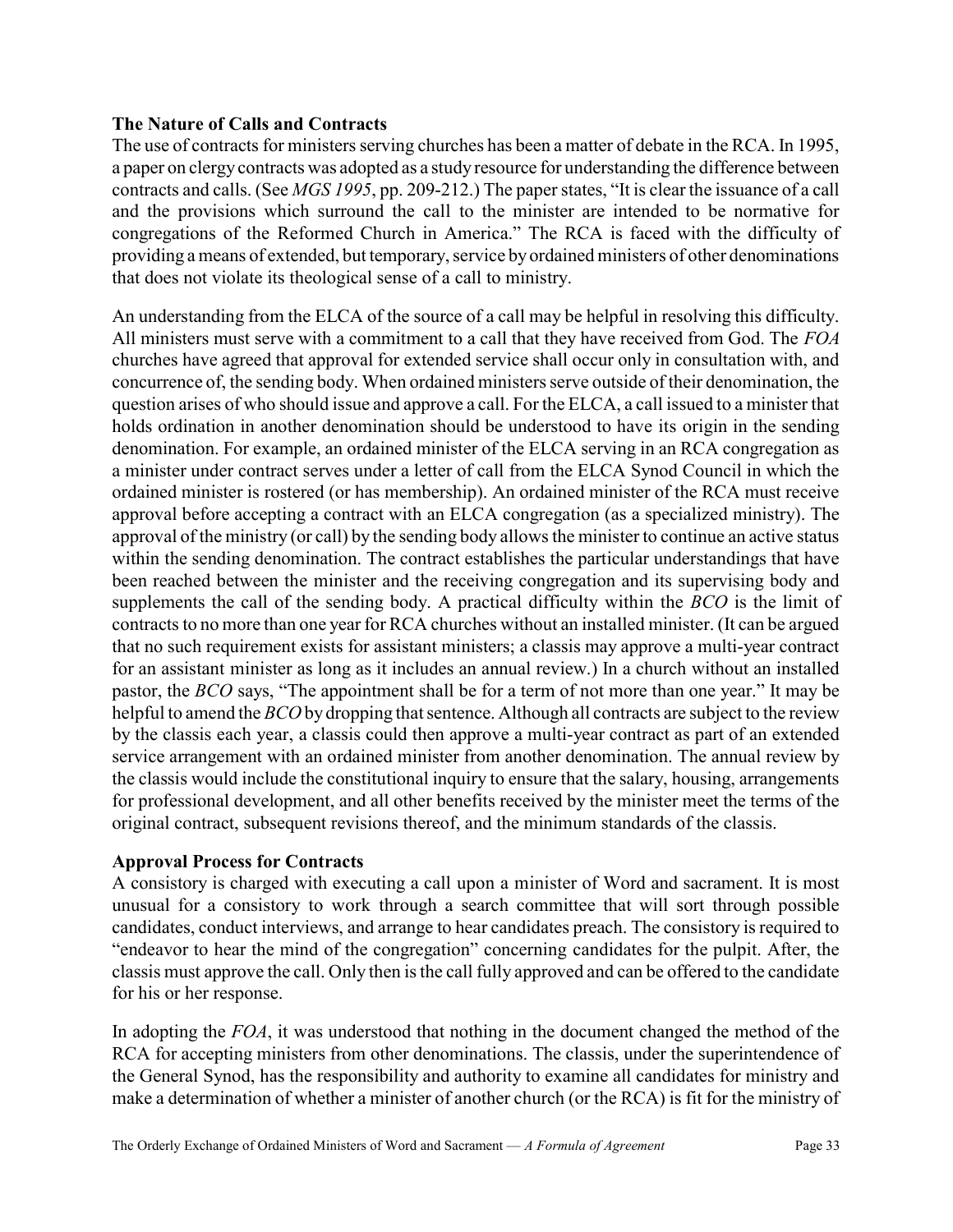### The Nature of Calls and Contracts

The use of contracts for ministers serving churches has been a matter of debate in the RCA. In 1995, a paper on clergy contracts was adopted as a study resource for understanding the difference between contracts and calls. (See MGS 1995, pp. 209-212.) The paper states, "It is clear the issuance of a call and the provisions which surround the call to the minister are intended to be normative for congregations of the Reformed Church in America." The RCA is faced with the difficulty of providing a means of extended, but temporary, service by ordained ministers of other denominations that does not violate its theological sense of a call to ministry.

An understanding from the ELCA of the source of a call may be helpful in resolving this difficulty. All ministers must serve with a commitment to a call that they have received from God. The FOA churches have agreed that approval for extended service shall occur only in consultation with, and concurrence of, the sending body. When ordained ministers serve outside of their denomination, the question arises of who should issue and approve a call. For the ELCA, a call issued to a minister that holds ordination in another denomination should be understood to have its origin in the sending denomination. For example, an ordained minister of the ELCA serving in an RCA congregation as a minister under contract serves under a letter of call from the ELCA Synod Council in which the ordained minister is rostered (or has membership). An ordained minister of the RCA must receive approval before accepting a contract with an ELCA congregation (as a specialized ministry). The approval of the ministry (or call) by the sending body allows the minister to continue an active status within the sending denomination. The contract establishes the particular understandings that have been reached between the minister and the receiving congregation and its supervising body and supplements the call of the sending body. A practical difficulty within the BCO is the limit of contracts to no more than one year for RCA churches without an installed minister. (It can be argued that no such requirement exists for assistant ministers; a classis may approve a multi-year contract for an assistant minister as long as it includes an annual review.) In a church without an installed pastor, the BCO says, "The appointment shall be for a term of not more than one year." It may be helpful to amend the BCO by dropping that sentence. Although all contracts are subject to the review by the classis each year, a classis could then approve a multi-year contract as part of an extended service arrangement with an ordained minister from another denomination. The annual review by the classis would include the constitutional inquiry to ensure that the salary, housing, arrangements for professional development, and all other benefits received by the minister meet the terms of the original contract, subsequent revisions thereof, and the minimum standards of the classis.

### Approval Process for Contracts

A consistory is charged with executing a call upon a minister of Word and sacrament. It is most unusual for a consistory to work through a search committee that will sort through possible candidates, conduct interviews, and arrange to hear candidates preach. The consistory is required to "endeavor to hear the mind of the congregation" concerning candidates for the pulpit. After, the classis must approve the call. Only then is the call fully approved and can be offered to the candidate for his or her response.

In adopting the FOA, it was understood that nothing in the document changed the method of the RCA for accepting ministers from other denominations. The classis, under the superintendence of the General Synod, has the responsibility and authority to examine all candidates for ministry and make a determination of whether a minister of another church (or the RCA) is fit for the ministry of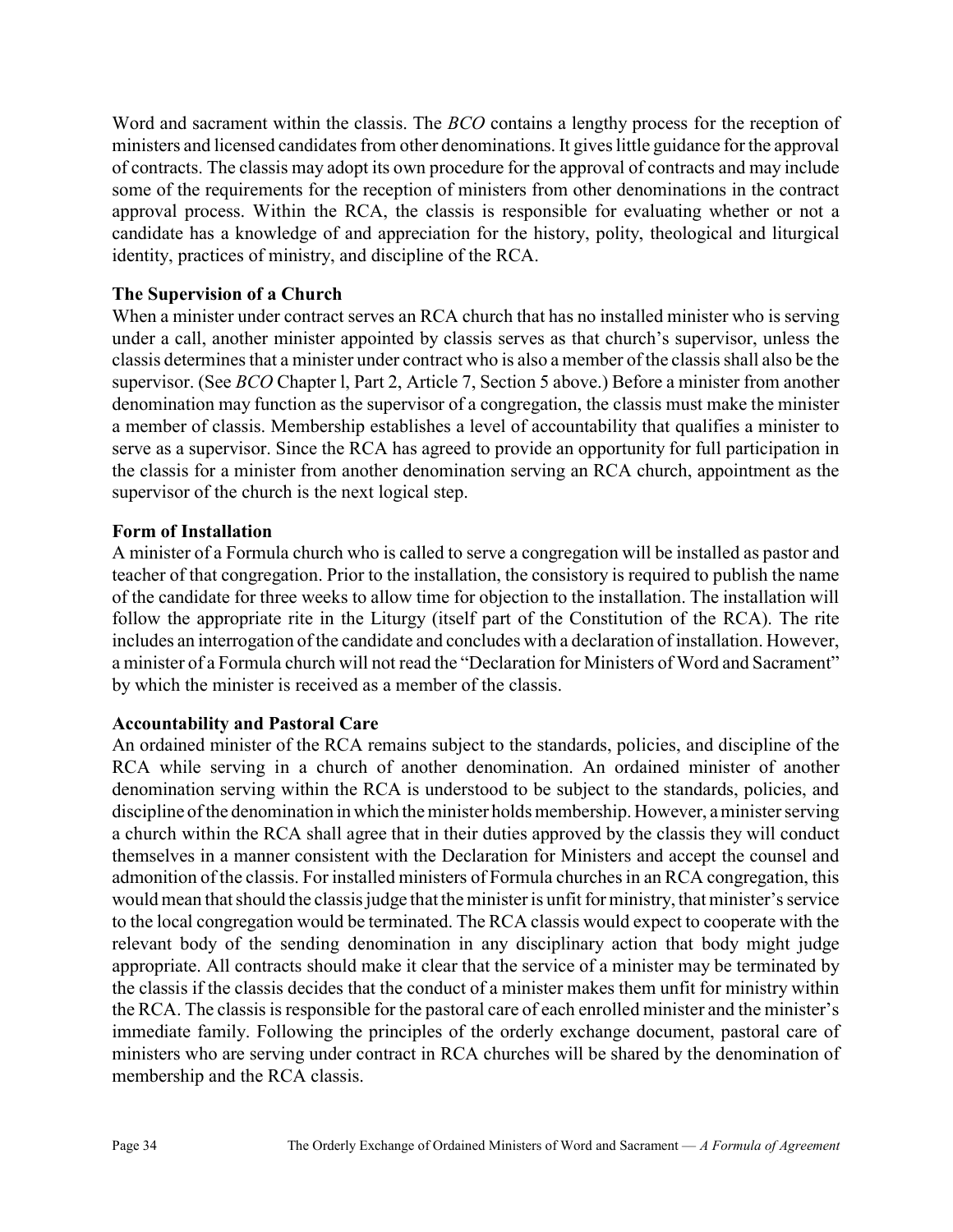Word and sacrament within the classis. The *BCO* contains a lengthy process for the reception of ministers and licensed candidates from other denominations. It gives little guidance for the approval of contracts. The classis may adopt its own procedure for the approval of contracts and may include some of the requirements for the reception of ministers from other denominations in the contract approval process. Within the RCA, the classis is responsible for evaluating whether or not a candidate has a knowledge of and appreciation for the history, polity, theological and liturgical identity, practices of ministry, and discipline of the RCA.

### The Supervision of a Church

When a minister under contract serves an RCA church that has no installed minister who is serving under a call, another minister appointed by classis serves as that church's supervisor, unless the classis determines that a minister under contract who is also a member of the classis shall also be the supervisor. (See BCO Chapter l, Part 2, Article 7, Section 5 above.) Before a minister from another denomination may function as the supervisor of a congregation, the classis must make the minister a member of classis. Membership establishes a level of accountability that qualifies a minister to serve as a supervisor. Since the RCA has agreed to provide an opportunity for full participation in the classis for a minister from another denomination serving an RCA church, appointment as the supervisor of the church is the next logical step.

### Form of Installation

A minister of a Formula church who is called to serve a congregation will be installed as pastor and teacher of that congregation. Prior to the installation, the consistory is required to publish the name of the candidate for three weeks to allow time for objection to the installation. The installation will follow the appropriate rite in the Liturgy (itself part of the Constitution of the RCA). The rite includes an interrogation of the candidate and concludes with a declaration of installation. However, a minister of a Formula church will not read the "Declaration for Ministers of Word and Sacrament" by which the minister is received as a member of the classis.

### Accountability and Pastoral Care

An ordained minister of the RCA remains subject to the standards, policies, and discipline of the RCA while serving in a church of another denomination. An ordained minister of another denomination serving within the RCA is understood to be subject to the standards, policies, and discipline of the denomination in which the minister holds membership. However, a minister serving a church within the RCA shall agree that in their duties approved by the classis they will conduct themselves in a manner consistent with the Declaration for Ministers and accept the counsel and admonition of the classis. For installed ministers of Formula churches in an RCA congregation, this would mean that should the classis judge that the minister is unfit for ministry, that minister's service to the local congregation would be terminated. The RCA classis would expect to cooperate with the relevant body of the sending denomination in any disciplinary action that body might judge appropriate. All contracts should make it clear that the service of a minister may be terminated by the classis if the classis decides that the conduct of a minister makes them unfit for ministry within the RCA. The classis is responsible for the pastoral care of each enrolled minister and the minister's immediate family. Following the principles of the orderly exchange document, pastoral care of ministers who are serving under contract in RCA churches will be shared by the denomination of membership and the RCA classis.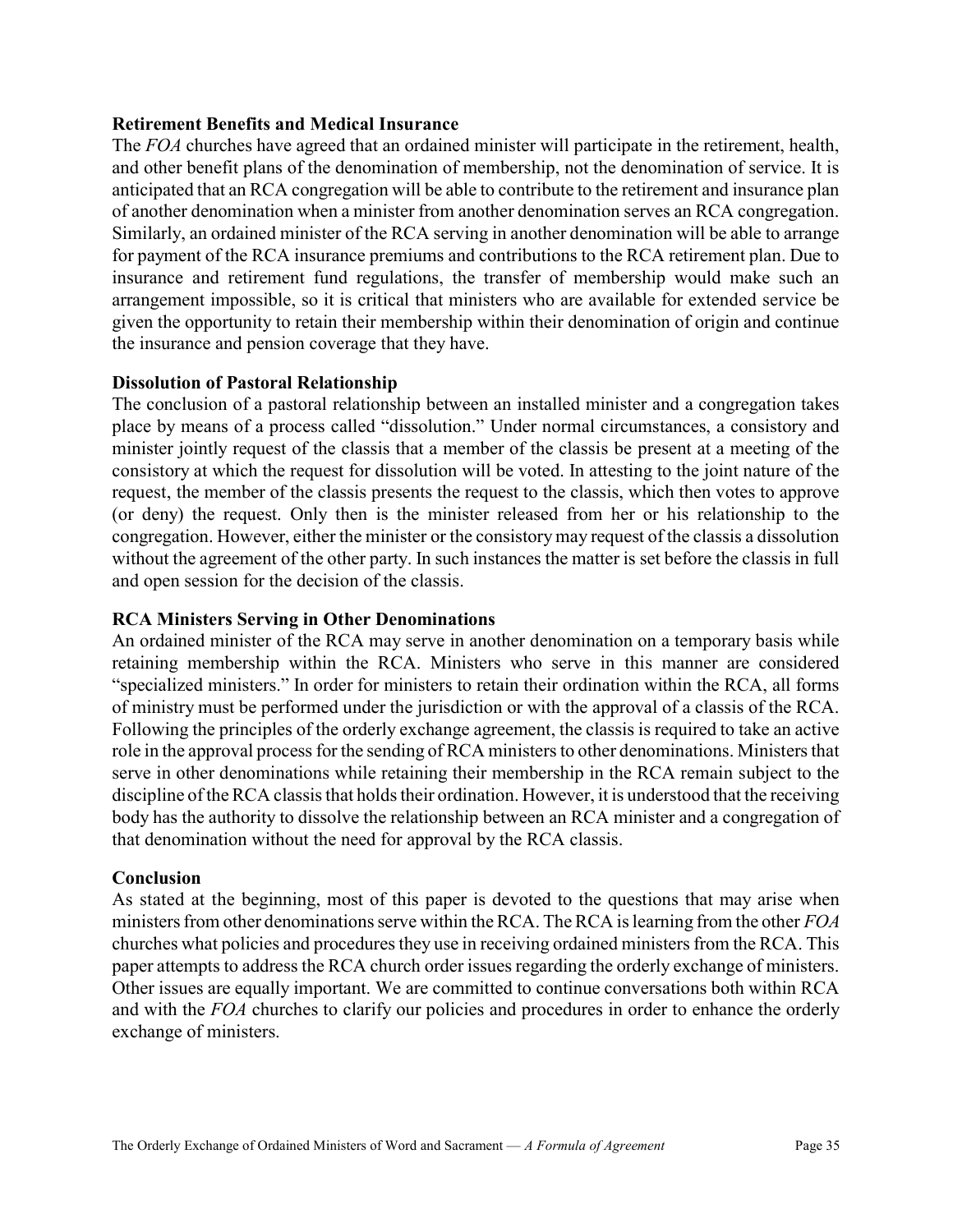### Retirement Benefits and Medical Insurance

The FOA churches have agreed that an ordained minister will participate in the retirement, health, and other benefit plans of the denomination of membership, not the denomination of service. It is anticipated that an RCA congregation will be able to contribute to the retirement and insurance plan of another denomination when a minister from another denomination serves an RCA congregation. Similarly, an ordained minister of the RCA serving in another denomination will be able to arrange for payment of the RCA insurance premiums and contributions to the RCA retirement plan. Due to insurance and retirement fund regulations, the transfer of membership would make such an arrangement impossible, so it is critical that ministers who are available for extended service be given the opportunity to retain their membership within their denomination of origin and continue the insurance and pension coverage that they have.

### Dissolution of Pastoral Relationship

The conclusion of a pastoral relationship between an installed minister and a congregation takes place by means of a process called "dissolution." Under normal circumstances, a consistory and minister jointly request of the classis that a member of the classis be present at a meeting of the consistory at which the request for dissolution will be voted. In attesting to the joint nature of the request, the member of the classis presents the request to the classis, which then votes to approve (or deny) the request. Only then is the minister released from her or his relationship to the congregation. However, either the minister or the consistory may request of the classis a dissolution without the agreement of the other party. In such instances the matter is set before the classis in full and open session for the decision of the classis.

#### RCA Ministers Serving in Other Denominations

An ordained minister of the RCA may serve in another denomination on a temporary basis while retaining membership within the RCA. Ministers who serve in this manner are considered "specialized ministers." In order for ministers to retain their ordination within the RCA, all forms of ministry must be performed under the jurisdiction or with the approval of a classis of the RCA. Following the principles of the orderly exchange agreement, the classis is required to take an active role in the approval process for the sending of RCA ministers to other denominations. Ministers that serve in other denominations while retaining their membership in the RCA remain subject to the discipline of the RCA classis that holds their ordination. However, it is understood that the receiving body has the authority to dissolve the relationship between an RCA minister and a congregation of that denomination without the need for approval by the RCA classis.

#### Conclusion

As stated at the beginning, most of this paper is devoted to the questions that may arise when ministers from other denominations serve within the RCA. The RCA is learning from the other  $FOA$ churches what policies and procedures they use in receiving ordained ministers from the RCA. This paper attempts to address the RCA church order issues regarding the orderly exchange of ministers. Other issues are equally important. We are committed to continue conversations both within RCA and with the FOA churches to clarify our policies and procedures in order to enhance the orderly exchange of ministers.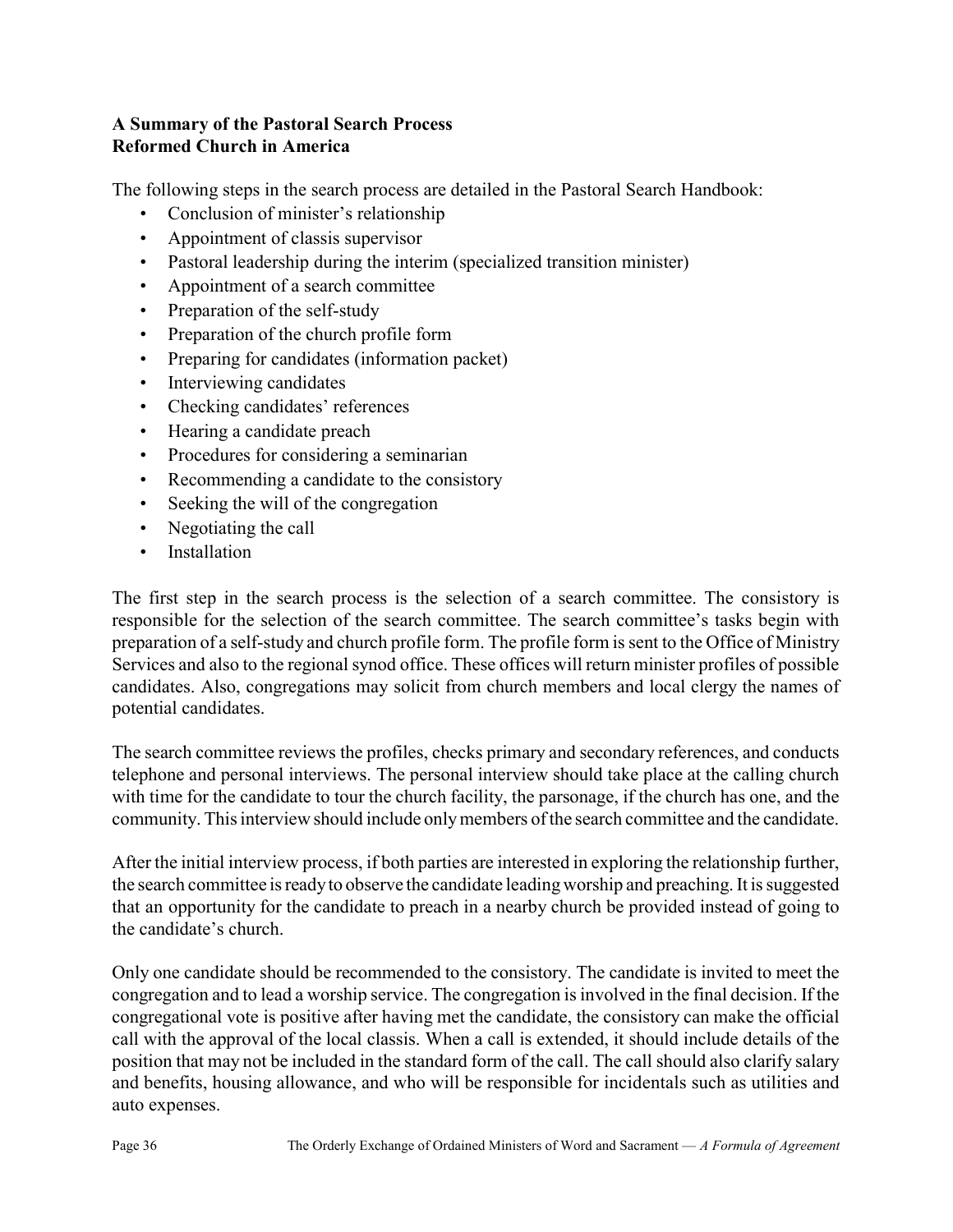### A Summary of the Pastoral Search Process Reformed Church in America

The following steps in the search process are detailed in the Pastoral Search Handbook:

- Conclusion of minister's relationship
- Appointment of classis supervisor
- Pastoral leadership during the interim (specialized transition minister)
- Appointment of a search committee
- Preparation of the self-study
- Preparation of the church profile form
- Preparing for candidates (information packet)
- Interviewing candidates
- Checking candidates' references
- Hearing a candidate preach
- Procedures for considering a seminarian
- Recommending a candidate to the consistory
- Seeking the will of the congregation
- Negotiating the call
- Installation

The first step in the search process is the selection of a search committee. The consistory is responsible for the selection of the search committee. The search committee's tasks begin with preparation of a self-study and church profile form. The profile form is sent to the Office of Ministry Services and also to the regional synod office. These offices will return minister profiles of possible candidates. Also, congregations may solicit from church members and local clergy the names of potential candidates.

The search committee reviews the profiles, checks primary and secondary references, and conducts telephone and personal interviews. The personal interview should take place at the calling church with time for the candidate to tour the church facility, the parsonage, if the church has one, and the community. This interview should include only members of the search committee and the candidate.

After the initial interview process, if both parties are interested in exploring the relationship further, the search committee is ready to observe the candidate leading worship and preaching. It is suggested that an opportunity for the candidate to preach in a nearby church be provided instead of going to the candidate's church.

Only one candidate should be recommended to the consistory. The candidate is invited to meet the congregation and to lead a worship service. The congregation is involved in the final decision. If the congregational vote is positive after having met the candidate, the consistory can make the official call with the approval of the local classis. When a call is extended, it should include details of the position that may not be included in the standard form of the call. The call should also clarify salary and benefits, housing allowance, and who will be responsible for incidentals such as utilities and auto expenses.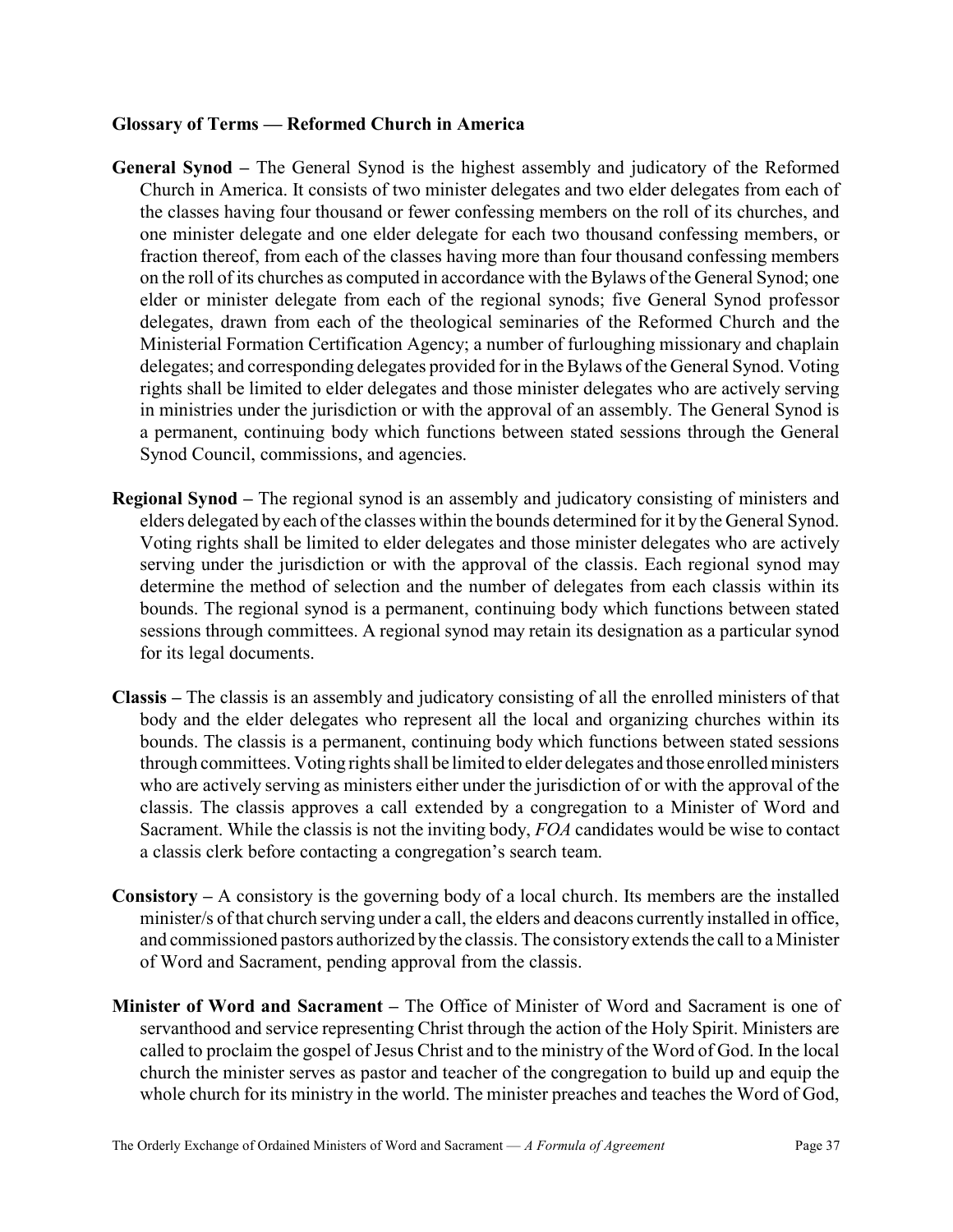### Glossary of Terms — Reformed Church in America

- General Synod The General Synod is the highest assembly and judicatory of the Reformed Church in America. It consists of two minister delegates and two elder delegates from each of the classes having four thousand or fewer confessing members on the roll of its churches, and one minister delegate and one elder delegate for each two thousand confessing members, or fraction thereof, from each of the classes having more than four thousand confessing members on the roll of its churches as computed in accordance with the Bylaws of the General Synod; one elder or minister delegate from each of the regional synods; five General Synod professor delegates, drawn from each of the theological seminaries of the Reformed Church and the Ministerial Formation Certification Agency; a number of furloughing missionary and chaplain delegates; and corresponding delegates provided for in the Bylaws of the General Synod. Voting rights shall be limited to elder delegates and those minister delegates who are actively serving in ministries under the jurisdiction or with the approval of an assembly. The General Synod is a permanent, continuing body which functions between stated sessions through the General Synod Council, commissions, and agencies.
- Regional Synod The regional synod is an assembly and judicatory consisting of ministers and elders delegated by each of the classes within the bounds determined for it by the General Synod. Voting rights shall be limited to elder delegates and those minister delegates who are actively serving under the jurisdiction or with the approval of the classis. Each regional synod may determine the method of selection and the number of delegates from each classis within its bounds. The regional synod is a permanent, continuing body which functions between stated sessions through committees. A regional synod may retain its designation as a particular synod for its legal documents.
- Classis The classis is an assembly and judicatory consisting of all the enrolled ministers of that body and the elder delegates who represent all the local and organizing churches within its bounds. The classis is a permanent, continuing body which functions between stated sessions through committees. Voting rights shall be limited to elder delegates and those enrolled ministers who are actively serving as ministers either under the jurisdiction of or with the approval of the classis. The classis approves a call extended by a congregation to a Minister of Word and Sacrament. While the classis is not the inviting body, FOA candidates would be wise to contact a classis clerk before contacting a congregation's search team.
- **Consistory** A consistory is the governing body of a local church. Its members are the installed minister/s of that church serving under a call, the elders and deacons currently installed in office, and commissioned pastors authorized by the classis. The consistory extends the call to a Minister of Word and Sacrament, pending approval from the classis.
- Minister of Word and Sacrament The Office of Minister of Word and Sacrament is one of servanthood and service representing Christ through the action of the Holy Spirit. Ministers are called to proclaim the gospel of Jesus Christ and to the ministry of the Word of God. In the local church the minister serves as pastor and teacher of the congregation to build up and equip the whole church for its ministry in the world. The minister preaches and teaches the Word of God,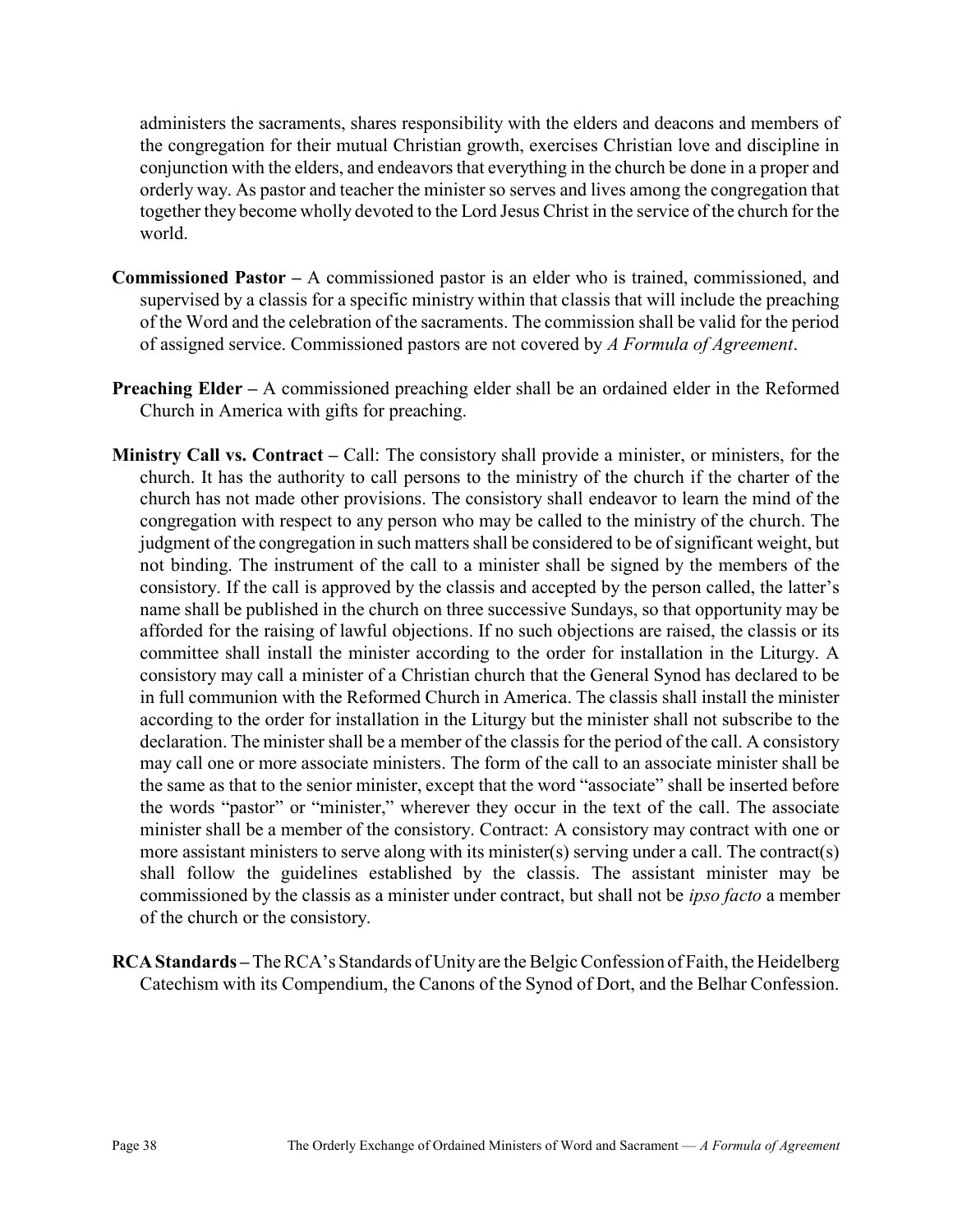administers the sacraments, shares responsibility with the elders and deacons and members of the congregation for their mutual Christian growth, exercises Christian love and discipline in conjunction with the elders, and endeavors that everything in the church be done in a proper and orderly way. As pastor and teacher the minister so serves and lives among the congregation that together they become wholly devoted to the Lord Jesus Christ in the service of the church for the world.

- Commissioned Pastor A commissioned pastor is an elder who is trained, commissioned, and supervised by a classis for a specific ministry within that classis that will include the preaching of the Word and the celebration of the sacraments. The commission shall be valid for the period of assigned service. Commissioned pastors are not covered by A Formula of Agreement.
- Preaching Elder A commissioned preaching elder shall be an ordained elder in the Reformed Church in America with gifts for preaching.
- Ministry Call vs. Contract Call: The consistory shall provide a minister, or ministers, for the church. It has the authority to call persons to the ministry of the church if the charter of the church has not made other provisions. The consistory shall endeavor to learn the mind of the congregation with respect to any person who may be called to the ministry of the church. The judgment of the congregation in such matters shall be considered to be of significant weight, but not binding. The instrument of the call to a minister shall be signed by the members of the consistory. If the call is approved by the classis and accepted by the person called, the latter's name shall be published in the church on three successive Sundays, so that opportunity may be afforded for the raising of lawful objections. If no such objections are raised, the classis or its committee shall install the minister according to the order for installation in the Liturgy. A consistory may call a minister of a Christian church that the General Synod has declared to be in full communion with the Reformed Church in America. The classis shall install the minister according to the order for installation in the Liturgy but the minister shall not subscribe to the declaration. The minister shall be a member of the classis for the period of the call. A consistory may call one or more associate ministers. The form of the call to an associate minister shall be the same as that to the senior minister, except that the word "associate" shall be inserted before the words "pastor" or "minister," wherever they occur in the text of the call. The associate minister shall be a member of the consistory. Contract: A consistory may contract with one or more assistant ministers to serve along with its minister(s) serving under a call. The contract(s) shall follow the guidelines established by the classis. The assistant minister may be commissioned by the classis as a minister under contract, but shall not be *ipso facto* a member of the church or the consistory.
- RCA Standards The RCA's Standards of Unity are the Belgic Confession of Faith, the Heidelberg Catechism with its Compendium, the Canons of the Synod of Dort, and the Belhar Confession.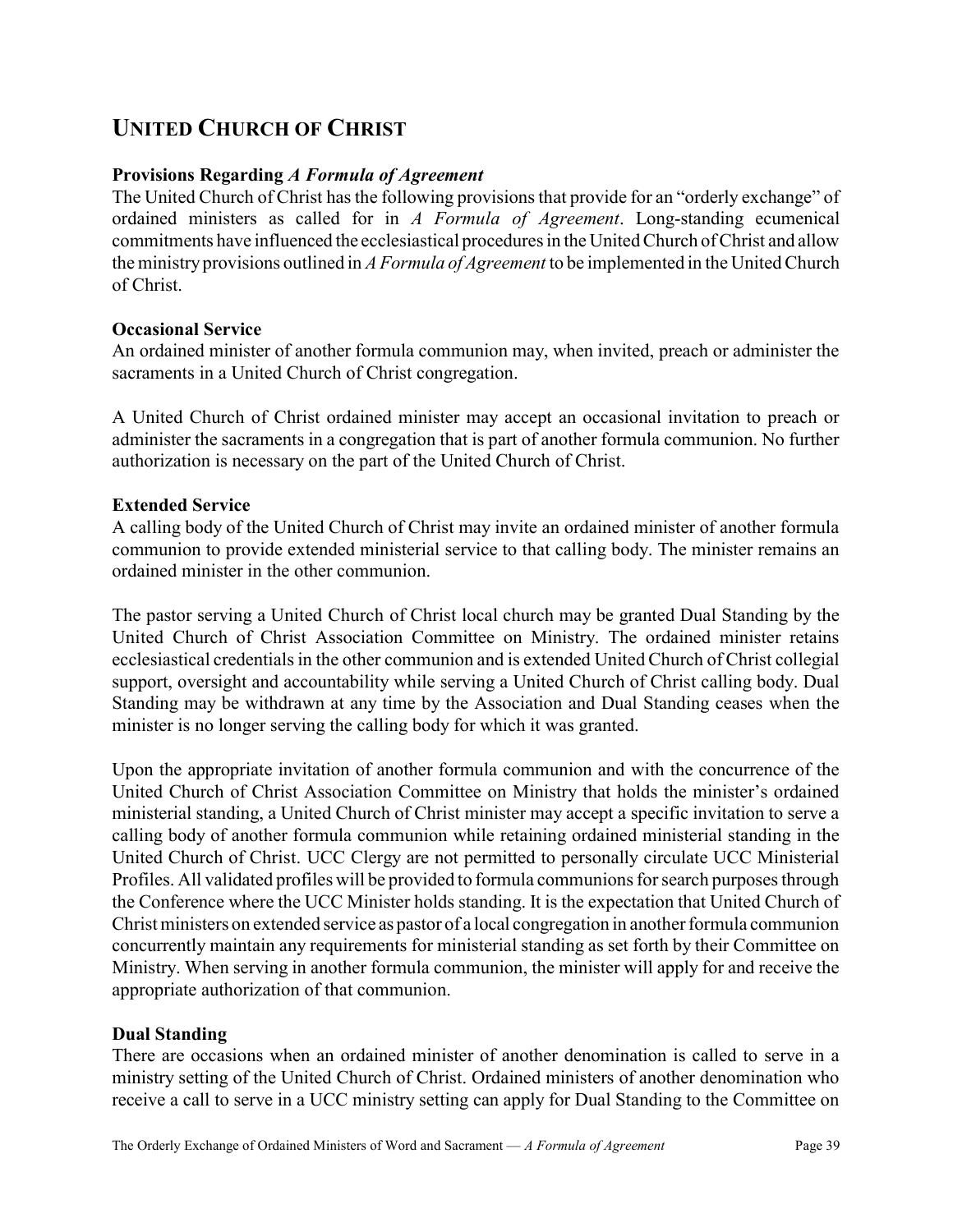# UNITED CHURCH OF CHRIST

### Provisions Regarding A Formula of Agreement

The United Church of Christ has the following provisions that provide for an "orderly exchange" of ordained ministers as called for in A Formula of Agreement. Long-standing ecumenical commitments have influenced the ecclesiastical procedures in the United Church of Christ and allow the ministry provisions outlined in A Formula of Agreement to be implemented in the United Church of Christ.

### Occasional Service

An ordained minister of another formula communion may, when invited, preach or administer the sacraments in a United Church of Christ congregation.

A United Church of Christ ordained minister may accept an occasional invitation to preach or administer the sacraments in a congregation that is part of another formula communion. No further authorization is necessary on the part of the United Church of Christ.

### Extended Service

A calling body of the United Church of Christ may invite an ordained minister of another formula communion to provide extended ministerial service to that calling body. The minister remains an ordained minister in the other communion.

The pastor serving a United Church of Christ local church may be granted Dual Standing by the United Church of Christ Association Committee on Ministry. The ordained minister retains ecclesiastical credentials in the other communion and is extended United Church of Christ collegial support, oversight and accountability while serving a United Church of Christ calling body. Dual Standing may be withdrawn at any time by the Association and Dual Standing ceases when the minister is no longer serving the calling body for which it was granted.

Upon the appropriate invitation of another formula communion and with the concurrence of the United Church of Christ Association Committee on Ministry that holds the minister's ordained ministerial standing, a United Church of Christ minister may accept a specific invitation to serve a calling body of another formula communion while retaining ordained ministerial standing in the United Church of Christ. UCC Clergy are not permitted to personally circulate UCC Ministerial Profiles. All validated profiles will be provided to formula communions for search purposes through the Conference where the UCC Minister holds standing. It is the expectation that United Church of Christ ministers on extended service as pastor of a local congregation in another formula communion concurrently maintain any requirements for ministerial standing as set forth by their Committee on Ministry. When serving in another formula communion, the minister will apply for and receive the appropriate authorization of that communion.

### Dual Standing

There are occasions when an ordained minister of another denomination is called to serve in a ministry setting of the United Church of Christ. Ordained ministers of another denomination who receive a call to serve in a UCC ministry setting can apply for Dual Standing to the Committee on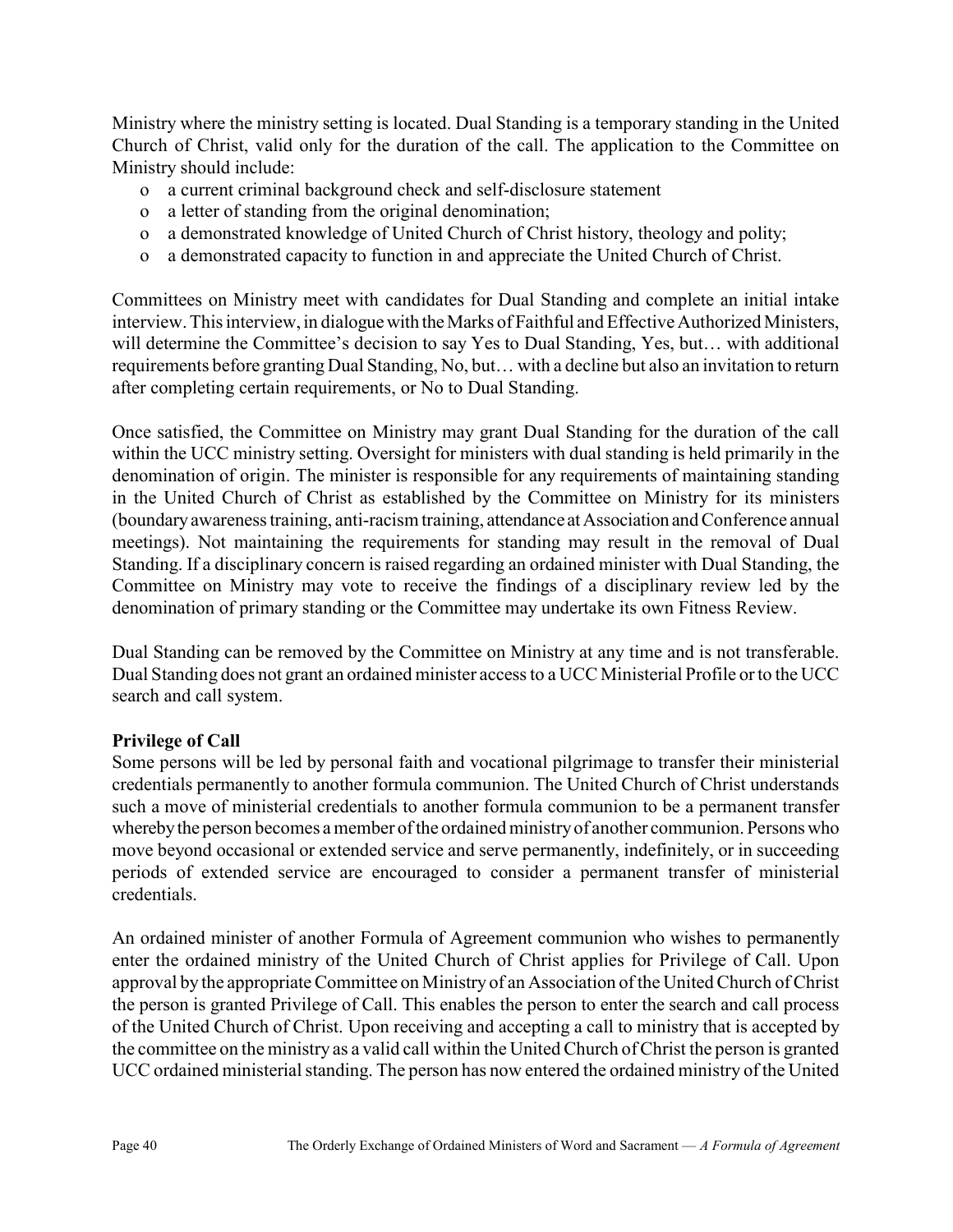Ministry where the ministry setting is located. Dual Standing is a temporary standing in the United Church of Christ, valid only for the duration of the call. The application to the Committee on Ministry should include:

- o a current criminal background check and self-disclosure statement
- o a letter of standing from the original denomination;
- o a demonstrated knowledge of United Church of Christ history, theology and polity;
- o a demonstrated capacity to function in and appreciate the United Church of Christ.

Committees on Ministry meet with candidates for Dual Standing and complete an initial intake interview. This interview, in dialogue with the Marks of Faithful and Effective Authorized Ministers, will determine the Committee's decision to say Yes to Dual Standing, Yes, but... with additional requirements before granting Dual Standing, No, but… with a decline but also an invitation to return after completing certain requirements, or No to Dual Standing.

Once satisfied, the Committee on Ministry may grant Dual Standing for the duration of the call within the UCC ministry setting. Oversight for ministers with dual standing is held primarily in the denomination of origin. The minister is responsible for any requirements of maintaining standing in the United Church of Christ as established by the Committee on Ministry for its ministers (boundary awareness training, anti-racism training, attendance at Association and Conference annual meetings). Not maintaining the requirements for standing may result in the removal of Dual Standing. If a disciplinary concern is raised regarding an ordained minister with Dual Standing, the Committee on Ministry may vote to receive the findings of a disciplinary review led by the denomination of primary standing or the Committee may undertake its own Fitness Review.

Dual Standing can be removed by the Committee on Ministry at any time and is not transferable. Dual Standing does not grant an ordained minister access to a UCC Ministerial Profile or to the UCC search and call system.

### Privilege of Call

Some persons will be led by personal faith and vocational pilgrimage to transfer their ministerial credentials permanently to another formula communion. The United Church of Christ understands such a move of ministerial credentials to another formula communion to be a permanent transfer whereby the person becomes a member of the ordained ministry of another communion. Persons who move beyond occasional or extended service and serve permanently, indefinitely, or in succeeding periods of extended service are encouraged to consider a permanent transfer of ministerial credentials.

An ordained minister of another Formula of Agreement communion who wishes to permanently enter the ordained ministry of the United Church of Christ applies for Privilege of Call. Upon approval by the appropriate Committee on Ministry of an Association of the United Church of Christ the person is granted Privilege of Call. This enables the person to enter the search and call process of the United Church of Christ. Upon receiving and accepting a call to ministry that is accepted by the committee on the ministry as a valid call within the United Church of Christ the person is granted UCC ordained ministerial standing. The person has now entered the ordained ministry of the United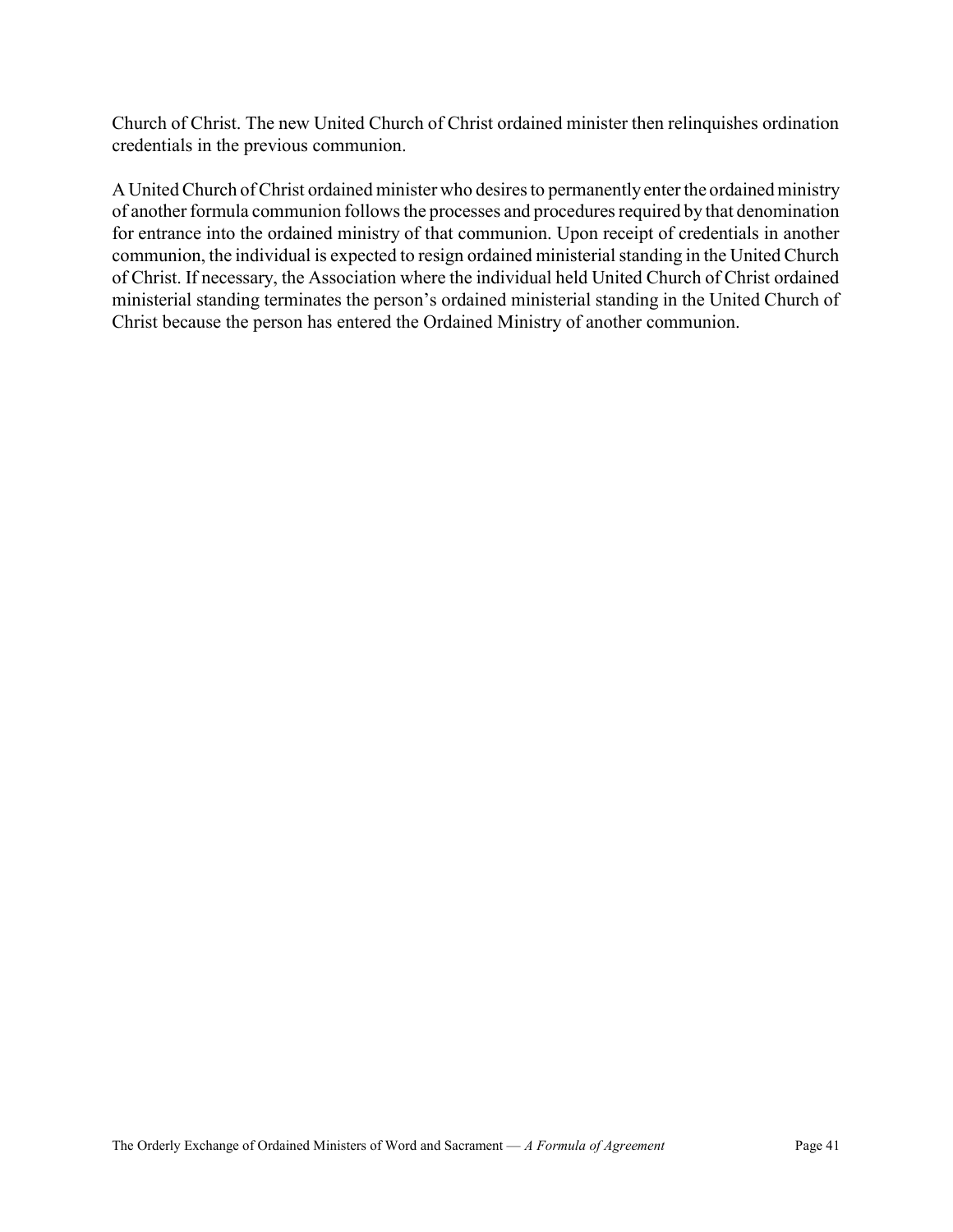Church of Christ. The new United Church of Christ ordained minister then relinquishes ordination credentials in the previous communion.

A United Church of Christ ordained minister who desires to permanently enter the ordained ministry of another formula communion follows the processes and procedures required by that denomination for entrance into the ordained ministry of that communion. Upon receipt of credentials in another communion, the individual is expected to resign ordained ministerial standing in the United Church of Christ. If necessary, the Association where the individual held United Church of Christ ordained ministerial standing terminates the person's ordained ministerial standing in the United Church of Christ because the person has entered the Ordained Ministry of another communion.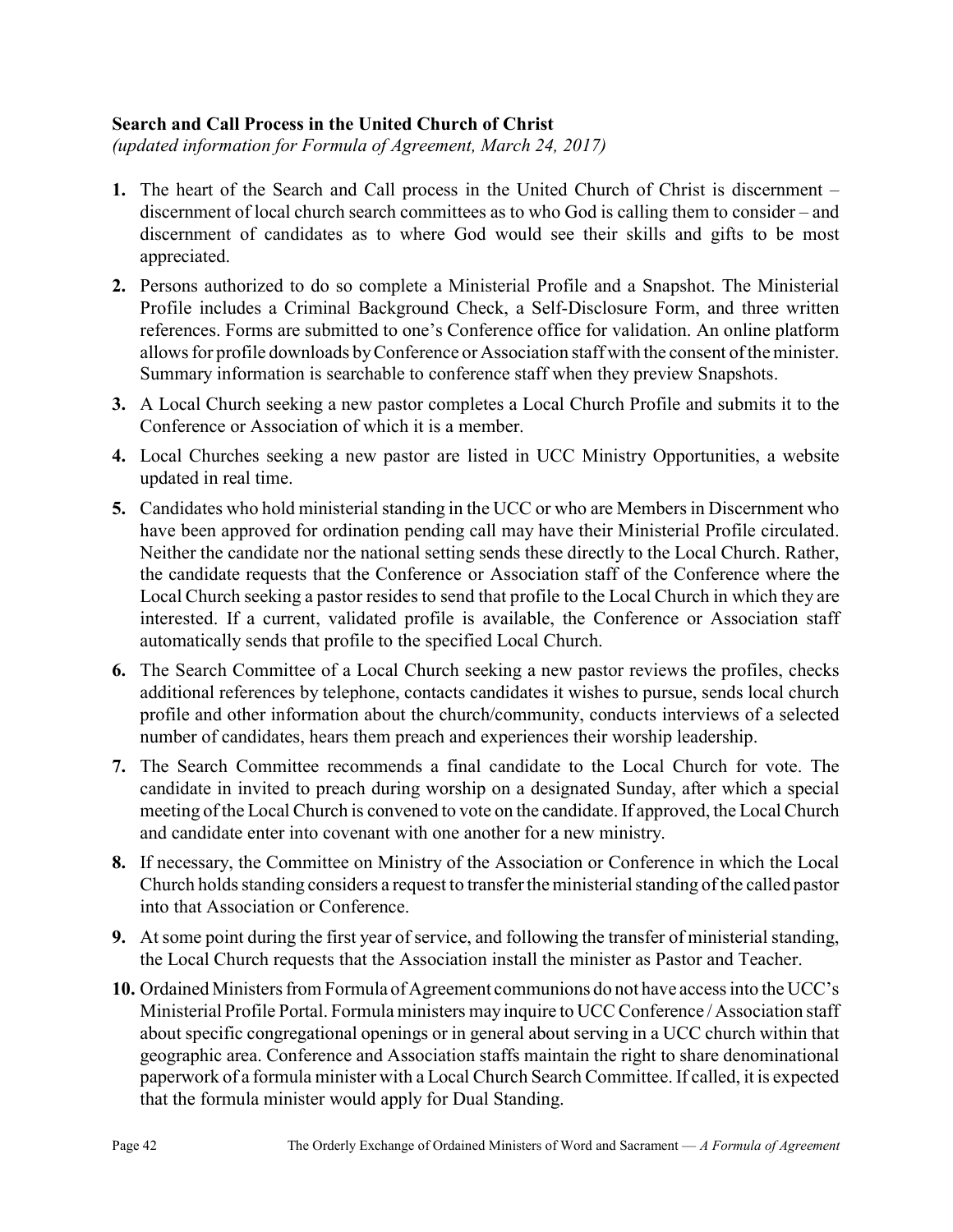### Search and Call Process in the United Church of Christ

(updated information for Formula of Agreement, March 24, 2017)

- 1. The heart of the Search and Call process in the United Church of Christ is discernment discernment of local church search committees as to who God is calling them to consider – and discernment of candidates as to where God would see their skills and gifts to be most appreciated.
- 2. Persons authorized to do so complete a Ministerial Profile and a Snapshot. The Ministerial Profile includes a Criminal Background Check, a Self-Disclosure Form, and three written references. Forms are submitted to one's Conference office for validation. An online platform allows for profile downloads by Conference or Association staff with the consent of the minister. Summary information is searchable to conference staff when they preview Snapshots.
- 3. A Local Church seeking a new pastor completes a Local Church Profile and submits it to the Conference or Association of which it is a member.
- 4. Local Churches seeking a new pastor are listed in UCC Ministry Opportunities, a website updated in real time.
- 5. Candidates who hold ministerial standing in the UCC or who are Members in Discernment who have been approved for ordination pending call may have their Ministerial Profile circulated. Neither the candidate nor the national setting sends these directly to the Local Church. Rather, the candidate requests that the Conference or Association staff of the Conference where the Local Church seeking a pastor resides to send that profile to the Local Church in which they are interested. If a current, validated profile is available, the Conference or Association staff automatically sends that profile to the specified Local Church.
- 6. The Search Committee of a Local Church seeking a new pastor reviews the profiles, checks additional references by telephone, contacts candidates it wishes to pursue, sends local church profile and other information about the church/community, conducts interviews of a selected number of candidates, hears them preach and experiences their worship leadership.
- 7. The Search Committee recommends a final candidate to the Local Church for vote. The candidate in invited to preach during worship on a designated Sunday, after which a special meeting of the Local Church is convened to vote on the candidate. If approved, the Local Church and candidate enter into covenant with one another for a new ministry.
- 8. If necessary, the Committee on Ministry of the Association or Conference in which the Local Church holds standing considers a request to transfer the ministerial standing of the called pastor into that Association or Conference.
- 9. At some point during the first year of service, and following the transfer of ministerial standing, the Local Church requests that the Association install the minister as Pastor and Teacher.
- 10. Ordained Ministers from Formula of Agreement communions do not have access into the UCC's Ministerial Profile Portal. Formula ministers may inquire to UCC Conference / Association staff about specific congregational openings or in general about serving in a UCC church within that geographic area. Conference and Association staffs maintain the right to share denominational paperwork of a formula minister with a Local Church Search Committee. If called, it is expected that the formula minister would apply for Dual Standing.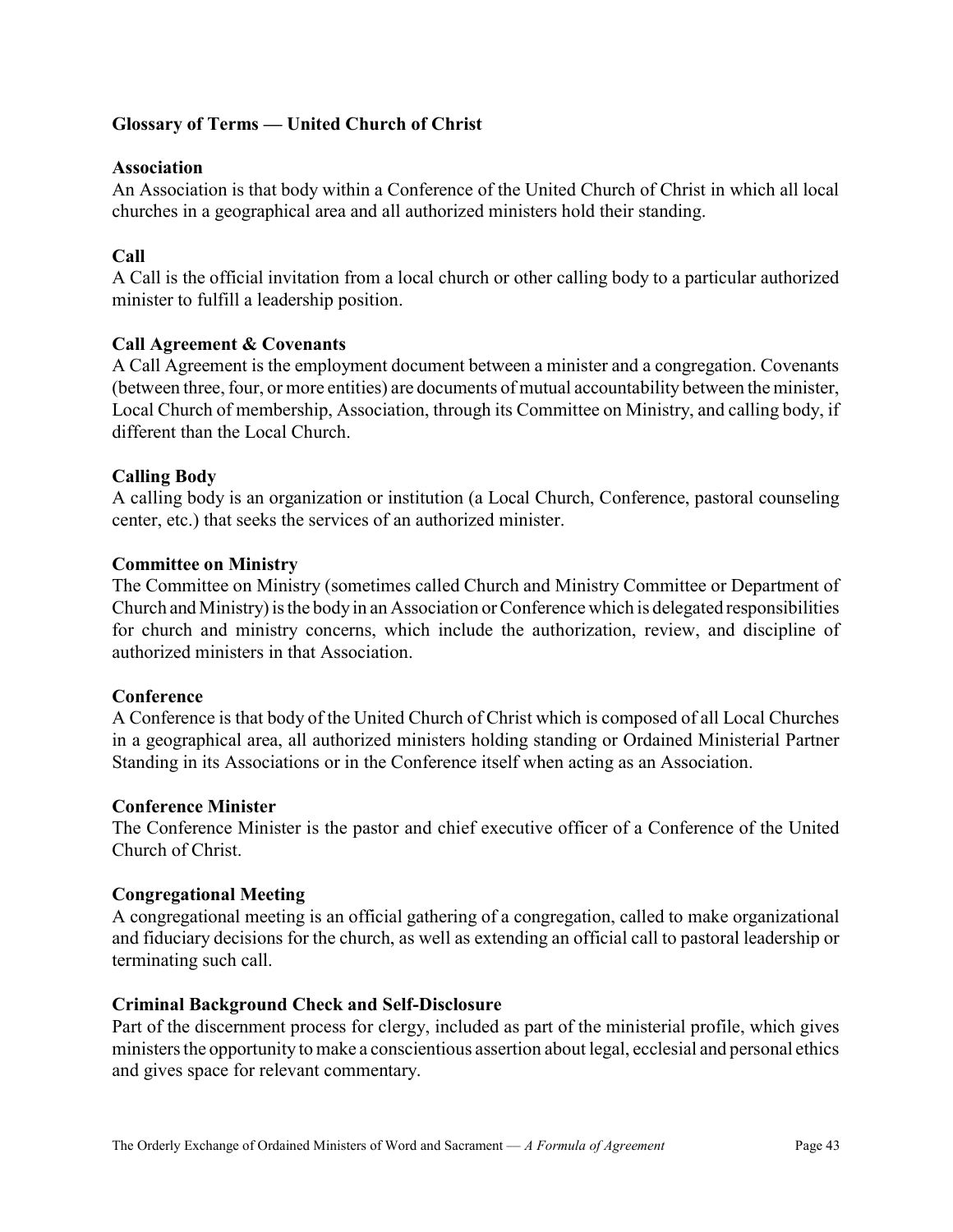### Glossary of Terms — United Church of Christ

### Association

An Association is that body within a Conference of the United Church of Christ in which all local churches in a geographical area and all authorized ministers hold their standing.

### Call

A Call is the official invitation from a local church or other calling body to a particular authorized minister to fulfill a leadership position.

### Call Agreement & Covenants

A Call Agreement is the employment document between a minister and a congregation. Covenants (between three, four, or more entities) are documents of mutual accountability between the minister, Local Church of membership, Association, through its Committee on Ministry, and calling body, if different than the Local Church.

### Calling Body

A calling body is an organization or institution (a Local Church, Conference, pastoral counseling center, etc.) that seeks the services of an authorized minister.

### Committee on Ministry

The Committee on Ministry (sometimes called Church and Ministry Committee or Department of Church and Ministry) is the body in an Association or Conference which is delegated responsibilities for church and ministry concerns, which include the authorization, review, and discipline of authorized ministers in that Association.

### **Conference**

A Conference is that body of the United Church of Christ which is composed of all Local Churches in a geographical area, all authorized ministers holding standing or Ordained Ministerial Partner Standing in its Associations or in the Conference itself when acting as an Association.

#### Conference Minister

The Conference Minister is the pastor and chief executive officer of a Conference of the United Church of Christ.

#### Congregational Meeting

A congregational meeting is an official gathering of a congregation, called to make organizational and fiduciary decisions for the church, as well as extending an official call to pastoral leadership or terminating such call.

#### Criminal Background Check and Self-Disclosure

Part of the discernment process for clergy, included as part of the ministerial profile, which gives ministers the opportunity to make a conscientious assertion about legal, ecclesial and personal ethics and gives space for relevant commentary.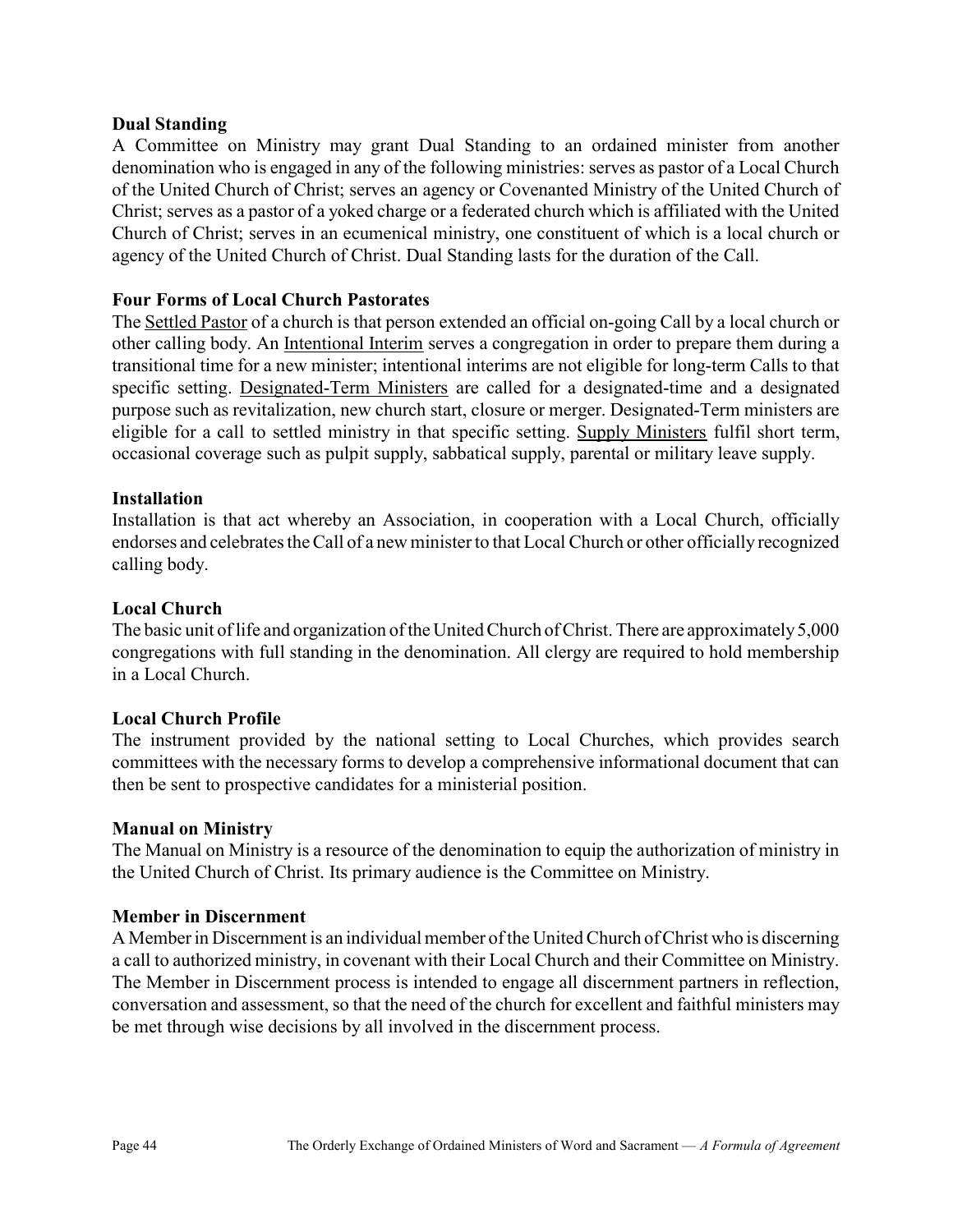### Dual Standing

A Committee on Ministry may grant Dual Standing to an ordained minister from another denomination who is engaged in any of the following ministries: serves as pastor of a Local Church of the United Church of Christ; serves an agency or Covenanted Ministry of the United Church of Christ; serves as a pastor of a yoked charge or a federated church which is affiliated with the United Church of Christ; serves in an ecumenical ministry, one constituent of which is a local church or agency of the United Church of Christ. Dual Standing lasts for the duration of the Call.

### Four Forms of Local Church Pastorates

The Settled Pastor of a church is that person extended an official on-going Call by a local church or other calling body. An Intentional Interim serves a congregation in order to prepare them during a transitional time for a new minister; intentional interims are not eligible for long-term Calls to that specific setting. Designated-Term Ministers are called for a designated-time and a designated purpose such as revitalization, new church start, closure or merger. Designated-Term ministers are eligible for a call to settled ministry in that specific setting. Supply Ministers fulfil short term, occasional coverage such as pulpit supply, sabbatical supply, parental or military leave supply.

### Installation

Installation is that act whereby an Association, in cooperation with a Local Church, officially endorses and celebrates the Call of a new minister to that Local Church or other officially recognized calling body.

### Local Church

The basic unit of life and organization of the United Church of Christ. There are approximately 5,000 congregations with full standing in the denomination. All clergy are required to hold membership in a Local Church.

### Local Church Profile

The instrument provided by the national setting to Local Churches, which provides search committees with the necessary forms to develop a comprehensive informational document that can then be sent to prospective candidates for a ministerial position.

### Manual on Ministry

The Manual on Ministry is a resource of the denomination to equip the authorization of ministry in the United Church of Christ. Its primary audience is the Committee on Ministry.

### Member in Discernment

A Member in Discernment is an individual member of the United Church of Christ who is discerning a call to authorized ministry, in covenant with their Local Church and their Committee on Ministry. The Member in Discernment process is intended to engage all discernment partners in reflection, conversation and assessment, so that the need of the church for excellent and faithful ministers may be met through wise decisions by all involved in the discernment process.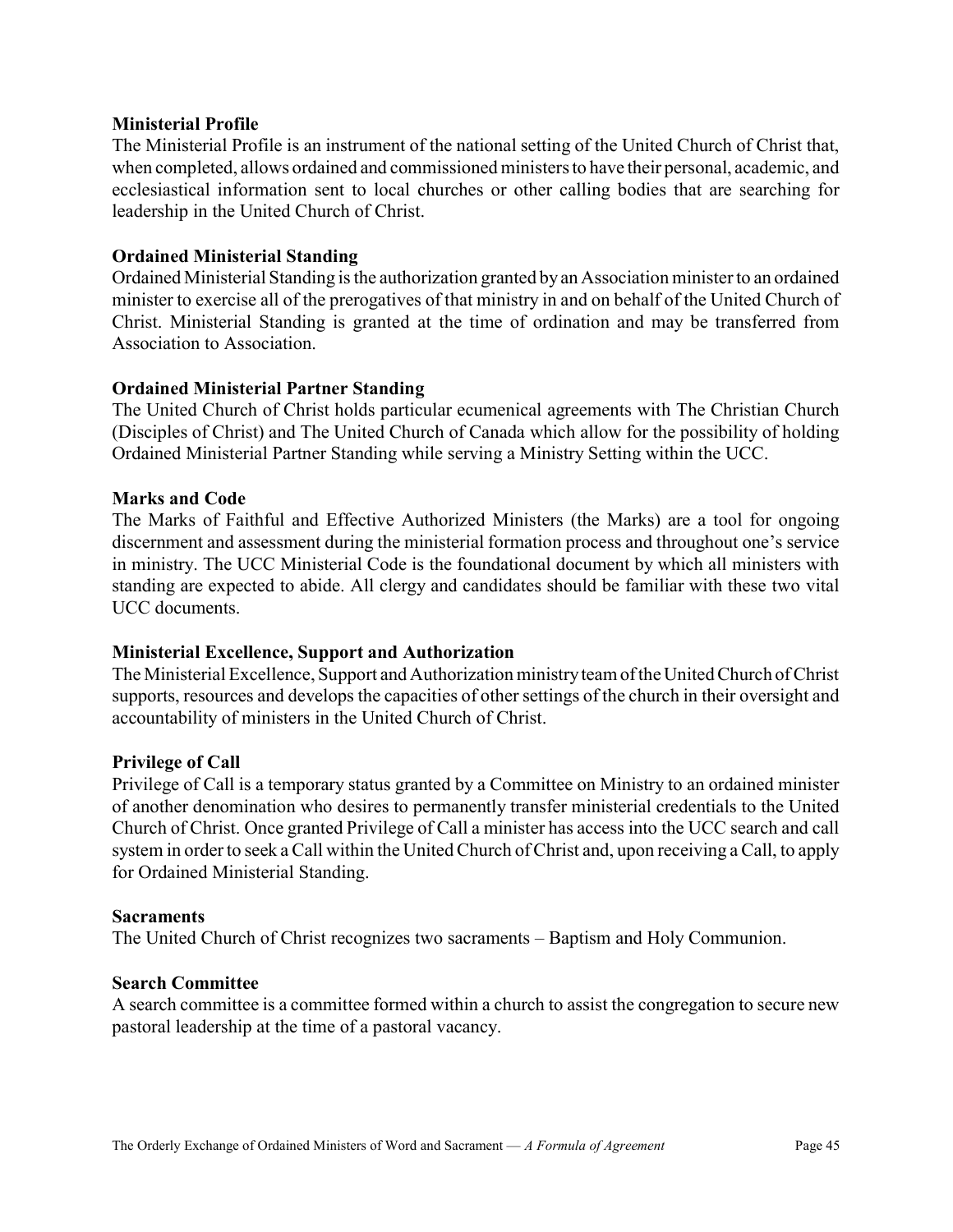#### Ministerial Profile

The Ministerial Profile is an instrument of the national setting of the United Church of Christ that, when completed, allows ordained and commissioned ministers to have their personal, academic, and ecclesiastical information sent to local churches or other calling bodies that are searching for leadership in the United Church of Christ.

#### Ordained Ministerial Standing

Ordained Ministerial Standing is the authorization granted by an Association minister to an ordained minister to exercise all of the prerogatives of that ministry in and on behalf of the United Church of Christ. Ministerial Standing is granted at the time of ordination and may be transferred from Association to Association.

#### Ordained Ministerial Partner Standing

The United Church of Christ holds particular ecumenical agreements with The Christian Church (Disciples of Christ) and The United Church of Canada which allow for the possibility of holding Ordained Ministerial Partner Standing while serving a Ministry Setting within the UCC.

#### Marks and Code

The Marks of Faithful and Effective Authorized Ministers (the Marks) are a tool for ongoing discernment and assessment during the ministerial formation process and throughout one's service in ministry. The UCC Ministerial Code is the foundational document by which all ministers with standing are expected to abide. All clergy and candidates should be familiar with these two vital UCC documents.

### Ministerial Excellence, Support and Authorization

The Ministerial Excellence, Support and Authorization ministry team of the United Church of Christ supports, resources and develops the capacities of other settings of the church in their oversight and accountability of ministers in the United Church of Christ.

#### Privilege of Call

Privilege of Call is a temporary status granted by a Committee on Ministry to an ordained minister of another denomination who desires to permanently transfer ministerial credentials to the United Church of Christ. Once granted Privilege of Call a minister has access into the UCC search and call system in order to seek a Call within the United Church of Christ and, upon receiving a Call, to apply for Ordained Ministerial Standing.

#### **Sacraments**

The United Church of Christ recognizes two sacraments – Baptism and Holy Communion.

#### Search Committee

A search committee is a committee formed within a church to assist the congregation to secure new pastoral leadership at the time of a pastoral vacancy.